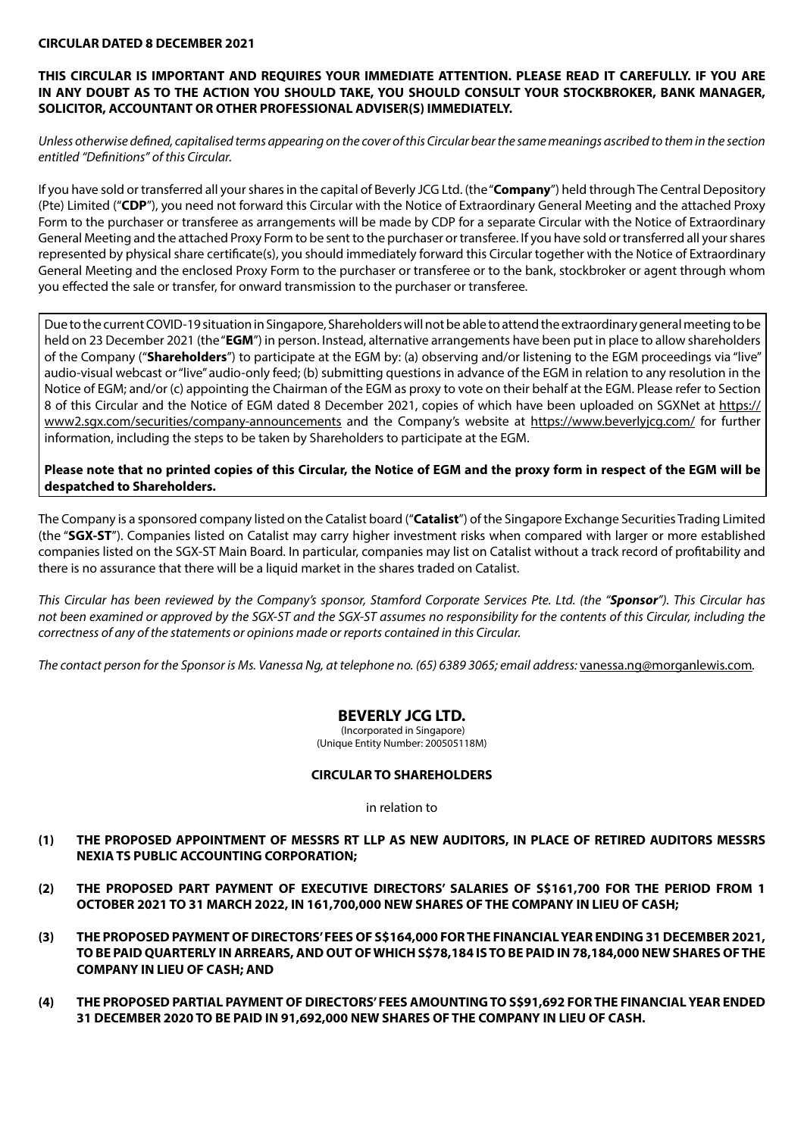#### **CIRCULAR DATED 8 DECEMBER 2021**

## **THIS CIRCULAR IS IMPORTANT AND REQUIRES YOUR IMMEDIATE ATTENTION. PLEASE READ IT CAREFULLY. IF YOU ARE IN ANY DOUBT AS TO THE ACTION YOU SHOULD TAKE, YOU SHOULD CONSULT YOUR STOCKBROKER, BANK MANAGER, SOLICITOR, ACCOUNTANT OR OTHER PROFESSIONAL ADVISER(S) IMMEDIATELY.**

*Unless otherwise defined, capitalised terms appearing on the cover of this Circular bear the same meanings ascribed to them in the section entitled "Definitions" of this Circular.*

If you have sold or transferred all your shares in the capital of Beverly JCG Ltd. (the "**Company**") held through The Central Depository (Pte) Limited ("**CDP**"), you need not forward this Circular with the Notice of Extraordinary General Meeting and the attached Proxy Form to the purchaser or transferee as arrangements will be made by CDP for a separate Circular with the Notice of Extraordinary General Meeting and the attached Proxy Form to be sent to the purchaser or transferee. If you have sold or transferred all your shares represented by physical share certificate(s), you should immediately forward this Circular together with the Notice of Extraordinary General Meeting and the enclosed Proxy Form to the purchaser or transferee or to the bank, stockbroker or agent through whom you effected the sale or transfer, for onward transmission to the purchaser or transferee.

Due to the current COVID-19 situation in Singapore, Shareholders will not be able to attend the extraordinary general meeting to be held on 23 December 2021 (the "**EGM**") in person. Instead, alternative arrangements have been put in place to allow shareholders of the Company ("**Shareholders**") to participate at the EGM by: (a) observing and/or listening to the EGM proceedings via "live" audio-visual webcast or "live" audio-only feed; (b) submitting questions in advance of the EGM in relation to any resolution in the Notice of EGM; and/or (c) appointing the Chairman of the EGM as proxy to vote on their behalf at the EGM. Please refer to Section 8 of this Circular and the Notice of EGM dated 8 December 2021, copies of which have been uploaded on SGXNet at https:// www2.sgx.com/securities/company-announcements and the Company's website at https://www.beverlyjcg.com/ for further information, including the steps to be taken by Shareholders to participate at the EGM.

**Please note that no printed copies of this Circular, the Notice of EGM and the proxy form in respect of the EGM will be despatched to Shareholders.**

The Company is a sponsored company listed on the Catalist board ("**Catalist**") of the Singapore Exchange Securities Trading Limited (the "**SGX-ST**"). Companies listed on Catalist may carry higher investment risks when compared with larger or more established companies listed on the SGX-ST Main Board. In particular, companies may list on Catalist without a track record of profitability and there is no assurance that there will be a liquid market in the shares traded on Catalist.

*This Circular has been reviewed by the Company's sponsor, Stamford Corporate Services Pte. Ltd. (the "Sponsor"). This Circular has not been examined or approved by the SGX-ST and the SGX-ST assumes no responsibility for the contents of this Circular, including the correctness of any of the statements or opinions made or reports contained in this Circular.* 

*The contact person for the Sponsor is Ms. Vanessa Ng, at telephone no. (65) 6389 3065; email address:* vanessa.ng@morganlewis.com*.*

## **BEVERLY JCG LTD.**

 (Incorporated in Singapore) (Unique Entity Number: 200505118M)

#### **CIRCULAR TO SHAREHOLDERS**

in relation to

- **(1) THE PROPOSED APPOINTMENT OF MESSRS RT LLP AS NEW AUDITORS, IN PLACE OF RETIRED AUDITORS MESSRS NEXIA TS PUBLIC ACCOUNTING CORPORATION;**
- **(2) THE PROPOSED PART PAYMENT OF EXECUTIVE DIRECTORS' SALARIES OF S\$161,700 FOR THE PERIOD FROM 1 OCTOBER 2021 TO 31 MARCH 2022, IN 161,700,000 NEW SHARES OF THE COMPANY IN LIEU OF CASH;**
- **(3) THE PROPOSED PAYMENT OF DIRECTORS' FEES OF S\$164,000 FOR THE FINANCIAL YEAR ENDING 31 DECEMBER 2021, TO BE PAID QUARTERLY IN ARREARS, AND OUT OF WHICH S\$78,184 IS TO BE PAID IN 78,184,000 NEW SHARES OF THE COMPANY IN LIEU OF CASH; AND**
- **(4) THE PROPOSED PARTIAL PAYMENT OF DIRECTORS' FEES AMOUNTING TO S\$91,692 FOR THE FINANCIAL YEAR ENDED 31 DECEMBER 2020 TO BE PAID IN 91,692,000 NEW SHARES OF THE COMPANY IN LIEU OF CASH.**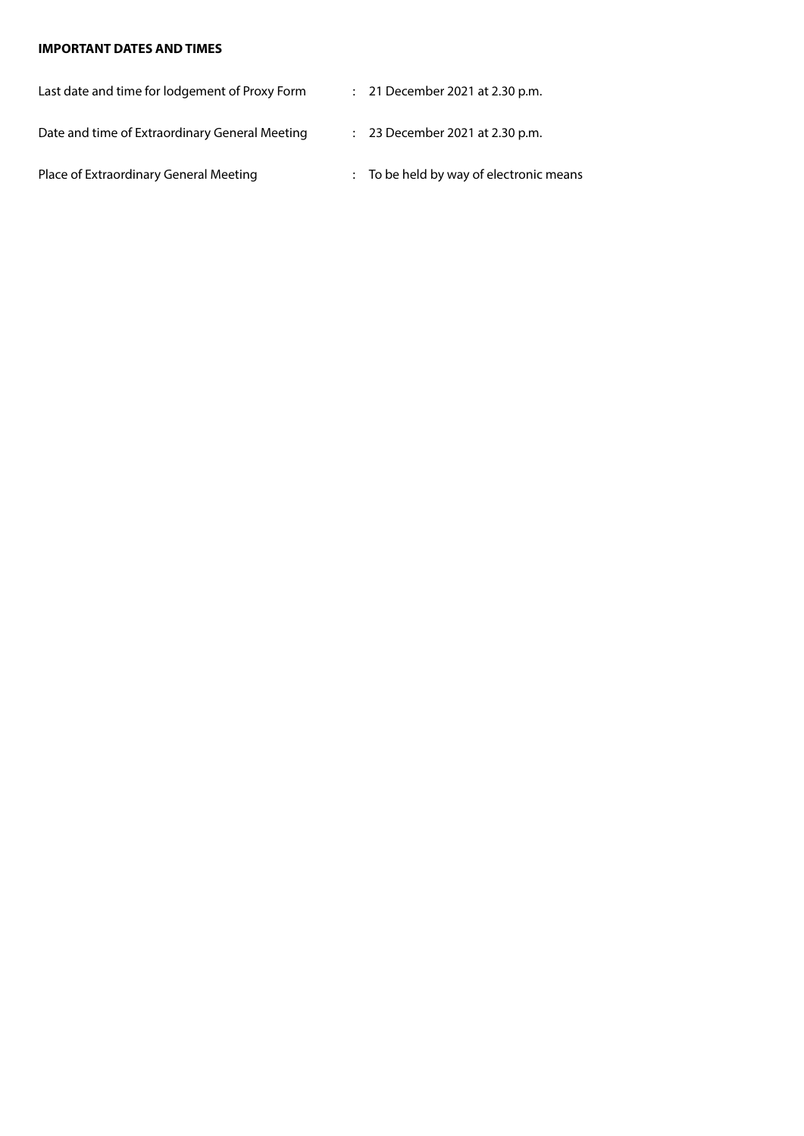## **IMPORTANT DATES AND TIMES**

| Last date and time for lodgement of Proxy Form | : 21 December 2021 at 2.30 p.m.         |
|------------------------------------------------|-----------------------------------------|
| Date and time of Extraordinary General Meeting | $: 23$ December 2021 at 2.30 p.m.       |
| Place of Extraordinary General Meeting         | : To be held by way of electronic means |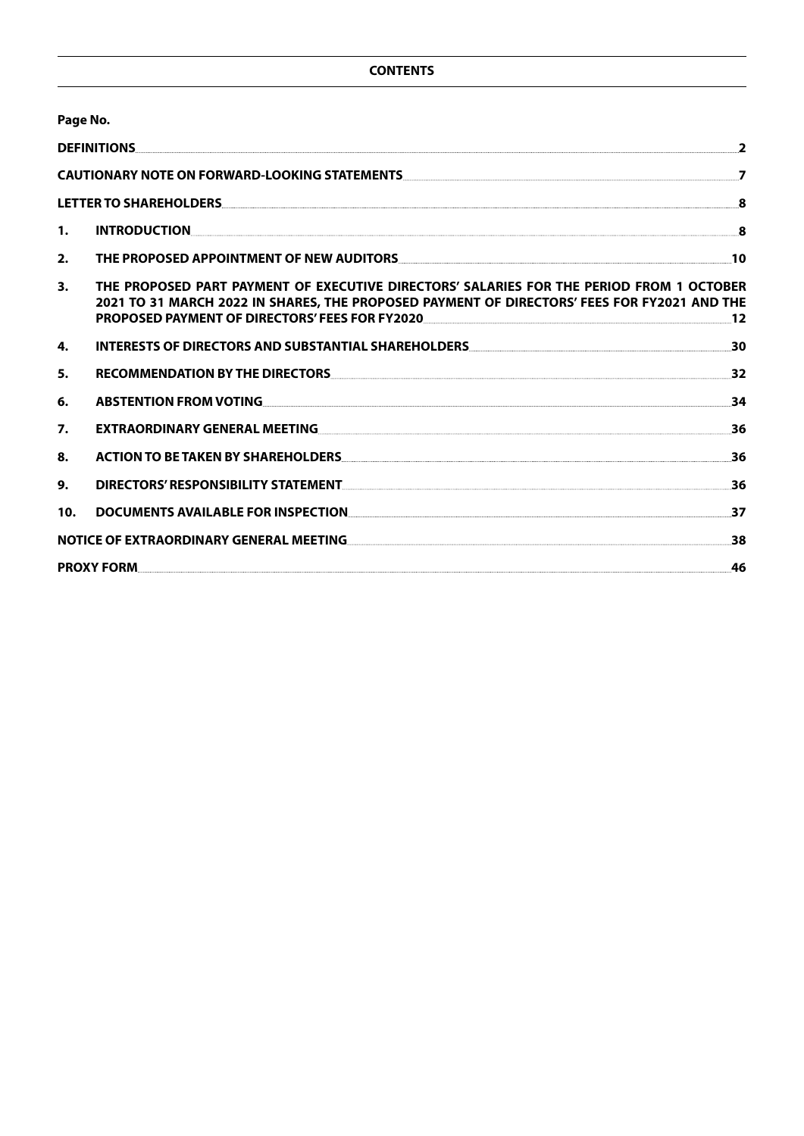|     | Page No.                                                                                                                                                                                                                                                                                |                |
|-----|-----------------------------------------------------------------------------------------------------------------------------------------------------------------------------------------------------------------------------------------------------------------------------------------|----------------|
|     | <b>DEFINITIONS</b>                                                                                                                                                                                                                                                                      | $\overline{2}$ |
|     | CAUTIONARY NOTE ON FORWARD-LOOKING STATEMENTS AND ACCOUNT ON A SERIES AND THE RESERVE ON A SERIES OF STATE AND                                                                                                                                                                          | $\overline{7}$ |
|     |                                                                                                                                                                                                                                                                                         | 8              |
| 1.  |                                                                                                                                                                                                                                                                                         | $\mathbf{8}$   |
| 2.  | THE PROPOSED APPOINTMENT OF NEW AUDITORS NEWSLET AND RESERVE THE PROPOSED APPOINTMENT OF NEW AUDITORS                                                                                                                                                                                   |                |
| 3.  | THE PROPOSED PART PAYMENT OF EXECUTIVE DIRECTORS' SALARIES FOR THE PERIOD FROM 1 OCTOBER<br>2021 TO 31 MARCH 2022 IN SHARES, THE PROPOSED PAYMENT OF DIRECTORS' FEES FOR FY2021 AND THE<br>PROPOSED PAYMENT OF DIRECTORS' FEES FOR FY2020 NAMES AND THE RESERVED BY A SERIES FOR FY2020 | 12             |
| 4.  | INTERESTS OF DIRECTORS AND SUBSTANTIAL SHAREHOLDERS. THE CONSENSE IN A RESERVE TO A RESERVE THE RESERVE TO A R                                                                                                                                                                          | 30             |
| 5.  | RECOMMENDATION BY THE DIRECTORS <b>And the CONSTRUCT OF A SECOMMENDATION</b>                                                                                                                                                                                                            | 32             |
| 6.  |                                                                                                                                                                                                                                                                                         | 34             |
| 7.  | EXTRAORDINARY GENERAL MEETING NAMEL AND THE RESEARCH OF STATE STATES AND THE RESEARCH OF STATES AND THE RESEARCH OF STATES AND THE RESEARCH OF STATES AND THE RESEARCH OF STATES AND THE RESEARCH OF STATES AND THE RESEARCH O                                                          | 36             |
| 8.  | ACTION TO BE TAKEN BY SHAREHOLDERS AND A CONTROLLER SERVICE OF A SERVICE OF A SERVICE OF A SERVICE OF A SERVICE OF A SERVICE OF A SERVICE OF A SERVICE OF A SERVICE OF A SERVICE OF A SERVICE OF A SERVICE OF A SERVICE OF A S                                                          | 36             |
| 9.  | DIRECTORS' RESPONSIBILITY STATEMENT. And the contract of the contract of the contract of the contract of the c                                                                                                                                                                          | 36             |
| 10. | <b>DOCUMENTS AVAILABLE FOR INSPECTION</b>                                                                                                                                                                                                                                               | 37             |
|     | NOTICE OF EXTRAORDINARY GENERAL MEETING                                                                                                                                                                                                                                                 | 38             |
|     |                                                                                                                                                                                                                                                                                         | 46             |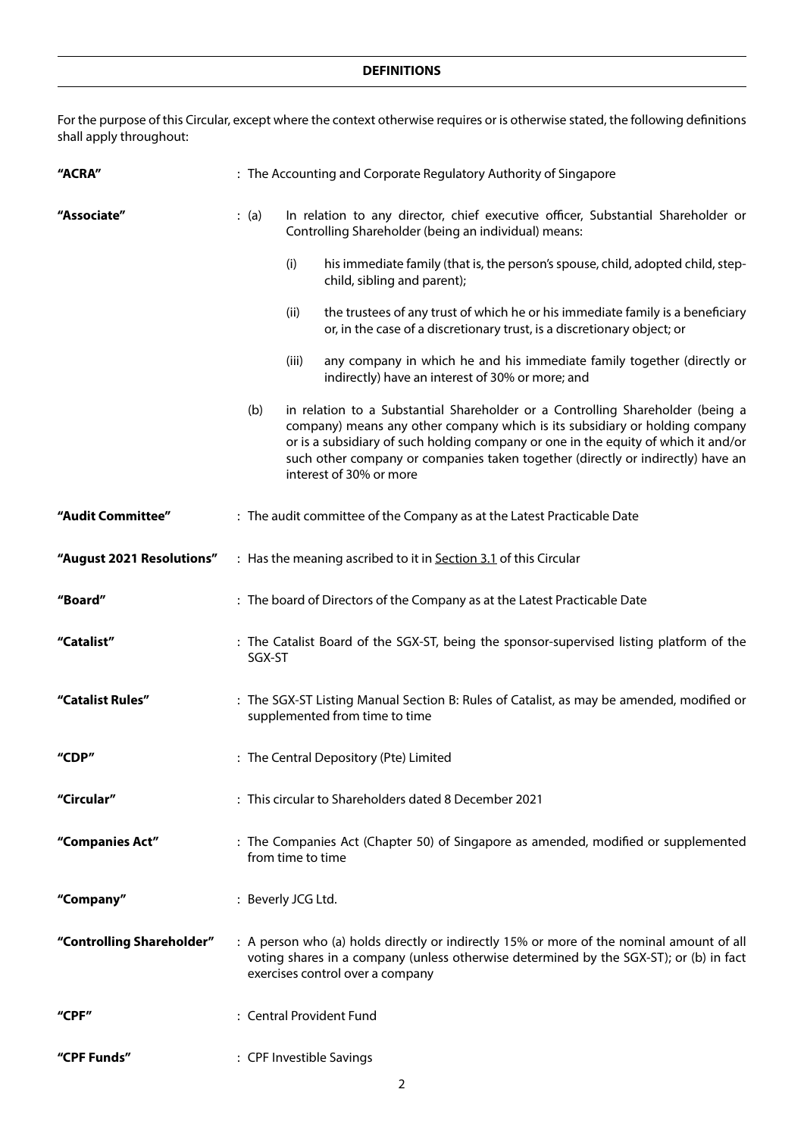For the purpose of this Circular, except where the context otherwise requires or is otherwise stated, the following definitions shall apply throughout:

| "ACRA"                    | : The Accounting and Corporate Regulatory Authority of Singapore                                                                                                                                                                                                                                                                                                         |  |  |
|---------------------------|--------------------------------------------------------------------------------------------------------------------------------------------------------------------------------------------------------------------------------------------------------------------------------------------------------------------------------------------------------------------------|--|--|
| "Associate"               | (a)<br>In relation to any director, chief executive officer, Substantial Shareholder or<br>Controlling Shareholder (being an individual) means:                                                                                                                                                                                                                          |  |  |
|                           | his immediate family (that is, the person's spouse, child, adopted child, step-<br>(i)<br>child, sibling and parent);                                                                                                                                                                                                                                                    |  |  |
|                           | the trustees of any trust of which he or his immediate family is a beneficiary<br>(ii)<br>or, in the case of a discretionary trust, is a discretionary object; or                                                                                                                                                                                                        |  |  |
|                           | (iii)<br>any company in which he and his immediate family together (directly or<br>indirectly) have an interest of 30% or more; and                                                                                                                                                                                                                                      |  |  |
|                           | in relation to a Substantial Shareholder or a Controlling Shareholder (being a<br>(b)<br>company) means any other company which is its subsidiary or holding company<br>or is a subsidiary of such holding company or one in the equity of which it and/or<br>such other company or companies taken together (directly or indirectly) have an<br>interest of 30% or more |  |  |
| "Audit Committee"         | : The audit committee of the Company as at the Latest Practicable Date                                                                                                                                                                                                                                                                                                   |  |  |
| "August 2021 Resolutions" | : Has the meaning ascribed to it in Section 3.1 of this Circular                                                                                                                                                                                                                                                                                                         |  |  |
| "Board"                   | : The board of Directors of the Company as at the Latest Practicable Date                                                                                                                                                                                                                                                                                                |  |  |
| "Catalist"                | : The Catalist Board of the SGX-ST, being the sponsor-supervised listing platform of the<br>SGX-ST                                                                                                                                                                                                                                                                       |  |  |
| "Catalist Rules"          | : The SGX-ST Listing Manual Section B: Rules of Catalist, as may be amended, modified or<br>supplemented from time to time                                                                                                                                                                                                                                               |  |  |
| "CDP"                     | : The Central Depository (Pte) Limited                                                                                                                                                                                                                                                                                                                                   |  |  |
| "Circular"                | : This circular to Shareholders dated 8 December 2021                                                                                                                                                                                                                                                                                                                    |  |  |
| "Companies Act"           | : The Companies Act (Chapter 50) of Singapore as amended, modified or supplemented<br>from time to time                                                                                                                                                                                                                                                                  |  |  |
| "Company"                 | : Beverly JCG Ltd.                                                                                                                                                                                                                                                                                                                                                       |  |  |
| "Controlling Shareholder" | : A person who (a) holds directly or indirectly 15% or more of the nominal amount of all<br>voting shares in a company (unless otherwise determined by the SGX-ST); or (b) in fact<br>exercises control over a company                                                                                                                                                   |  |  |
| "CPF"                     | : Central Provident Fund                                                                                                                                                                                                                                                                                                                                                 |  |  |
| "CPF Funds"               | : CPF Investible Savings                                                                                                                                                                                                                                                                                                                                                 |  |  |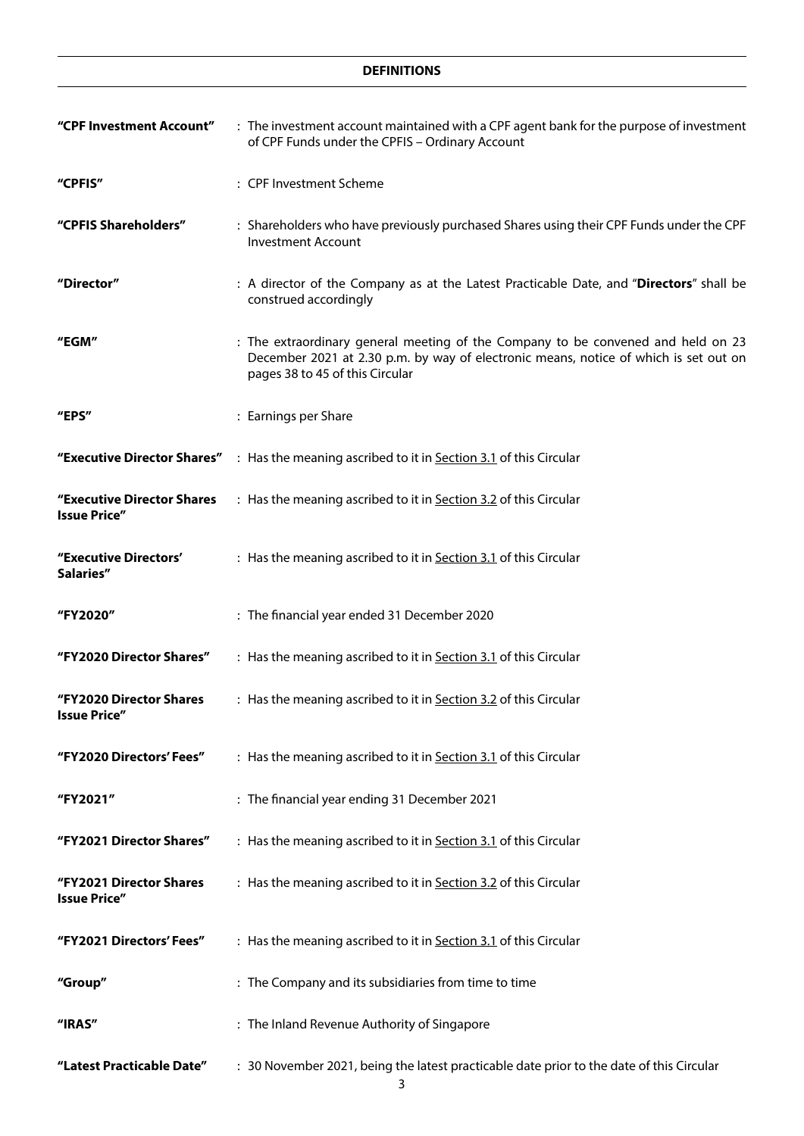| "CPF Investment Account"                          | : The investment account maintained with a CPF agent bank for the purpose of investment<br>of CPF Funds under the CPFIS - Ordinary Account                                                                  |  |  |
|---------------------------------------------------|-------------------------------------------------------------------------------------------------------------------------------------------------------------------------------------------------------------|--|--|
| "CPFIS"                                           | : CPF Investment Scheme                                                                                                                                                                                     |  |  |
| "CPFIS Shareholders"                              | : Shareholders who have previously purchased Shares using their CPF Funds under the CPF<br><b>Investment Account</b>                                                                                        |  |  |
| "Director"                                        | : A director of the Company as at the Latest Practicable Date, and "Directors" shall be<br>construed accordingly                                                                                            |  |  |
| "EGM"                                             | : The extraordinary general meeting of the Company to be convened and held on 23<br>December 2021 at 2.30 p.m. by way of electronic means, notice of which is set out on<br>pages 38 to 45 of this Circular |  |  |
| "EPS"                                             | : Earnings per Share                                                                                                                                                                                        |  |  |
|                                                   | "Executive Director Shares" : Has the meaning ascribed to it in Section 3.1 of this Circular                                                                                                                |  |  |
| "Executive Director Shares<br><b>Issue Price"</b> | : Has the meaning ascribed to it in Section 3.2 of this Circular                                                                                                                                            |  |  |
| "Executive Directors'<br>Salaries"                | : Has the meaning ascribed to it in Section 3.1 of this Circular                                                                                                                                            |  |  |
| "FY2020"                                          | : The financial year ended 31 December 2020                                                                                                                                                                 |  |  |
| "FY2020 Director Shares"                          | : Has the meaning ascribed to it in Section 3.1 of this Circular                                                                                                                                            |  |  |
| "FY2020 Director Shares<br><b>Issue Price"</b>    | : Has the meaning ascribed to it in Section 3.2 of this Circular                                                                                                                                            |  |  |
| "FY2020 Directors' Fees"                          | : Has the meaning ascribed to it in Section 3.1 of this Circular                                                                                                                                            |  |  |
| "FY2021"                                          | : The financial year ending 31 December 2021                                                                                                                                                                |  |  |
| "FY2021 Director Shares"                          | : Has the meaning ascribed to it in Section 3.1 of this Circular                                                                                                                                            |  |  |
| "FY2021 Director Shares<br><b>Issue Price"</b>    | : Has the meaning ascribed to it in Section 3.2 of this Circular                                                                                                                                            |  |  |
| "FY2021 Directors' Fees"                          | : Has the meaning ascribed to it in Section 3.1 of this Circular                                                                                                                                            |  |  |
| "Group"                                           | : The Company and its subsidiaries from time to time                                                                                                                                                        |  |  |
| "IRAS"                                            | : The Inland Revenue Authority of Singapore                                                                                                                                                                 |  |  |
| "Latest Practicable Date"                         | : 30 November 2021, being the latest practicable date prior to the date of this Circular                                                                                                                    |  |  |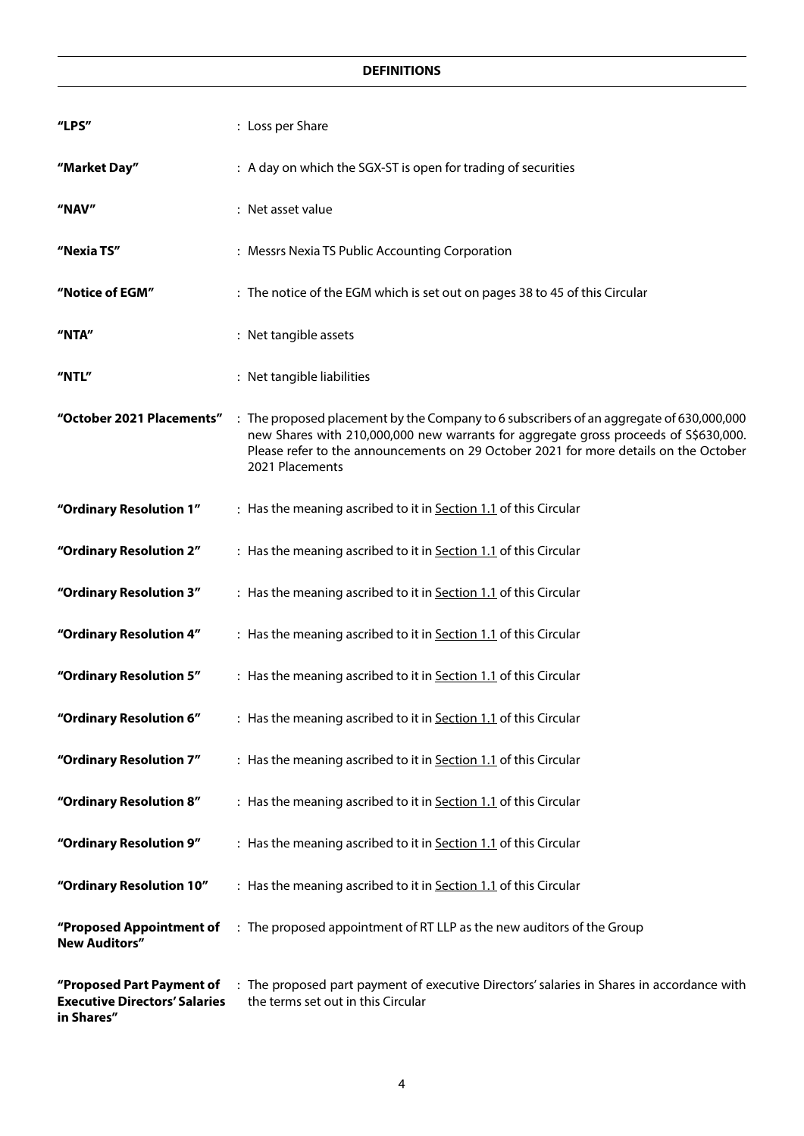| "LPS"                                                                           | : Loss per Share                                                                                                                                                                                                                                                                           |
|---------------------------------------------------------------------------------|--------------------------------------------------------------------------------------------------------------------------------------------------------------------------------------------------------------------------------------------------------------------------------------------|
| "Market Day"                                                                    | : A day on which the SGX-ST is open for trading of securities                                                                                                                                                                                                                              |
| "NAV"                                                                           | : Net asset value                                                                                                                                                                                                                                                                          |
| "Nexia TS"                                                                      | : Messrs Nexia TS Public Accounting Corporation                                                                                                                                                                                                                                            |
| "Notice of EGM"                                                                 | : The notice of the EGM which is set out on pages 38 to 45 of this Circular                                                                                                                                                                                                                |
| "NTA"                                                                           | : Net tangible assets                                                                                                                                                                                                                                                                      |
| "NTL"                                                                           | : Net tangible liabilities                                                                                                                                                                                                                                                                 |
| "October 2021 Placements"                                                       | : The proposed placement by the Company to 6 subscribers of an aggregate of 630,000,000<br>new Shares with 210,000,000 new warrants for aggregate gross proceeds of S\$630,000.<br>Please refer to the announcements on 29 October 2021 for more details on the October<br>2021 Placements |
| "Ordinary Resolution 1"                                                         | : Has the meaning ascribed to it in Section 1.1 of this Circular                                                                                                                                                                                                                           |
| "Ordinary Resolution 2"                                                         | : Has the meaning ascribed to it in Section 1.1 of this Circular                                                                                                                                                                                                                           |
| "Ordinary Resolution 3"                                                         | : Has the meaning ascribed to it in Section 1.1 of this Circular                                                                                                                                                                                                                           |
| "Ordinary Resolution 4"                                                         | : Has the meaning ascribed to it in Section 1.1 of this Circular                                                                                                                                                                                                                           |
| "Ordinary Resolution 5"                                                         | : Has the meaning ascribed to it in Section 1.1 of this Circular                                                                                                                                                                                                                           |
| "Ordinary Resolution 6"                                                         | : Has the meaning ascribed to it in Section 1.1 of this Circular                                                                                                                                                                                                                           |
| "Ordinary Resolution 7"                                                         | : Has the meaning ascribed to it in Section 1.1 of this Circular                                                                                                                                                                                                                           |
| "Ordinary Resolution 8"                                                         | : Has the meaning ascribed to it in Section 1.1 of this Circular                                                                                                                                                                                                                           |
| "Ordinary Resolution 9"                                                         | : Has the meaning ascribed to it in Section 1.1 of this Circular                                                                                                                                                                                                                           |
| "Ordinary Resolution 10"                                                        | : Has the meaning ascribed to it in Section 1.1 of this Circular                                                                                                                                                                                                                           |
| "Proposed Appointment of<br><b>New Auditors"</b>                                | : The proposed appointment of RT LLP as the new auditors of the Group                                                                                                                                                                                                                      |
| "Proposed Part Payment of<br><b>Executive Directors' Salaries</b><br>in Shares" | : The proposed part payment of executive Directors' salaries in Shares in accordance with<br>the terms set out in this Circular                                                                                                                                                            |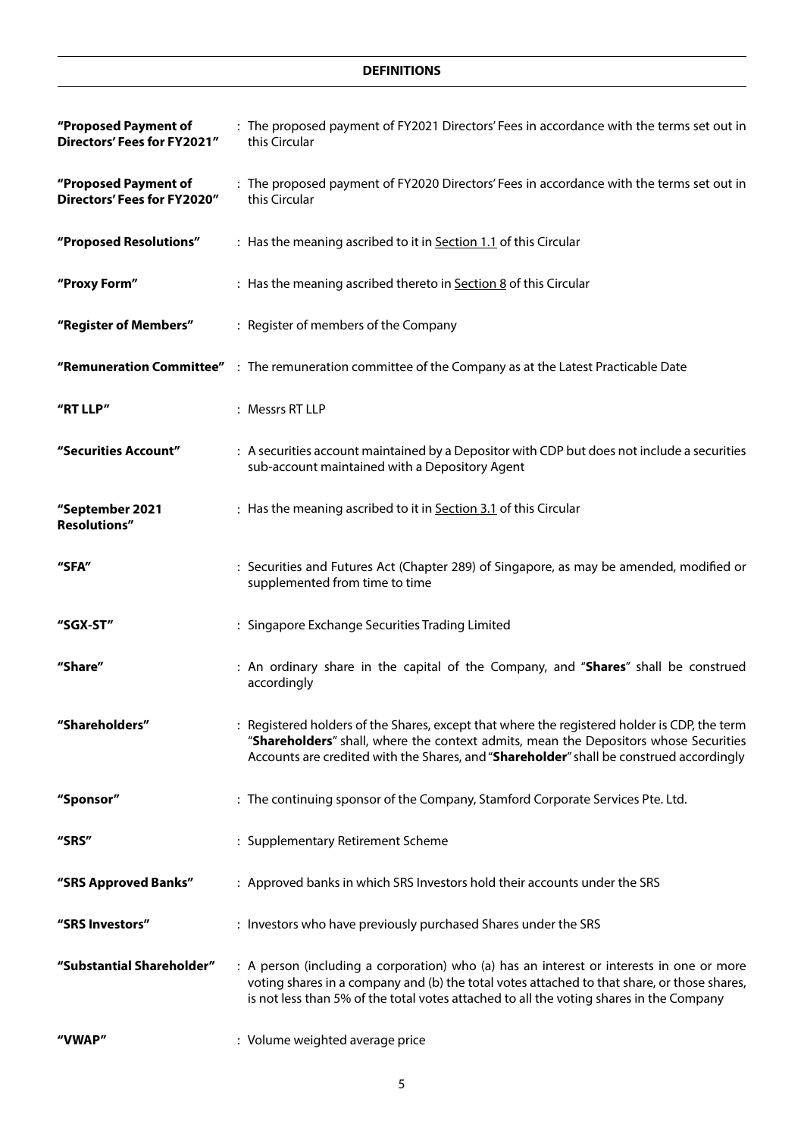| "Proposed Payment of<br>Directors' Fees for FY2021" | : The proposed payment of FY2021 Directors' Fees in accordance with the terms set out in<br>this Circular                                                                                                                                                                          |
|-----------------------------------------------------|------------------------------------------------------------------------------------------------------------------------------------------------------------------------------------------------------------------------------------------------------------------------------------|
| "Proposed Payment of<br>Directors' Fees for FY2020" | : The proposed payment of FY2020 Directors' Fees in accordance with the terms set out in<br>this Circular                                                                                                                                                                          |
| "Proposed Resolutions"                              | : Has the meaning ascribed to it in Section 1.1 of this Circular                                                                                                                                                                                                                   |
| "Proxy Form"                                        | : Has the meaning ascribed thereto in Section 8 of this Circular                                                                                                                                                                                                                   |
| "Register of Members"                               | : Register of members of the Company                                                                                                                                                                                                                                               |
|                                                     | "Remuneration Committee" : The remuneration committee of the Company as at the Latest Practicable Date                                                                                                                                                                             |
| "RT LLP"                                            | : Messrs RT LLP                                                                                                                                                                                                                                                                    |
| "Securities Account"                                | : A securities account maintained by a Depositor with CDP but does not include a securities<br>sub-account maintained with a Depository Agent                                                                                                                                      |
| "September 2021<br><b>Resolutions"</b>              | : Has the meaning ascribed to it in Section 3.1 of this Circular                                                                                                                                                                                                                   |
| "SFA"                                               | : Securities and Futures Act (Chapter 289) of Singapore, as may be amended, modified or<br>supplemented from time to time                                                                                                                                                          |
| "SGX-ST"                                            | : Singapore Exchange Securities Trading Limited                                                                                                                                                                                                                                    |
| "Share"                                             | : An ordinary share in the capital of the Company, and "Shares" shall be construed<br>accordingly                                                                                                                                                                                  |
| "Shareholders"                                      | : Registered holders of the Shares, except that where the registered holder is CDP, the term<br>"Shareholders" shall, where the context admits, mean the Depositors whose Securities<br>Accounts are credited with the Shares, and "Shareholder" shall be construed accordingly    |
| "Sponsor"                                           | : The continuing sponsor of the Company, Stamford Corporate Services Pte. Ltd.                                                                                                                                                                                                     |
| "SRS"                                               | : Supplementary Retirement Scheme                                                                                                                                                                                                                                                  |
| "SRS Approved Banks"                                | : Approved banks in which SRS Investors hold their accounts under the SRS                                                                                                                                                                                                          |
| "SRS Investors"                                     | : Investors who have previously purchased Shares under the SRS                                                                                                                                                                                                                     |
| "Substantial Shareholder"                           | : A person (including a corporation) who (a) has an interest or interests in one or more<br>voting shares in a company and (b) the total votes attached to that share, or those shares,<br>is not less than 5% of the total votes attached to all the voting shares in the Company |
| "VWAP"                                              | : Volume weighted average price                                                                                                                                                                                                                                                    |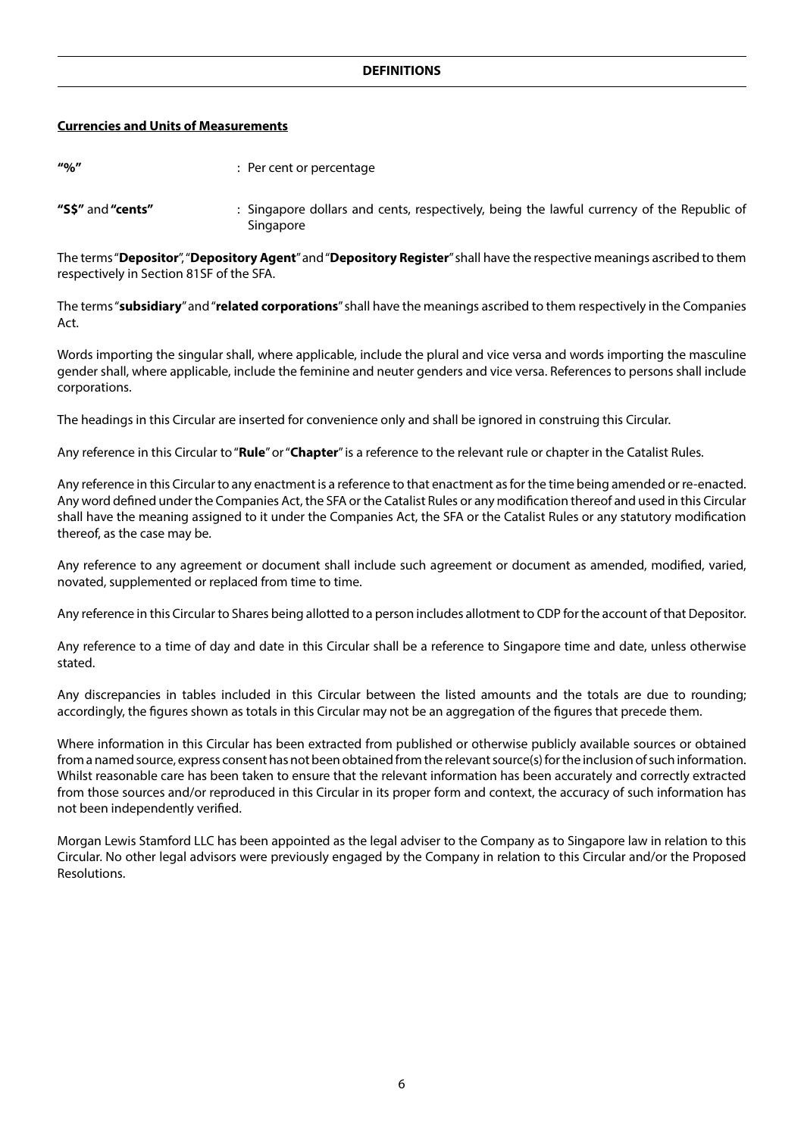#### **Currencies and Units of Measurements**

| $\frac{110}{6}$   | : Per cent or percentage                                                                               |
|-------------------|--------------------------------------------------------------------------------------------------------|
| "S\$" and "cents" | : Singapore dollars and cents, respectively, being the lawful currency of the Republic of<br>Singapore |

The terms "**Depositor**", "**Depository Agent**" and "**Depository Register**" shall have the respective meanings ascribed to them respectively in Section 81SF of the SFA.

The terms "**subsidiary**" and "**related corporations**" shall have the meanings ascribed to them respectively in the Companies Act.

Words importing the singular shall, where applicable, include the plural and vice versa and words importing the masculine gender shall, where applicable, include the feminine and neuter genders and vice versa. References to persons shall include corporations.

The headings in this Circular are inserted for convenience only and shall be ignored in construing this Circular.

Any reference in this Circular to "**Rule**" or "**Chapter**" is a reference to the relevant rule or chapter in the Catalist Rules.

Any reference in this Circular to any enactment is a reference to that enactment as for the time being amended or re-enacted. Any word defined under the Companies Act, the SFA or the Catalist Rules or any modification thereof and used in this Circular shall have the meaning assigned to it under the Companies Act, the SFA or the Catalist Rules or any statutory modification thereof, as the case may be.

Any reference to any agreement or document shall include such agreement or document as amended, modified, varied, novated, supplemented or replaced from time to time.

Any reference in this Circular to Shares being allotted to a person includes allotment to CDP for the account of that Depositor.

Any reference to a time of day and date in this Circular shall be a reference to Singapore time and date, unless otherwise stated.

Any discrepancies in tables included in this Circular between the listed amounts and the totals are due to rounding; accordingly, the figures shown as totals in this Circular may not be an aggregation of the figures that precede them.

Where information in this Circular has been extracted from published or otherwise publicly available sources or obtained from a named source, express consent has not been obtained from the relevant source(s) for the inclusion of such information. Whilst reasonable care has been taken to ensure that the relevant information has been accurately and correctly extracted from those sources and/or reproduced in this Circular in its proper form and context, the accuracy of such information has not been independently verified.

Morgan Lewis Stamford LLC has been appointed as the legal adviser to the Company as to Singapore law in relation to this Circular. No other legal advisors were previously engaged by the Company in relation to this Circular and/or the Proposed Resolutions.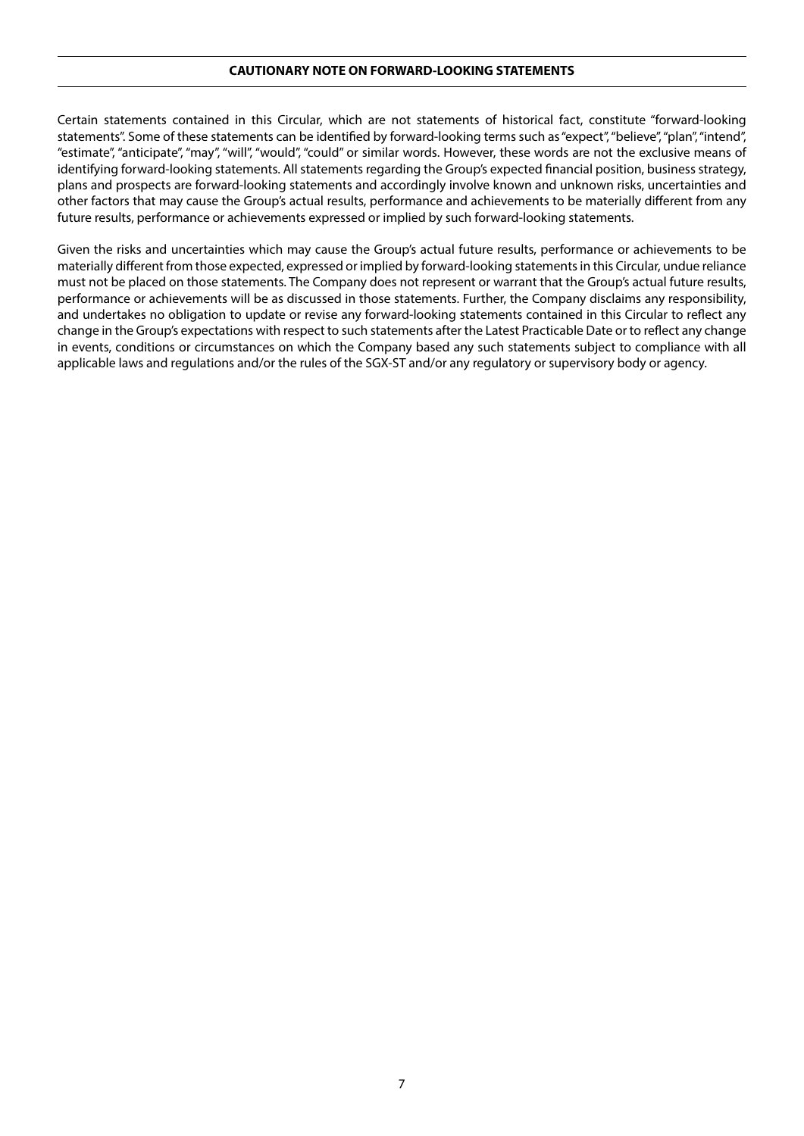#### **CAUTIONARY NOTE ON FORWARD-LOOKING STATEMENTS**

Certain statements contained in this Circular, which are not statements of historical fact, constitute "forward-looking statements". Some of these statements can be identified by forward-looking terms such as "expect", "believe", "plan", "intend", "estimate", "anticipate", "may", "will", "would", "could" or similar words. However, these words are not the exclusive means of identifying forward-looking statements. All statements regarding the Group's expected financial position, business strategy, plans and prospects are forward-looking statements and accordingly involve known and unknown risks, uncertainties and other factors that may cause the Group's actual results, performance and achievements to be materially different from any future results, performance or achievements expressed or implied by such forward-looking statements.

Given the risks and uncertainties which may cause the Group's actual future results, performance or achievements to be materially different from those expected, expressed or implied by forward-looking statements in this Circular, undue reliance must not be placed on those statements. The Company does not represent or warrant that the Group's actual future results, performance or achievements will be as discussed in those statements. Further, the Company disclaims any responsibility, and undertakes no obligation to update or revise any forward-looking statements contained in this Circular to reflect any change in the Group's expectations with respect to such statements after the Latest Practicable Date or to reflect any change in events, conditions or circumstances on which the Company based any such statements subject to compliance with all applicable laws and regulations and/or the rules of the SGX-ST and/or any regulatory or supervisory body or agency.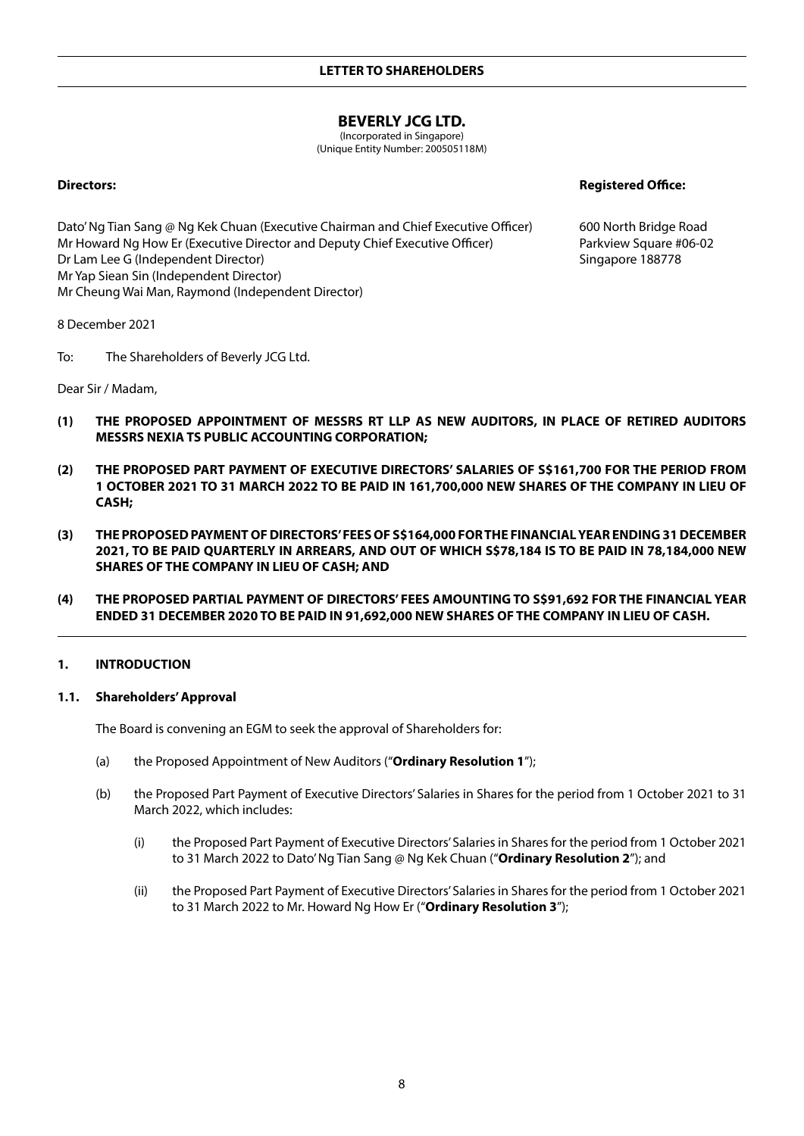# **BEVERLY JCG LTD.**

(Incorporated in Singapore) (Unique Entity Number: 200505118M)

**Directors: Registered Office:**

600 North Bridge Road Parkview Square #06-02 Singapore 188778

Dato' Ng Tian Sang @ Ng Kek Chuan (Executive Chairman and Chief Executive Officer) Mr Howard Ng How Er (Executive Director and Deputy Chief Executive Officer) Dr Lam Lee G (Independent Director) Mr Yap Siean Sin (Independent Director) Mr Cheung Wai Man, Raymond (Independent Director)

8 December 2021

To: The Shareholders of Beverly JCG Ltd.

Dear Sir / Madam,

- **(1) THE PROPOSED APPOINTMENT OF MESSRS RT LLP AS NEW AUDITORS, IN PLACE OF RETIRED AUDITORS MESSRS NEXIA TS PUBLIC ACCOUNTING CORPORATION;**
- **(2) THE PROPOSED PART PAYMENT OF EXECUTIVE DIRECTORS' SALARIES OF S\$161,700 FOR THE PERIOD FROM 1 OCTOBER 2021 TO 31 MARCH 2022 TO BE PAID IN 161,700,000 NEW SHARES OF THE COMPANY IN LIEU OF CASH;**
- **(3) THE PROPOSED PAYMENT OF DIRECTORS' FEES OF S\$164,000 FOR THE FINANCIAL YEAR ENDING 31 DECEMBER 2021, TO BE PAID QUARTERLY IN ARREARS, AND OUT OF WHICH S\$78,184 IS TO BE PAID IN 78,184,000 NEW SHARES OF THE COMPANY IN LIEU OF CASH; AND**
- **(4) THE PROPOSED PARTIAL PAYMENT OF DIRECTORS' FEES AMOUNTING TO S\$91,692 FOR THE FINANCIAL YEAR ENDED 31 DECEMBER 2020 TO BE PAID IN 91,692,000 NEW SHARES OF THE COMPANY IN LIEU OF CASH.**

#### **1. INTRODUCTION**

#### **1.1. Shareholders' Approval**

The Board is convening an EGM to seek the approval of Shareholders for:

- (a) the Proposed Appointment of New Auditors ("**Ordinary Resolution 1**");
- (b) the Proposed Part Payment of Executive Directors' Salaries in Shares for the period from 1 October 2021 to 31 March 2022, which includes:
	- (i) the Proposed Part Payment of Executive Directors' Salaries in Shares for the period from 1 October 2021 to 31 March 2022 to Dato' Ng Tian Sang @ Ng Kek Chuan ("**Ordinary Resolution 2**"); and
	- (ii) the Proposed Part Payment of Executive Directors' Salaries in Shares for the period from 1 October 2021 to 31 March 2022 to Mr. Howard Ng How Er ("**Ordinary Resolution 3**");

8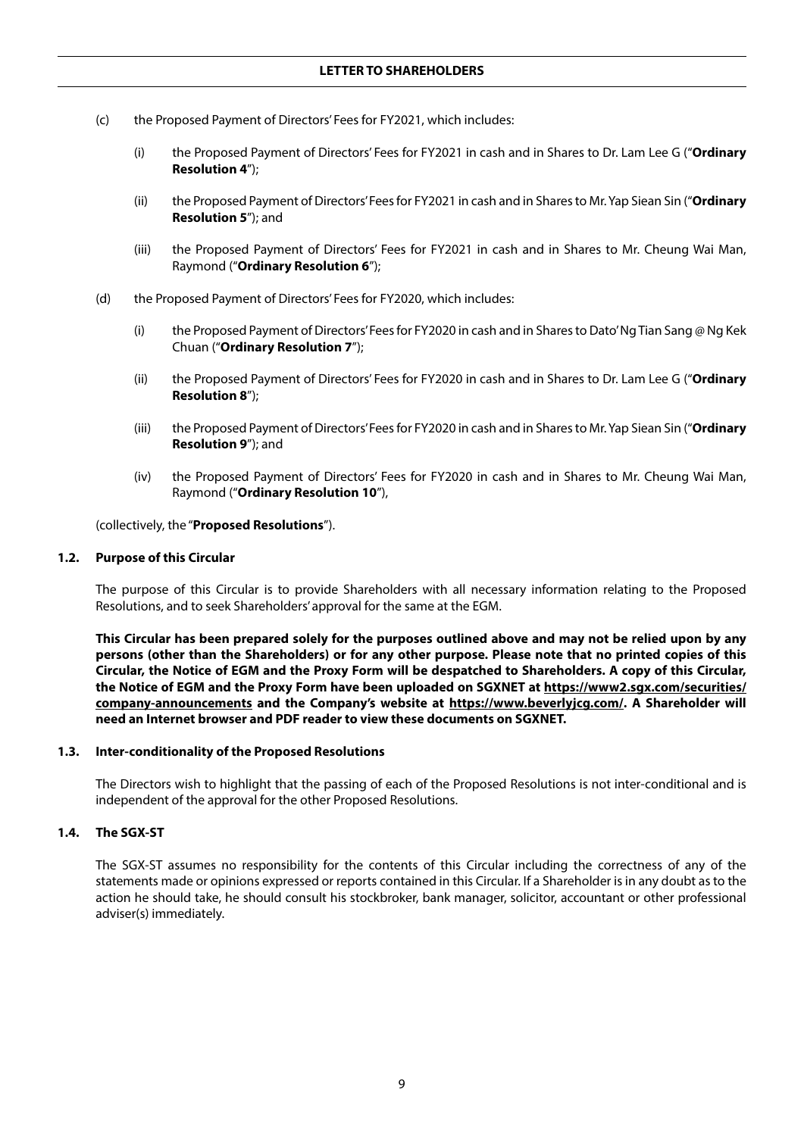- (c) the Proposed Payment of Directors' Fees for FY2021, which includes:
	- (i) the Proposed Payment of Directors' Fees for FY2021 in cash and in Shares to Dr. Lam Lee G ("**Ordinary Resolution 4**");
	- (ii) the Proposed Payment of Directors' Fees for FY2021 in cash and in Shares to Mr. Yap Siean Sin ("**Ordinary Resolution 5**"); and
	- (iii) the Proposed Payment of Directors' Fees for FY2021 in cash and in Shares to Mr. Cheung Wai Man, Raymond ("**Ordinary Resolution 6**");
- (d) the Proposed Payment of Directors' Fees for FY2020, which includes:
	- (i) the Proposed Payment of Directors' Fees for FY2020 in cash and in Shares to Dato' Ng Tian Sang @ Ng Kek Chuan ("**Ordinary Resolution 7**");
	- (ii) the Proposed Payment of Directors' Fees for FY2020 in cash and in Shares to Dr. Lam Lee G ("**Ordinary Resolution 8**");
	- (iii) the Proposed Payment of Directors' Fees for FY2020 in cash and in Shares to Mr. Yap Siean Sin ("**Ordinary Resolution 9**"); and
	- (iv) the Proposed Payment of Directors' Fees for FY2020 in cash and in Shares to Mr. Cheung Wai Man, Raymond ("**Ordinary Resolution 10**"),

(collectively, the "**Proposed Resolutions**").

#### **1.2. Purpose of this Circular**

The purpose of this Circular is to provide Shareholders with all necessary information relating to the Proposed Resolutions, and to seek Shareholders' approval for the same at the EGM.

**This Circular has been prepared solely for the purposes outlined above and may not be relied upon by any persons (other than the Shareholders) or for any other purpose. Please note that no printed copies of this Circular, the Notice of EGM and the Proxy Form will be despatched to Shareholders. A copy of this Circular, the Notice of EGM and the Proxy Form have been uploaded on SGXNET at https://www2.sgx.com/securities/ company-announcements and the Company's website at https://www.beverlyjcg.com/. A Shareholder will need an Internet browser and PDF reader to view these documents on SGXNET.**

#### **1.3. Inter-conditionality of the Proposed Resolutions**

The Directors wish to highlight that the passing of each of the Proposed Resolutions is not inter-conditional and is independent of the approval for the other Proposed Resolutions.

## **1.4. The SGX-ST**

The SGX-ST assumes no responsibility for the contents of this Circular including the correctness of any of the statements made or opinions expressed or reports contained in this Circular. If a Shareholder is in any doubt as to the action he should take, he should consult his stockbroker, bank manager, solicitor, accountant or other professional adviser(s) immediately.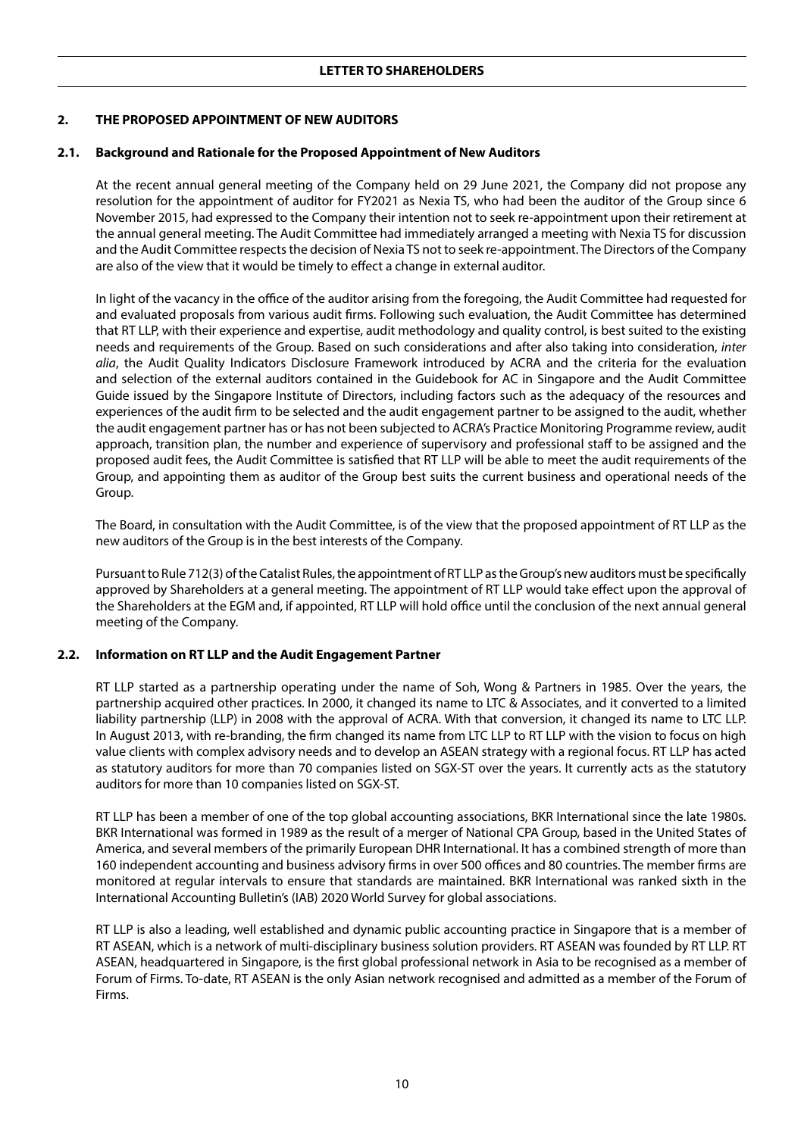## **2. THE PROPOSED APPOINTMENT OF NEW AUDITORS**

#### **2.1. Background and Rationale for the Proposed Appointment of New Auditors**

At the recent annual general meeting of the Company held on 29 June 2021, the Company did not propose any resolution for the appointment of auditor for FY2021 as Nexia TS, who had been the auditor of the Group since 6 November 2015, had expressed to the Company their intention not to seek re-appointment upon their retirement at the annual general meeting. The Audit Committee had immediately arranged a meeting with Nexia TS for discussion and the Audit Committee respects the decision of Nexia TS not to seek re-appointment. The Directors of the Company are also of the view that it would be timely to effect a change in external auditor.

In light of the vacancy in the office of the auditor arising from the foregoing, the Audit Committee had requested for and evaluated proposals from various audit firms. Following such evaluation, the Audit Committee has determined that RT LLP, with their experience and expertise, audit methodology and quality control, is best suited to the existing needs and requirements of the Group. Based on such considerations and after also taking into consideration, *inter alia*, the Audit Quality Indicators Disclosure Framework introduced by ACRA and the criteria for the evaluation and selection of the external auditors contained in the Guidebook for AC in Singapore and the Audit Committee Guide issued by the Singapore Institute of Directors, including factors such as the adequacy of the resources and experiences of the audit firm to be selected and the audit engagement partner to be assigned to the audit, whether the audit engagement partner has or has not been subjected to ACRA's Practice Monitoring Programme review, audit approach, transition plan, the number and experience of supervisory and professional staff to be assigned and the proposed audit fees, the Audit Committee is satisfied that RT LLP will be able to meet the audit requirements of the Group, and appointing them as auditor of the Group best suits the current business and operational needs of the Group.

The Board, in consultation with the Audit Committee, is of the view that the proposed appointment of RT LLP as the new auditors of the Group is in the best interests of the Company.

Pursuant to Rule 712(3) of the Catalist Rules, the appointment of RT LLP as the Group's new auditors must be specifically approved by Shareholders at a general meeting. The appointment of RT LLP would take effect upon the approval of the Shareholders at the EGM and, if appointed, RT LLP will hold office until the conclusion of the next annual general meeting of the Company.

#### **2.2. Information on RT LLP and the Audit Engagement Partner**

RT LLP started as a partnership operating under the name of Soh, Wong & Partners in 1985. Over the years, the partnership acquired other practices. In 2000, it changed its name to LTC & Associates, and it converted to a limited liability partnership (LLP) in 2008 with the approval of ACRA. With that conversion, it changed its name to LTC LLP. In August 2013, with re-branding, the firm changed its name from LTC LLP to RT LLP with the vision to focus on high value clients with complex advisory needs and to develop an ASEAN strategy with a regional focus. RT LLP has acted as statutory auditors for more than 70 companies listed on SGX-ST over the years. It currently acts as the statutory auditors for more than 10 companies listed on SGX-ST.

RT LLP has been a member of one of the top global accounting associations, BKR International since the late 1980s. BKR International was formed in 1989 as the result of a merger of National CPA Group, based in the United States of America, and several members of the primarily European DHR International. It has a combined strength of more than 160 independent accounting and business advisory firms in over 500 offices and 80 countries. The member firms are monitored at regular intervals to ensure that standards are maintained. BKR International was ranked sixth in the International Accounting Bulletin's (IAB) 2020 World Survey for global associations.

RT LLP is also a leading, well established and dynamic public accounting practice in Singapore that is a member of RT ASEAN, which is a network of multi-disciplinary business solution providers. RT ASEAN was founded by RT LLP. RT ASEAN, headquartered in Singapore, is the first global professional network in Asia to be recognised as a member of Forum of Firms. To-date, RT ASEAN is the only Asian network recognised and admitted as a member of the Forum of Firms.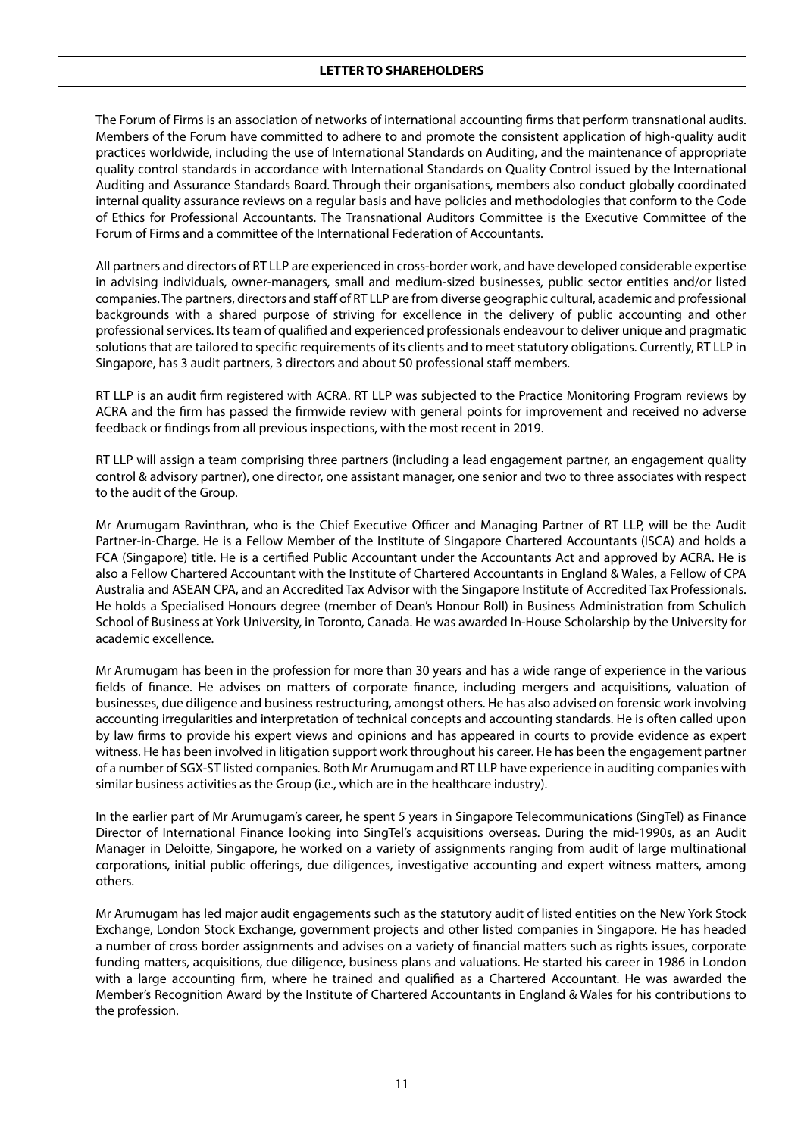The Forum of Firms is an association of networks of international accounting firms that perform transnational audits. Members of the Forum have committed to adhere to and promote the consistent application of high-quality audit practices worldwide, including the use of International Standards on Auditing, and the maintenance of appropriate quality control standards in accordance with International Standards on Quality Control issued by the International Auditing and Assurance Standards Board. Through their organisations, members also conduct globally coordinated internal quality assurance reviews on a regular basis and have policies and methodologies that conform to the Code of Ethics for Professional Accountants. The Transnational Auditors Committee is the Executive Committee of the Forum of Firms and a committee of the International Federation of Accountants.

All partners and directors of RT LLP are experienced in cross-border work, and have developed considerable expertise in advising individuals, owner-managers, small and medium-sized businesses, public sector entities and/or listed companies. The partners, directors and staff of RT LLP are from diverse geographic cultural, academic and professional backgrounds with a shared purpose of striving for excellence in the delivery of public accounting and other professional services. Its team of qualified and experienced professionals endeavour to deliver unique and pragmatic solutions that are tailored to specific requirements of its clients and to meet statutory obligations. Currently, RT LLP in Singapore, has 3 audit partners, 3 directors and about 50 professional staff members.

RT LLP is an audit firm registered with ACRA. RT LLP was subjected to the Practice Monitoring Program reviews by ACRA and the firm has passed the firmwide review with general points for improvement and received no adverse feedback or findings from all previous inspections, with the most recent in 2019.

RT LLP will assign a team comprising three partners (including a lead engagement partner, an engagement quality control & advisory partner), one director, one assistant manager, one senior and two to three associates with respect to the audit of the Group.

Mr Arumugam Ravinthran, who is the Chief Executive Officer and Managing Partner of RT LLP, will be the Audit Partner-in-Charge. He is a Fellow Member of the Institute of Singapore Chartered Accountants (ISCA) and holds a FCA (Singapore) title. He is a certified Public Accountant under the Accountants Act and approved by ACRA. He is also a Fellow Chartered Accountant with the Institute of Chartered Accountants in England & Wales, a Fellow of CPA Australia and ASEAN CPA, and an Accredited Tax Advisor with the Singapore Institute of Accredited Tax Professionals. He holds a Specialised Honours degree (member of Dean's Honour Roll) in Business Administration from Schulich School of Business at York University, in Toronto, Canada. He was awarded In-House Scholarship by the University for academic excellence.

Mr Arumugam has been in the profession for more than 30 years and has a wide range of experience in the various fields of finance. He advises on matters of corporate finance, including mergers and acquisitions, valuation of businesses, due diligence and business restructuring, amongst others. He has also advised on forensic work involving accounting irregularities and interpretation of technical concepts and accounting standards. He is often called upon by law firms to provide his expert views and opinions and has appeared in courts to provide evidence as expert witness. He has been involved in litigation support work throughout his career. He has been the engagement partner of a number of SGX-ST listed companies. Both Mr Arumugam and RT LLP have experience in auditing companies with similar business activities as the Group (i.e., which are in the healthcare industry).

In the earlier part of Mr Arumugam's career, he spent 5 years in Singapore Telecommunications (SingTel) as Finance Director of International Finance looking into SingTel's acquisitions overseas. During the mid-1990s, as an Audit Manager in Deloitte, Singapore, he worked on a variety of assignments ranging from audit of large multinational corporations, initial public offerings, due diligences, investigative accounting and expert witness matters, among others.

Mr Arumugam has led major audit engagements such as the statutory audit of listed entities on the New York Stock Exchange, London Stock Exchange, government projects and other listed companies in Singapore. He has headed a number of cross border assignments and advises on a variety of financial matters such as rights issues, corporate funding matters, acquisitions, due diligence, business plans and valuations. He started his career in 1986 in London with a large accounting firm, where he trained and qualified as a Chartered Accountant. He was awarded the Member's Recognition Award by the Institute of Chartered Accountants in England & Wales for his contributions to the profession.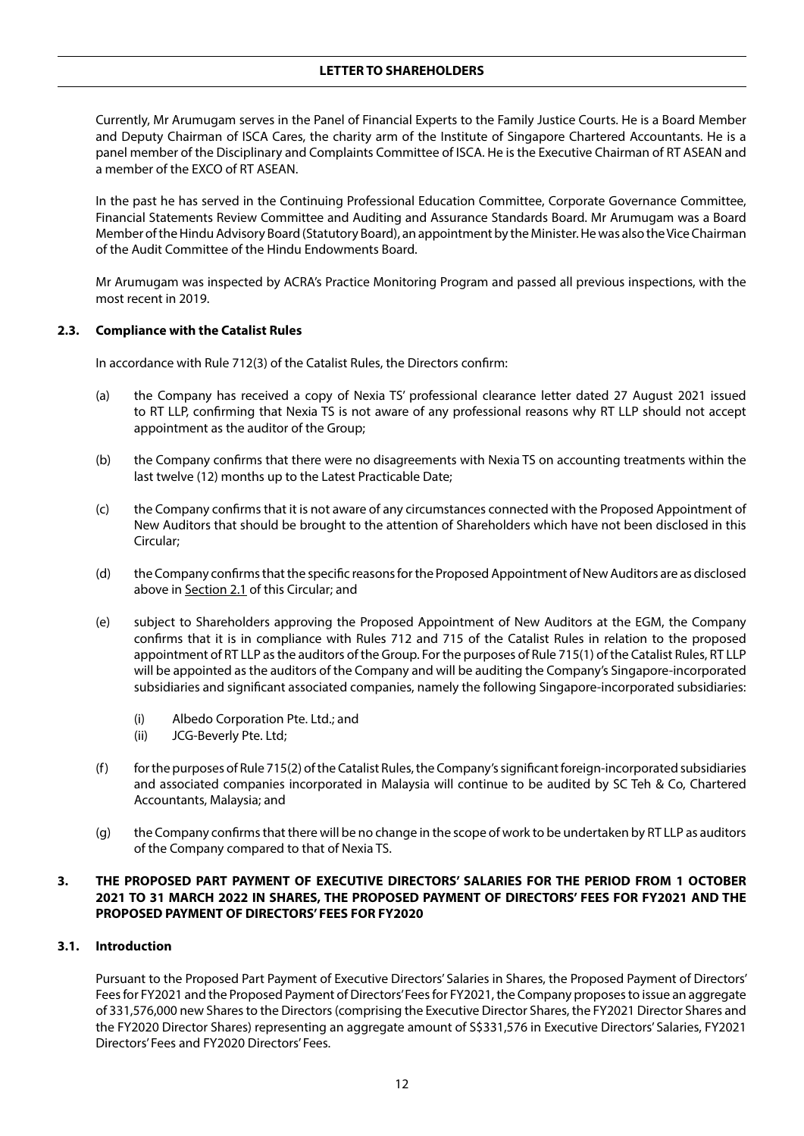Currently, Mr Arumugam serves in the Panel of Financial Experts to the Family Justice Courts. He is a Board Member and Deputy Chairman of ISCA Cares, the charity arm of the Institute of Singapore Chartered Accountants. He is a panel member of the Disciplinary and Complaints Committee of ISCA. He is the Executive Chairman of RT ASEAN and a member of the EXCO of RT ASEAN.

In the past he has served in the Continuing Professional Education Committee, Corporate Governance Committee, Financial Statements Review Committee and Auditing and Assurance Standards Board. Mr Arumugam was a Board Member of the Hindu Advisory Board (Statutory Board), an appointment by the Minister. He was also the Vice Chairman of the Audit Committee of the Hindu Endowments Board.

Mr Arumugam was inspected by ACRA's Practice Monitoring Program and passed all previous inspections, with the most recent in 2019.

## **2.3. Compliance with the Catalist Rules**

In accordance with Rule 712(3) of the Catalist Rules, the Directors confirm:

- (a) the Company has received a copy of Nexia TS' professional clearance letter dated 27 August 2021 issued to RT LLP, confirming that Nexia TS is not aware of any professional reasons why RT LLP should not accept appointment as the auditor of the Group;
- (b) the Company confirms that there were no disagreements with Nexia TS on accounting treatments within the last twelve (12) months up to the Latest Practicable Date;
- (c) the Company confirms that it is not aware of any circumstances connected with the Proposed Appointment of New Auditors that should be brought to the attention of Shareholders which have not been disclosed in this Circular;
- (d) the Company confirms that the specific reasons for the Proposed Appointment of New Auditors are as disclosed above in Section 2.1 of this Circular; and
- (e) subject to Shareholders approving the Proposed Appointment of New Auditors at the EGM, the Company confirms that it is in compliance with Rules 712 and 715 of the Catalist Rules in relation to the proposed appointment of RT LLP as the auditors of the Group. For the purposes of Rule 715(1) of the Catalist Rules, RT LLP will be appointed as the auditors of the Company and will be auditing the Company's Singapore-incorporated subsidiaries and significant associated companies, namely the following Singapore-incorporated subsidiaries:
	- (i) Albedo Corporation Pte. Ltd.; and
	- (ii) JCG-Beverly Pte. Ltd;
- $(f)$  for the purposes of Rule 715(2) of the Catalist Rules, the Company's significant foreign-incorporated subsidiaries and associated companies incorporated in Malaysia will continue to be audited by SC Teh & Co, Chartered Accountants, Malaysia; and
- (g) the Company confirms that there will be no change in the scope of work to be undertaken by RT LLP as auditors of the Company compared to that of Nexia TS.

## **3. THE PROPOSED PART PAYMENT OF EXECUTIVE DIRECTORS' SALARIES FOR THE PERIOD FROM 1 OCTOBER 2021 TO 31 MARCH 2022 IN SHARES, THE PROPOSED PAYMENT OF DIRECTORS' FEES FOR FY2021 AND THE PROPOSED PAYMENT OF DIRECTORS' FEES FOR FY2020**

#### **3.1. Introduction**

Pursuant to the Proposed Part Payment of Executive Directors' Salaries in Shares, the Proposed Payment of Directors' Fees for FY2021 and the Proposed Payment of Directors' Fees for FY2021, the Company proposes to issue an aggregate of 331,576,000 new Shares to the Directors (comprising the Executive Director Shares, the FY2021 Director Shares and the FY2020 Director Shares) representing an aggregate amount of S\$331,576 in Executive Directors' Salaries, FY2021 Directors' Fees and FY2020 Directors' Fees.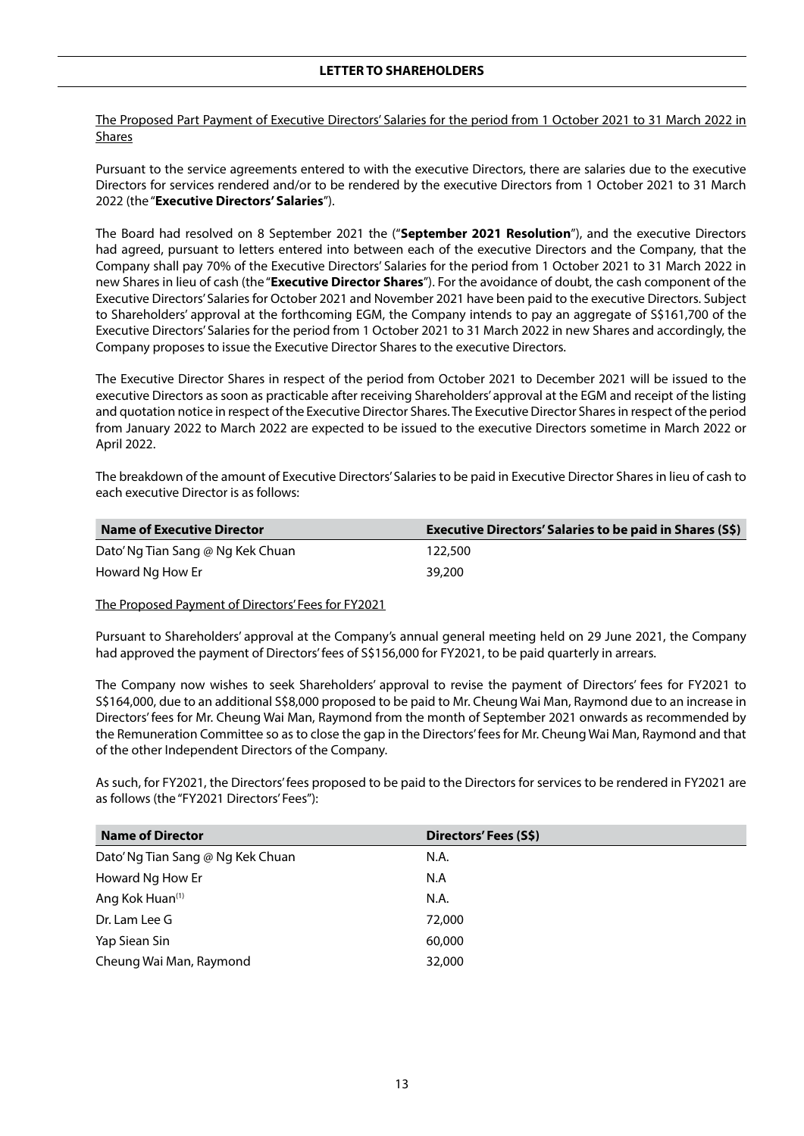The Proposed Part Payment of Executive Directors' Salaries for the period from 1 October 2021 to 31 March 2022 in Shares

Pursuant to the service agreements entered to with the executive Directors, there are salaries due to the executive Directors for services rendered and/or to be rendered by the executive Directors from 1 October 2021 to 31 March 2022 (the "**Executive Directors' Salaries**").

The Board had resolved on 8 September 2021 the ("**September 2021 Resolution**"), and the executive Directors had agreed, pursuant to letters entered into between each of the executive Directors and the Company, that the Company shall pay 70% of the Executive Directors' Salaries for the period from 1 October 2021 to 31 March 2022 in new Shares in lieu of cash (the "**Executive Director Shares**"). For the avoidance of doubt, the cash component of the Executive Directors' Salaries for October 2021 and November 2021 have been paid to the executive Directors. Subject to Shareholders' approval at the forthcoming EGM, the Company intends to pay an aggregate of S\$161,700 of the Executive Directors' Salaries for the period from 1 October 2021 to 31 March 2022 in new Shares and accordingly, the Company proposes to issue the Executive Director Shares to the executive Directors.

The Executive Director Shares in respect of the period from October 2021 to December 2021 will be issued to the executive Directors as soon as practicable after receiving Shareholders' approval at the EGM and receipt of the listing and quotation notice in respect of the Executive Director Shares. The Executive Director Shares in respect of the period from January 2022 to March 2022 are expected to be issued to the executive Directors sometime in March 2022 or April 2022.

The breakdown of the amount of Executive Directors' Salaries to be paid in Executive Director Shares in lieu of cash to each executive Director is as follows:

| <b>Name of Executive Director</b> | <b>Executive Directors' Salaries to be paid in Shares (S\$)</b> |
|-----------------------------------|-----------------------------------------------------------------|
| Dato' Ng Tian Sang @ Ng Kek Chuan | 122,500                                                         |
| Howard Ng How Er                  | 39,200                                                          |

The Proposed Payment of Directors' Fees for FY2021

Pursuant to Shareholders' approval at the Company's annual general meeting held on 29 June 2021, the Company had approved the payment of Directors' fees of S\$156,000 for FY2021, to be paid quarterly in arrears.

The Company now wishes to seek Shareholders' approval to revise the payment of Directors' fees for FY2021 to S\$164,000, due to an additional S\$8,000 proposed to be paid to Mr. Cheung Wai Man, Raymond due to an increase in Directors' fees for Mr. Cheung Wai Man, Raymond from the month of September 2021 onwards as recommended by the Remuneration Committee so as to close the gap in the Directors' fees for Mr. Cheung Wai Man, Raymond and that of the other Independent Directors of the Company.

As such, for FY2021, the Directors' fees proposed to be paid to the Directors for services to be rendered in FY2021 are as follows (the "FY2021 Directors' Fees"):

| <b>Name of Director</b>           | Directors' Fees (S\$) |
|-----------------------------------|-----------------------|
| Dato' Ng Tian Sang @ Ng Kek Chuan | N.A.                  |
| Howard Ng How Er                  | N.A                   |
| Ang Kok Huan <sup>(1)</sup>       | N.A.                  |
| Dr. Lam Lee G                     | 72,000                |
| Yap Siean Sin                     | 60,000                |
| Cheung Wai Man, Raymond           | 32,000                |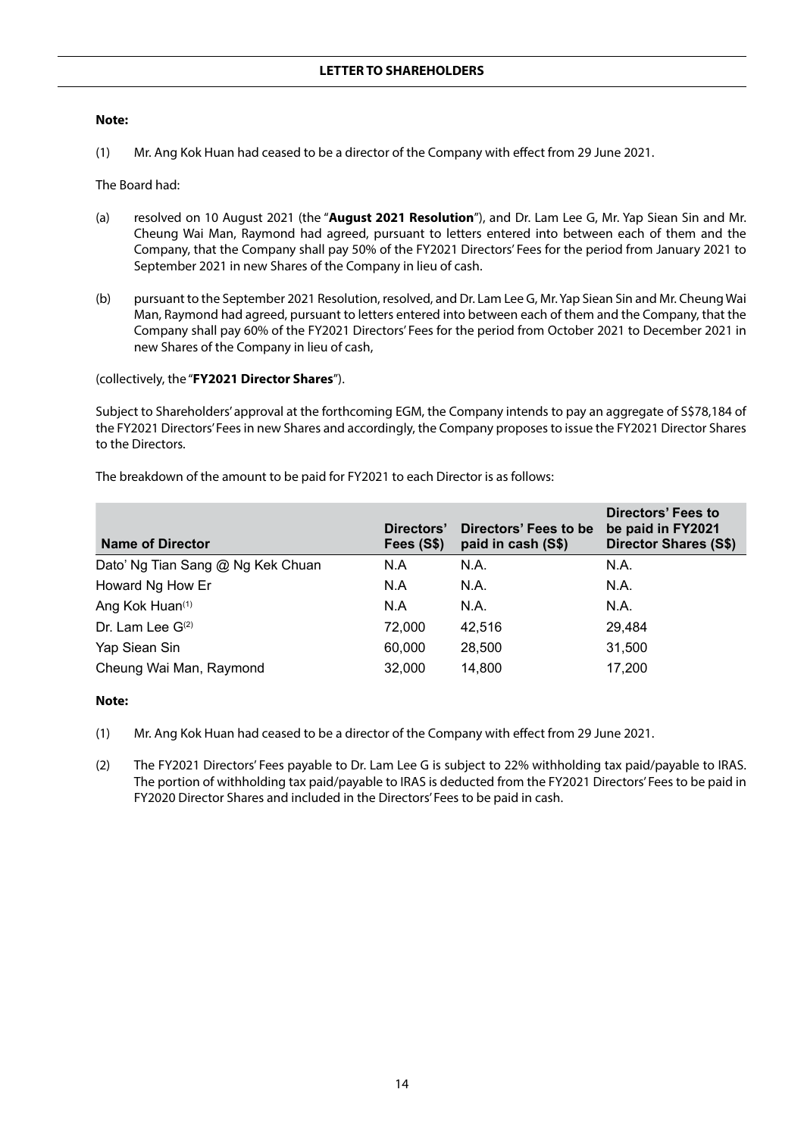#### **Note:**

(1) Mr. Ang Kok Huan had ceased to be a director of the Company with effect from 29 June 2021.

The Board had:

- (a) resolved on 10 August 2021 (the "**August 2021 Resolution**"), and Dr. Lam Lee G, Mr. Yap Siean Sin and Mr. Cheung Wai Man, Raymond had agreed, pursuant to letters entered into between each of them and the Company, that the Company shall pay 50% of the FY2021 Directors' Fees for the period from January 2021 to September 2021 in new Shares of the Company in lieu of cash.
- (b) pursuant to the September 2021 Resolution, resolved, and Dr. Lam Lee G, Mr. Yap Siean Sin and Mr. Cheung Wai Man, Raymond had agreed, pursuant to letters entered into between each of them and the Company, that the Company shall pay 60% of the FY2021 Directors' Fees for the period from October 2021 to December 2021 in new Shares of the Company in lieu of cash,

(collectively, the "**FY2021 Director Shares**").

Subject to Shareholders' approval at the forthcoming EGM, the Company intends to pay an aggregate of S\$78,184 of the FY2021 Directors' Fees in new Shares and accordingly, the Company proposes to issue the FY2021 Director Shares to the Directors.

| <b>Name of Director</b>           | Directors'<br>Fees (S\$) | Directors' Fees to be<br>paid in cash (S\$) | Directors' Fees to<br>be paid in FY2021<br><b>Director Shares (S\$)</b> |
|-----------------------------------|--------------------------|---------------------------------------------|-------------------------------------------------------------------------|
| Dato' Ng Tian Sang @ Ng Kek Chuan | N.A                      | N.A.                                        | N.A.                                                                    |
| Howard Ng How Er                  | N.A                      | N.A.                                        | N.A.                                                                    |
| Ang Kok Huan <sup>(1)</sup>       | N.A                      | N.A.                                        | N.A.                                                                    |
| Dr. Lam Lee G(2)                  | 72.000                   | 42,516                                      | 29.484                                                                  |
| Yap Siean Sin                     | 60,000                   | 28,500                                      | 31,500                                                                  |
| Cheung Wai Man, Raymond           | 32,000                   | 14,800                                      | 17,200                                                                  |

The breakdown of the amount to be paid for FY2021 to each Director is as follows:

#### **Note:**

- (1) Mr. Ang Kok Huan had ceased to be a director of the Company with effect from 29 June 2021.
- (2) The FY2021 Directors' Fees payable to Dr. Lam Lee G is subject to 22% withholding tax paid/payable to IRAS. The portion of withholding tax paid/payable to IRAS is deducted from the FY2021 Directors' Fees to be paid in FY2020 Director Shares and included in the Directors' Fees to be paid in cash.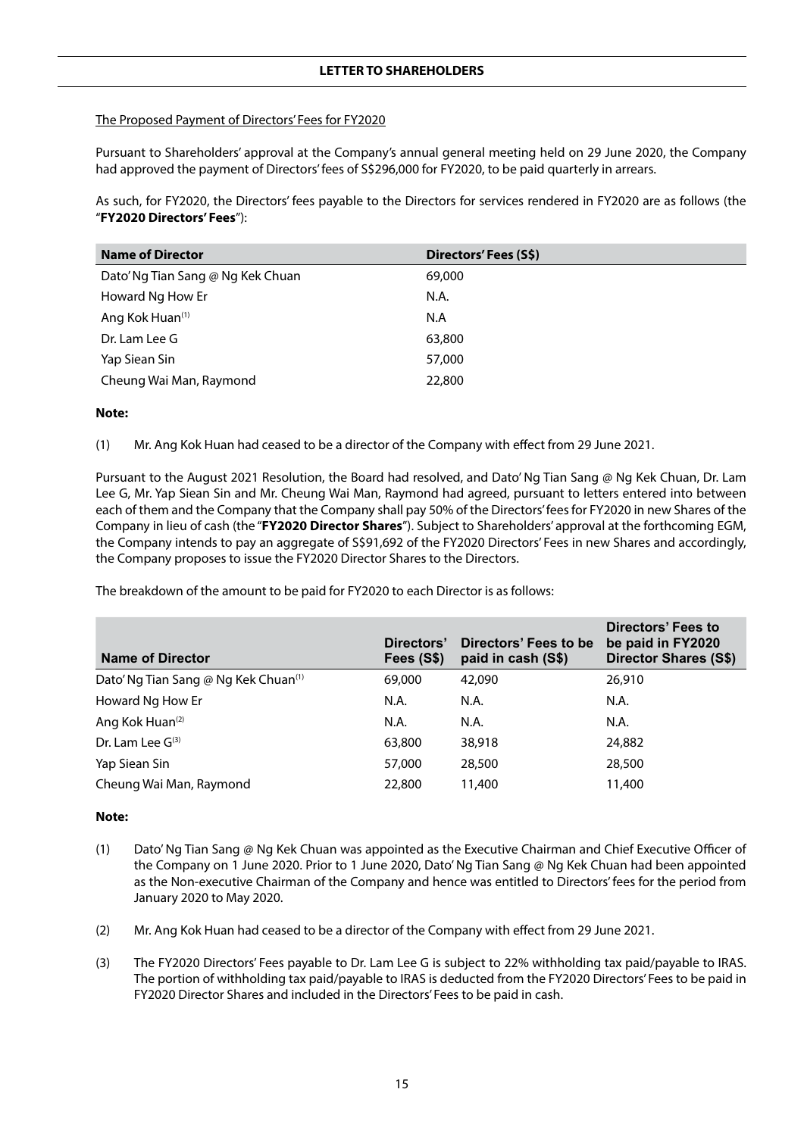## The Proposed Payment of Directors' Fees for FY2020

Pursuant to Shareholders' approval at the Company's annual general meeting held on 29 June 2020, the Company had approved the payment of Directors' fees of S\$296,000 for FY2020, to be paid quarterly in arrears.

As such, for FY2020, the Directors' fees payable to the Directors for services rendered in FY2020 are as follows (the "**FY2020 Directors' Fees**"):

| <b>Name of Director</b>           | Directors' Fees (S\$) |
|-----------------------------------|-----------------------|
| Dato' Ng Tian Sang @ Ng Kek Chuan | 69,000                |
| Howard Ng How Er                  | N.A.                  |
| Ang Kok Huan <sup>(1)</sup>       | N.A                   |
| Dr. Lam Lee G                     | 63,800                |
| Yap Siean Sin                     | 57,000                |
| Cheung Wai Man, Raymond           | 22,800                |
|                                   |                       |

## **Note:**

(1) Mr. Ang Kok Huan had ceased to be a director of the Company with effect from 29 June 2021.

Pursuant to the August 2021 Resolution, the Board had resolved, and Dato' Ng Tian Sang @ Ng Kek Chuan, Dr. Lam Lee G, Mr. Yap Siean Sin and Mr. Cheung Wai Man, Raymond had agreed, pursuant to letters entered into between each of them and the Company that the Company shall pay 50% of the Directors' fees for FY2020 in new Shares of the Company in lieu of cash (the "**FY2020 Director Shares**"). Subject to Shareholders' approval at the forthcoming EGM, the Company intends to pay an aggregate of S\$91,692 of the FY2020 Directors' Fees in new Shares and accordingly, the Company proposes to issue the FY2020 Director Shares to the Directors.

**Name of Director Directors' Fees (S\$) Directors' Fees to be paid in cash (S\$) Directors' Fees to be paid in FY2020 Director Shares (S\$)** Dato' Ng Tian Sang @ Ng Kek Chuan<sup>(1)</sup> 69,000 42,090 42,090 26,910 Howard Ng How Er N.A. N.A. N.A. N.A. N.A. N.A. N.A. Ang Kok Huan(2) N.A. N.A. N.A.  $\rm Dr.$  Lam Lee G<sup>(3)</sup>  $\rm 63.800$   $\rm 38.918$   $\rm 24.882$ Yap Siean Sin 57,000 28,500 28,500 Cheung Wai Man, Raymond 22,800 11,400 11,400

The breakdown of the amount to be paid for FY2020 to each Director is as follows:

#### **Note:**

- (1) Dato' Ng Tian Sang @ Ng Kek Chuan was appointed as the Executive Chairman and Chief Executive Officer of the Company on 1 June 2020. Prior to 1 June 2020, Dato' Ng Tian Sang @ Ng Kek Chuan had been appointed as the Non-executive Chairman of the Company and hence was entitled to Directors' fees for the period from January 2020 to May 2020.
- (2) Mr. Ang Kok Huan had ceased to be a director of the Company with effect from 29 June 2021.
- (3) The FY2020 Directors' Fees payable to Dr. Lam Lee G is subject to 22% withholding tax paid/payable to IRAS. The portion of withholding tax paid/payable to IRAS is deducted from the FY2020 Directors' Fees to be paid in FY2020 Director Shares and included in the Directors' Fees to be paid in cash.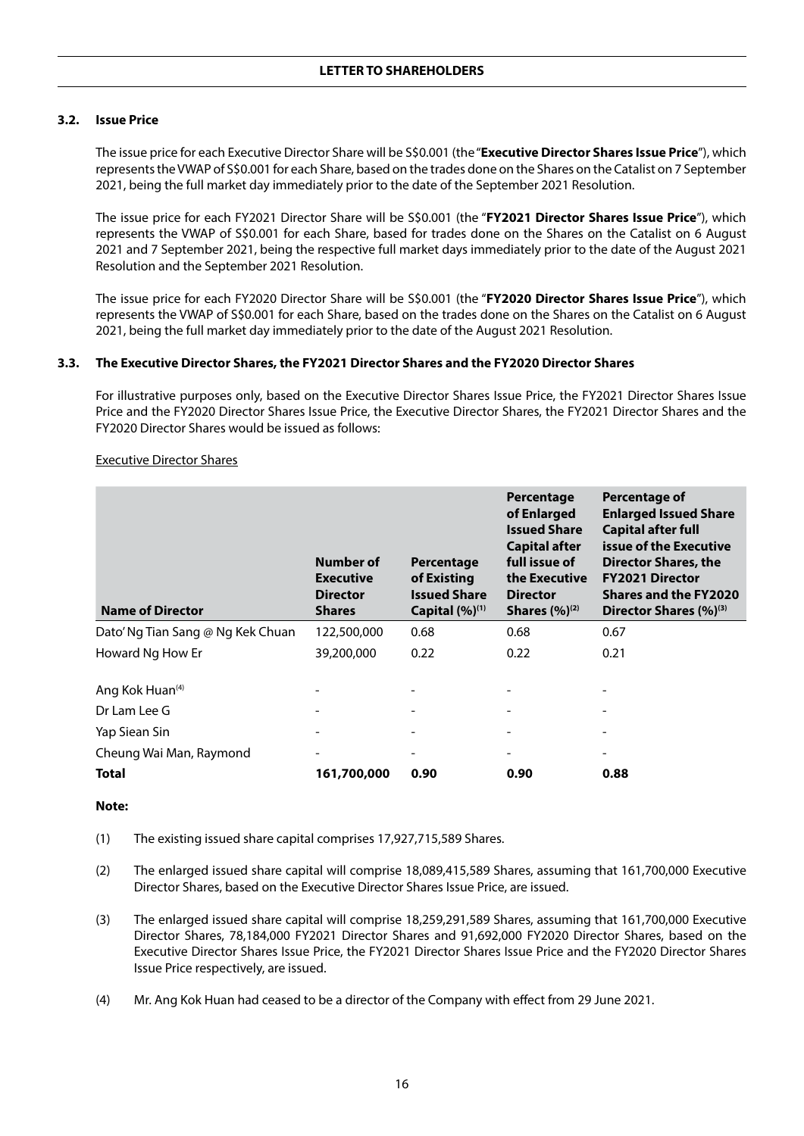## **3.2. Issue Price**

The issue price for each Executive Director Share will be S\$0.001 (the "**Executive Director Shares Issue Price**"), which represents the VWAP of S\$0.001 for each Share, based on the trades done on the Shares on the Catalist on 7 September 2021, being the full market day immediately prior to the date of the September 2021 Resolution.

The issue price for each FY2021 Director Share will be S\$0.001 (the "**FY2021 Director Shares Issue Price**"), which represents the VWAP of S\$0.001 for each Share, based for trades done on the Shares on the Catalist on 6 August 2021 and 7 September 2021, being the respective full market days immediately prior to the date of the August 2021 Resolution and the September 2021 Resolution.

The issue price for each FY2020 Director Share will be S\$0.001 (the "**FY2020 Director Shares Issue Price**"), which represents the VWAP of S\$0.001 for each Share, based on the trades done on the Shares on the Catalist on 6 August 2021, being the full market day immediately prior to the date of the August 2021 Resolution.

#### **3.3. The Executive Director Shares, the FY2021 Director Shares and the FY2020 Director Shares**

For illustrative purposes only, based on the Executive Director Shares Issue Price, the FY2021 Director Shares Issue Price and the FY2020 Director Shares Issue Price, the Executive Director Shares, the FY2021 Director Shares and the FY2020 Director Shares would be issued as follows:

| <b>Name of Director</b>           | Number of<br><b>Executive</b><br><b>Director</b><br><b>Shares</b> | Percentage<br>of Existing<br><b>Issued Share</b><br>Capital $(%)^{(1)}$ | Percentage<br>of Enlarged<br><b>Issued Share</b><br><b>Capital after</b><br>full issue of<br>the Executive<br><b>Director</b><br><b>Shares</b> $(\%)^{(2)}$ | Percentage of<br><b>Enlarged Issued Share</b><br><b>Capital after full</b><br>issue of the Executive<br>Director Shares, the<br><b>FY2021 Director</b><br><b>Shares and the FY2020</b><br>Director Shares (%) <sup>(3)</sup> |
|-----------------------------------|-------------------------------------------------------------------|-------------------------------------------------------------------------|-------------------------------------------------------------------------------------------------------------------------------------------------------------|------------------------------------------------------------------------------------------------------------------------------------------------------------------------------------------------------------------------------|
| Dato' Ng Tian Sang @ Ng Kek Chuan | 122,500,000                                                       | 0.68                                                                    | 0.68                                                                                                                                                        | 0.67                                                                                                                                                                                                                         |
| Howard Ng How Er                  | 39,200,000                                                        | 0.22                                                                    | 0.22                                                                                                                                                        | 0.21                                                                                                                                                                                                                         |
| Ang Kok Huan <sup>(4)</sup>       |                                                                   |                                                                         |                                                                                                                                                             |                                                                                                                                                                                                                              |
| Dr Lam Lee G                      |                                                                   |                                                                         |                                                                                                                                                             |                                                                                                                                                                                                                              |
| Yap Siean Sin                     |                                                                   |                                                                         |                                                                                                                                                             |                                                                                                                                                                                                                              |
| Cheung Wai Man, Raymond           |                                                                   |                                                                         |                                                                                                                                                             |                                                                                                                                                                                                                              |
| Total                             | 161,700,000                                                       | 0.90                                                                    | 0.90                                                                                                                                                        | 0.88                                                                                                                                                                                                                         |

#### Executive Director Shares

#### **Note:**

(1) The existing issued share capital comprises 17,927,715,589 Shares.

- (2) The enlarged issued share capital will comprise 18,089,415,589 Shares, assuming that 161,700,000 Executive Director Shares, based on the Executive Director Shares Issue Price, are issued.
- (3) The enlarged issued share capital will comprise 18,259,291,589 Shares, assuming that 161,700,000 Executive Director Shares, 78,184,000 FY2021 Director Shares and 91,692,000 FY2020 Director Shares, based on the Executive Director Shares Issue Price, the FY2021 Director Shares Issue Price and the FY2020 Director Shares Issue Price respectively, are issued.
- (4) Mr. Ang Kok Huan had ceased to be a director of the Company with effect from 29 June 2021.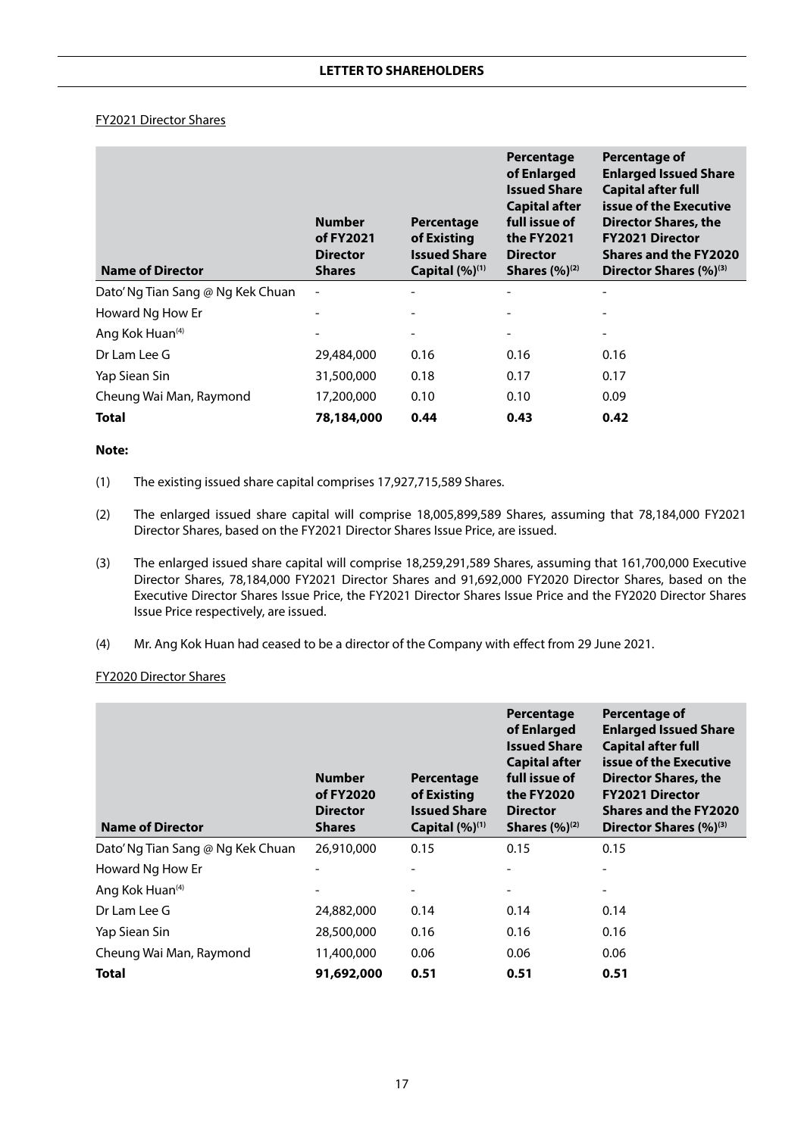## FY2021 Director Shares

| <b>Name of Director</b>           | <b>Number</b><br>of FY2021<br><b>Director</b><br><b>Shares</b> | Percentage<br>of Existing<br><b>Issued Share</b><br>Capital (%) <sup>(1)</sup> | Percentage<br>of Enlarged<br><b>Issued Share</b><br><b>Capital after</b><br>full issue of<br>the FY2021<br><b>Director</b><br><b>Shares</b> $(%)^{(2)}$ | Percentage of<br><b>Enlarged Issued Share</b><br><b>Capital after full</b><br>issue of the Executive<br>Director Shares, the<br><b>FY2021 Director</b><br><b>Shares and the FY2020</b><br>Director Shares (%) <sup>(3)</sup> |
|-----------------------------------|----------------------------------------------------------------|--------------------------------------------------------------------------------|---------------------------------------------------------------------------------------------------------------------------------------------------------|------------------------------------------------------------------------------------------------------------------------------------------------------------------------------------------------------------------------------|
| Dato' Ng Tian Sang @ Ng Kek Chuan |                                                                |                                                                                |                                                                                                                                                         |                                                                                                                                                                                                                              |
| Howard Ng How Er                  |                                                                |                                                                                |                                                                                                                                                         |                                                                                                                                                                                                                              |
| Ang Kok Huan <sup>(4)</sup>       |                                                                | $\overline{\phantom{a}}$                                                       | $\overline{\phantom{a}}$                                                                                                                                | $\overline{\phantom{a}}$                                                                                                                                                                                                     |
| Dr Lam Lee G                      | 29,484,000                                                     | 0.16                                                                           | 0.16                                                                                                                                                    | 0.16                                                                                                                                                                                                                         |
| Yap Siean Sin                     | 31,500,000                                                     | 0.18                                                                           | 0.17                                                                                                                                                    | 0.17                                                                                                                                                                                                                         |
| Cheung Wai Man, Raymond           | 17,200,000                                                     | 0.10                                                                           | 0.10                                                                                                                                                    | 0.09                                                                                                                                                                                                                         |
| Total                             | 78,184,000                                                     | 0.44                                                                           | 0.43                                                                                                                                                    | 0.42                                                                                                                                                                                                                         |

## **Note:**

- (1) The existing issued share capital comprises 17,927,715,589 Shares.
- (2) The enlarged issued share capital will comprise 18,005,899,589 Shares, assuming that 78,184,000 FY2021 Director Shares, based on the FY2021 Director Shares Issue Price, are issued.
- (3) The enlarged issued share capital will comprise 18,259,291,589 Shares, assuming that 161,700,000 Executive Director Shares, 78,184,000 FY2021 Director Shares and 91,692,000 FY2020 Director Shares, based on the Executive Director Shares Issue Price, the FY2021 Director Shares Issue Price and the FY2020 Director Shares Issue Price respectively, are issued.
- (4) Mr. Ang Kok Huan had ceased to be a director of the Company with effect from 29 June 2021.

## FY2020 Director Shares

| <b>Name of Director</b>           | <b>Number</b><br>of FY2020<br><b>Director</b><br><b>Shares</b> | Percentage<br>of Existing<br><b>Issued Share</b><br>Capital $(%)^{(1)}$ | Percentage<br>of Enlarged<br><b>Issued Share</b><br><b>Capital after</b><br>full issue of<br>the FY2020<br><b>Director</b><br><b>Shares</b> $(%)^{(2)}$ | Percentage of<br><b>Enlarged Issued Share</b><br><b>Capital after full</b><br>issue of the Executive<br><b>Director Shares, the</b><br><b>FY2021 Director</b><br>Shares and the FY2020<br>Director Shares (%) <sup>(3)</sup> |
|-----------------------------------|----------------------------------------------------------------|-------------------------------------------------------------------------|---------------------------------------------------------------------------------------------------------------------------------------------------------|------------------------------------------------------------------------------------------------------------------------------------------------------------------------------------------------------------------------------|
| Dato' Ng Tian Sang @ Ng Kek Chuan | 26,910,000                                                     | 0.15                                                                    | 0.15                                                                                                                                                    | 0.15                                                                                                                                                                                                                         |
| Howard Ng How Er                  |                                                                |                                                                         |                                                                                                                                                         |                                                                                                                                                                                                                              |
| Ang Kok Huan <sup>(4)</sup>       |                                                                |                                                                         |                                                                                                                                                         |                                                                                                                                                                                                                              |
| Dr Lam Lee G                      | 24,882,000                                                     | 0.14                                                                    | 0.14                                                                                                                                                    | 0.14                                                                                                                                                                                                                         |
| Yap Siean Sin                     | 28,500,000                                                     | 0.16                                                                    | 0.16                                                                                                                                                    | 0.16                                                                                                                                                                                                                         |
| Cheung Wai Man, Raymond           | 11,400,000                                                     | 0.06                                                                    | 0.06                                                                                                                                                    | 0.06                                                                                                                                                                                                                         |
| <b>Total</b>                      | 91,692,000                                                     | 0.51                                                                    | 0.51                                                                                                                                                    | 0.51                                                                                                                                                                                                                         |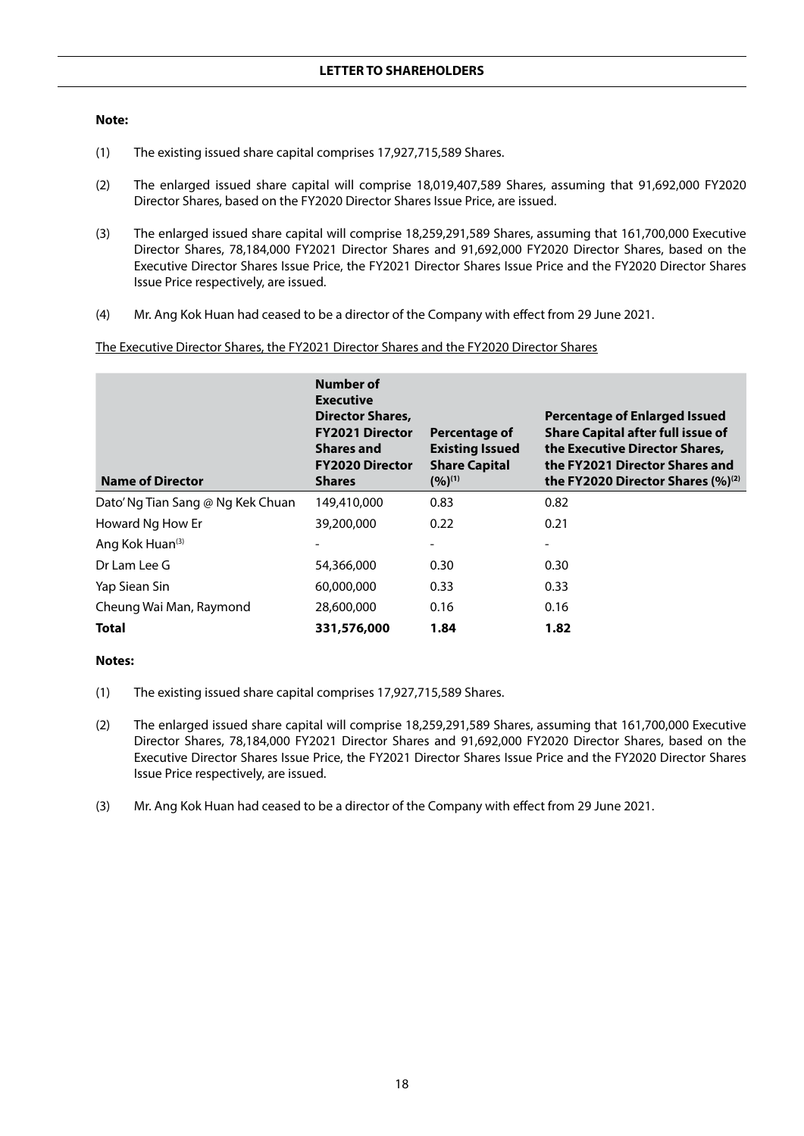#### **Note:**

- (1) The existing issued share capital comprises 17,927,715,589 Shares.
- (2) The enlarged issued share capital will comprise 18,019,407,589 Shares, assuming that 91,692,000 FY2020 Director Shares, based on the FY2020 Director Shares Issue Price, are issued.
- (3) The enlarged issued share capital will comprise 18,259,291,589 Shares, assuming that 161,700,000 Executive Director Shares, 78,184,000 FY2021 Director Shares and 91,692,000 FY2020 Director Shares, based on the Executive Director Shares Issue Price, the FY2021 Director Shares Issue Price and the FY2020 Director Shares Issue Price respectively, are issued.
- (4) Mr. Ang Kok Huan had ceased to be a director of the Company with effect from 29 June 2021.

The Executive Director Shares, the FY2021 Director Shares and the FY2020 Director Shares

| <b>Name of Director</b>           | Number of<br><b>Executive</b><br><b>Director Shares,</b><br><b>FY2021 Director</b><br><b>Shares and</b><br><b>FY2020 Director</b><br><b>Shares</b> | Percentage of<br><b>Existing Issued</b><br><b>Share Capital</b><br>$(9/6)^{(1)}$ | <b>Percentage of Enlarged Issued</b><br><b>Share Capital after full issue of</b><br>the Executive Director Shares,<br>the FY2021 Director Shares and<br>the FY2020 Director Shares $(\%)^{(2)}$ |
|-----------------------------------|----------------------------------------------------------------------------------------------------------------------------------------------------|----------------------------------------------------------------------------------|-------------------------------------------------------------------------------------------------------------------------------------------------------------------------------------------------|
| Dato' Ng Tian Sang @ Ng Kek Chuan | 149,410,000                                                                                                                                        | 0.83                                                                             | 0.82                                                                                                                                                                                            |
| Howard Ng How Er                  | 39,200,000                                                                                                                                         | 0.22                                                                             | 0.21                                                                                                                                                                                            |
| Ang Kok Huan <sup>(3)</sup>       |                                                                                                                                                    |                                                                                  |                                                                                                                                                                                                 |
| Dr Lam Lee G                      | 54,366,000                                                                                                                                         | 0.30                                                                             | 0.30                                                                                                                                                                                            |
| Yap Siean Sin                     | 60,000,000                                                                                                                                         | 0.33                                                                             | 0.33                                                                                                                                                                                            |
| Cheung Wai Man, Raymond           | 28,600,000                                                                                                                                         | 0.16                                                                             | 0.16                                                                                                                                                                                            |
| Total                             | 331,576,000                                                                                                                                        | 1.84                                                                             | 1.82                                                                                                                                                                                            |

## **Notes:**

- (1) The existing issued share capital comprises 17,927,715,589 Shares.
- (2) The enlarged issued share capital will comprise 18,259,291,589 Shares, assuming that 161,700,000 Executive Director Shares, 78,184,000 FY2021 Director Shares and 91,692,000 FY2020 Director Shares, based on the Executive Director Shares Issue Price, the FY2021 Director Shares Issue Price and the FY2020 Director Shares Issue Price respectively, are issued.
- (3) Mr. Ang Kok Huan had ceased to be a director of the Company with effect from 29 June 2021.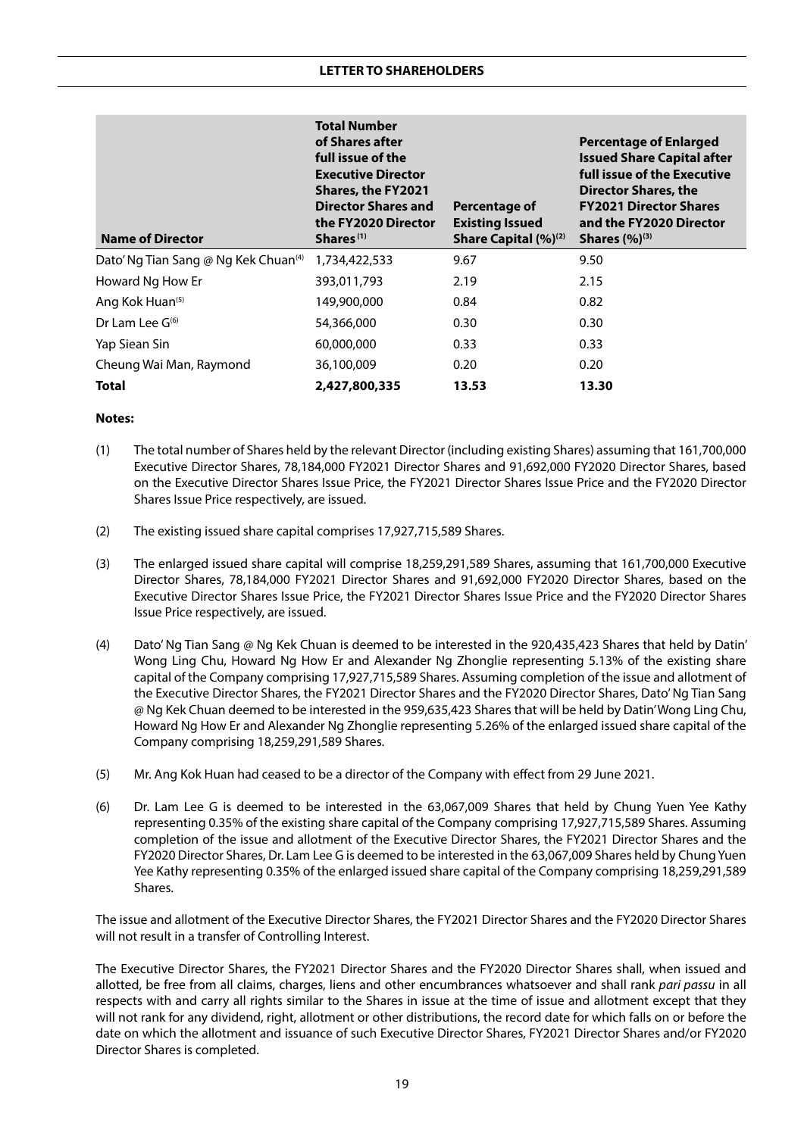| <b>Name of Director</b>                          | <b>Total Number</b><br>of Shares after<br>full issue of the<br><b>Executive Director</b><br><b>Shares, the FY2021</b><br><b>Director Shares and</b><br>the FY2020 Director<br>Shares <sup>(1)</sup> | Percentage of<br><b>Existing Issued</b><br>Share Capital (%) <sup>(2)</sup> | <b>Percentage of Enlarged</b><br><b>Issued Share Capital after</b><br>full issue of the Executive<br><b>Director Shares, the</b><br><b>FY2021 Director Shares</b><br>and the FY2020 Director<br><b>Shares</b> $(%)^{(3)}$ |
|--------------------------------------------------|-----------------------------------------------------------------------------------------------------------------------------------------------------------------------------------------------------|-----------------------------------------------------------------------------|---------------------------------------------------------------------------------------------------------------------------------------------------------------------------------------------------------------------------|
| Dato' Ng Tian Sang @ Ng Kek Chuan <sup>(4)</sup> | 1,734,422,533                                                                                                                                                                                       | 9.67                                                                        | 9.50                                                                                                                                                                                                                      |
| Howard Ng How Er                                 | 393,011,793                                                                                                                                                                                         | 2.19                                                                        | 2.15                                                                                                                                                                                                                      |
| Ang Kok Huan <sup>(5)</sup>                      | 149,900,000                                                                                                                                                                                         | 0.84                                                                        | 0.82                                                                                                                                                                                                                      |
| Dr Lam Lee $G^{(6)}$                             | 54,366,000                                                                                                                                                                                          | 0.30                                                                        | 0.30                                                                                                                                                                                                                      |
| Yap Siean Sin                                    | 60,000,000                                                                                                                                                                                          | 0.33                                                                        | 0.33                                                                                                                                                                                                                      |
| Cheung Wai Man, Raymond                          | 36,100,009                                                                                                                                                                                          | 0.20                                                                        | 0.20                                                                                                                                                                                                                      |
| Total                                            | 2,427,800,335                                                                                                                                                                                       | 13.53                                                                       | 13.30                                                                                                                                                                                                                     |

#### **Notes:**

- (1) The total number of Shares held by the relevant Director (including existing Shares) assuming that 161,700,000 Executive Director Shares, 78,184,000 FY2021 Director Shares and 91,692,000 FY2020 Director Shares, based on the Executive Director Shares Issue Price, the FY2021 Director Shares Issue Price and the FY2020 Director Shares Issue Price respectively, are issued.
- (2) The existing issued share capital comprises 17,927,715,589 Shares.
- (3) The enlarged issued share capital will comprise 18,259,291,589 Shares, assuming that 161,700,000 Executive Director Shares, 78,184,000 FY2021 Director Shares and 91,692,000 FY2020 Director Shares, based on the Executive Director Shares Issue Price, the FY2021 Director Shares Issue Price and the FY2020 Director Shares Issue Price respectively, are issued.
- (4) Dato' Ng Tian Sang @ Ng Kek Chuan is deemed to be interested in the 920,435,423 Shares that held by Datin' Wong Ling Chu, Howard Ng How Er and Alexander Ng Zhonglie representing 5.13% of the existing share capital of the Company comprising 17,927,715,589 Shares. Assuming completion of the issue and allotment of the Executive Director Shares, the FY2021 Director Shares and the FY2020 Director Shares, Dato' Ng Tian Sang @ Ng Kek Chuan deemed to be interested in the 959,635,423 Shares that will be held by Datin' Wong Ling Chu, Howard Ng How Er and Alexander Ng Zhonglie representing 5.26% of the enlarged issued share capital of the Company comprising 18,259,291,589 Shares.
- (5) Mr. Ang Kok Huan had ceased to be a director of the Company with effect from 29 June 2021.
- (6) Dr. Lam Lee G is deemed to be interested in the 63,067,009 Shares that held by Chung Yuen Yee Kathy representing 0.35% of the existing share capital of the Company comprising 17,927,715,589 Shares. Assuming completion of the issue and allotment of the Executive Director Shares, the FY2021 Director Shares and the FY2020 Director Shares, Dr. Lam Lee G is deemed to be interested in the 63,067,009 Shares held by Chung Yuen Yee Kathy representing 0.35% of the enlarged issued share capital of the Company comprising 18,259,291,589 Shares.

The issue and allotment of the Executive Director Shares, the FY2021 Director Shares and the FY2020 Director Shares will not result in a transfer of Controlling Interest.

The Executive Director Shares, the FY2021 Director Shares and the FY2020 Director Shares shall, when issued and allotted, be free from all claims, charges, liens and other encumbrances whatsoever and shall rank *pari passu* in all respects with and carry all rights similar to the Shares in issue at the time of issue and allotment except that they will not rank for any dividend, right, allotment or other distributions, the record date for which falls on or before the date on which the allotment and issuance of such Executive Director Shares, FY2021 Director Shares and/or FY2020 Director Shares is completed.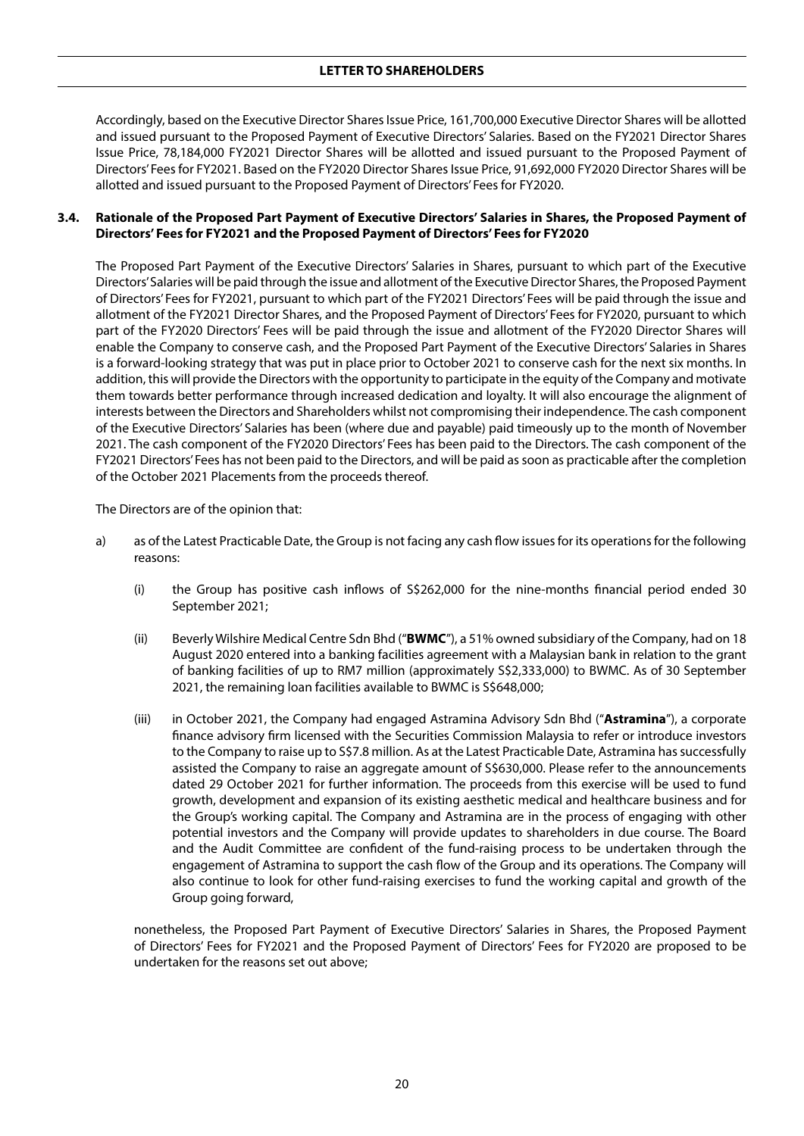Accordingly, based on the Executive Director Shares Issue Price, 161,700,000 Executive Director Shares will be allotted and issued pursuant to the Proposed Payment of Executive Directors' Salaries. Based on the FY2021 Director Shares Issue Price, 78,184,000 FY2021 Director Shares will be allotted and issued pursuant to the Proposed Payment of Directors' Fees for FY2021. Based on the FY2020 Director Shares Issue Price, 91,692,000 FY2020 Director Shares will be allotted and issued pursuant to the Proposed Payment of Directors' Fees for FY2020.

## **3.4. Rationale of the Proposed Part Payment of Executive Directors' Salaries in Shares, the Proposed Payment of Directors' Fees for FY2021 and the Proposed Payment of Directors' Fees for FY2020**

The Proposed Part Payment of the Executive Directors' Salaries in Shares, pursuant to which part of the Executive Directors' Salaries will be paid through the issue and allotment of the Executive Director Shares, the Proposed Payment of Directors' Fees for FY2021, pursuant to which part of the FY2021 Directors' Fees will be paid through the issue and allotment of the FY2021 Director Shares, and the Proposed Payment of Directors' Fees for FY2020, pursuant to which part of the FY2020 Directors' Fees will be paid through the issue and allotment of the FY2020 Director Shares will enable the Company to conserve cash, and the Proposed Part Payment of the Executive Directors' Salaries in Shares is a forward-looking strategy that was put in place prior to October 2021 to conserve cash for the next six months. In addition, this will provide the Directors with the opportunity to participate in the equity of the Company and motivate them towards better performance through increased dedication and loyalty. It will also encourage the alignment of interests between the Directors and Shareholders whilst not compromising their independence. The cash component of the Executive Directors' Salaries has been (where due and payable) paid timeously up to the month of November 2021. The cash component of the FY2020 Directors' Fees has been paid to the Directors. The cash component of the FY2021 Directors' Fees has not been paid to the Directors, and will be paid as soon as practicable after the completion of the October 2021 Placements from the proceeds thereof.

The Directors are of the opinion that:

- a) as of the Latest Practicable Date, the Group is not facing any cash flow issues for its operations for the following reasons:
	- (i) the Group has positive cash inflows of S\$262,000 for the nine-months financial period ended 30 September 2021;
	- (ii) Beverly Wilshire Medical Centre Sdn Bhd ("**BWMC**"), a 51% owned subsidiary of the Company, had on 18 August 2020 entered into a banking facilities agreement with a Malaysian bank in relation to the grant of banking facilities of up to RM7 million (approximately S\$2,333,000) to BWMC. As of 30 September 2021, the remaining loan facilities available to BWMC is S\$648,000;
	- (iii) in October 2021, the Company had engaged Astramina Advisory Sdn Bhd ("**Astramina**"), a corporate finance advisory firm licensed with the Securities Commission Malaysia to refer or introduce investors to the Company to raise up to S\$7.8 million. As at the Latest Practicable Date, Astramina has successfully assisted the Company to raise an aggregate amount of S\$630,000. Please refer to the announcements dated 29 October 2021 for further information. The proceeds from this exercise will be used to fund growth, development and expansion of its existing aesthetic medical and healthcare business and for the Group's working capital. The Company and Astramina are in the process of engaging with other potential investors and the Company will provide updates to shareholders in due course. The Board and the Audit Committee are confident of the fund-raising process to be undertaken through the engagement of Astramina to support the cash flow of the Group and its operations. The Company will also continue to look for other fund-raising exercises to fund the working capital and growth of the Group going forward,

nonetheless, the Proposed Part Payment of Executive Directors' Salaries in Shares, the Proposed Payment of Directors' Fees for FY2021 and the Proposed Payment of Directors' Fees for FY2020 are proposed to be undertaken for the reasons set out above;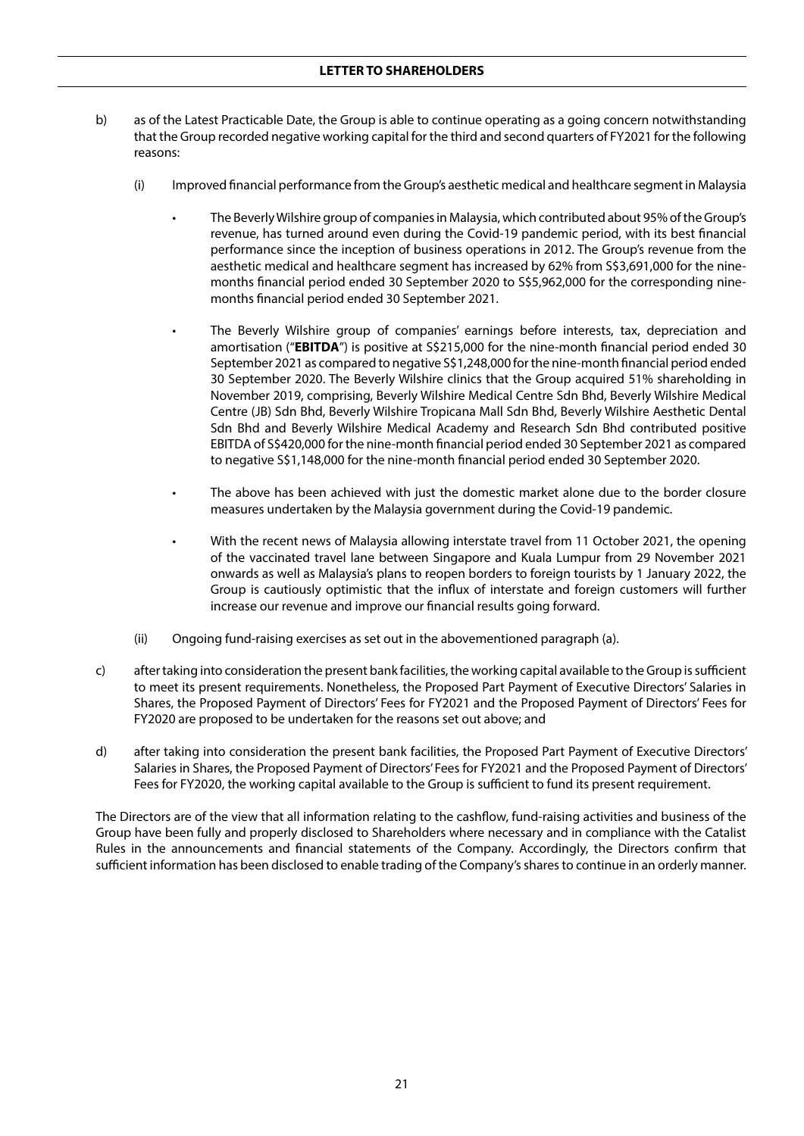## **LETTER TO SHAREHOLDERS**

- b) as of the Latest Practicable Date, the Group is able to continue operating as a going concern notwithstanding that the Group recorded negative working capital for the third and second quarters of FY2021 for the following reasons:
	- (i) Improved financial performance from the Group's aesthetic medical and healthcare segment in Malaysia
		- The Beverly Wilshire group of companies in Malaysia, which contributed about 95% of the Group's revenue, has turned around even during the Covid-19 pandemic period, with its best financial performance since the inception of business operations in 2012. The Group's revenue from the aesthetic medical and healthcare segment has increased by 62% from S\$3,691,000 for the ninemonths financial period ended 30 September 2020 to S\$5,962,000 for the corresponding ninemonths financial period ended 30 September 2021.
		- The Beverly Wilshire group of companies' earnings before interests, tax, depreciation and amortisation ("**EBITDA**") is positive at S\$215,000 for the nine-month financial period ended 30 September 2021 as compared to negative S\$1,248,000 for the nine-month financial period ended 30 September 2020. The Beverly Wilshire clinics that the Group acquired 51% shareholding in November 2019, comprising, Beverly Wilshire Medical Centre Sdn Bhd, Beverly Wilshire Medical Centre (JB) Sdn Bhd, Beverly Wilshire Tropicana Mall Sdn Bhd, Beverly Wilshire Aesthetic Dental Sdn Bhd and Beverly Wilshire Medical Academy and Research Sdn Bhd contributed positive EBITDA of S\$420,000 for the nine-month financial period ended 30 September 2021 as compared to negative S\$1,148,000 for the nine-month financial period ended 30 September 2020.
		- The above has been achieved with just the domestic market alone due to the border closure measures undertaken by the Malaysia government during the Covid-19 pandemic.
		- With the recent news of Malaysia allowing interstate travel from 11 October 2021, the opening of the vaccinated travel lane between Singapore and Kuala Lumpur from 29 November 2021 onwards as well as Malaysia's plans to reopen borders to foreign tourists by 1 January 2022, the Group is cautiously optimistic that the influx of interstate and foreign customers will further increase our revenue and improve our financial results going forward.
	- (ii) Ongoing fund-raising exercises as set out in the abovementioned paragraph (a).
- c) after taking into consideration the present bank facilities, the working capital available to the Group is sufficient to meet its present requirements. Nonetheless, the Proposed Part Payment of Executive Directors' Salaries in Shares, the Proposed Payment of Directors' Fees for FY2021 and the Proposed Payment of Directors' Fees for FY2020 are proposed to be undertaken for the reasons set out above; and
- d) after taking into consideration the present bank facilities, the Proposed Part Payment of Executive Directors' Salaries in Shares, the Proposed Payment of Directors' Fees for FY2021 and the Proposed Payment of Directors' Fees for FY2020, the working capital available to the Group is sufficient to fund its present requirement.

The Directors are of the view that all information relating to the cashflow, fund-raising activities and business of the Group have been fully and properly disclosed to Shareholders where necessary and in compliance with the Catalist Rules in the announcements and financial statements of the Company. Accordingly, the Directors confirm that sufficient information has been disclosed to enable trading of the Company's shares to continue in an orderly manner.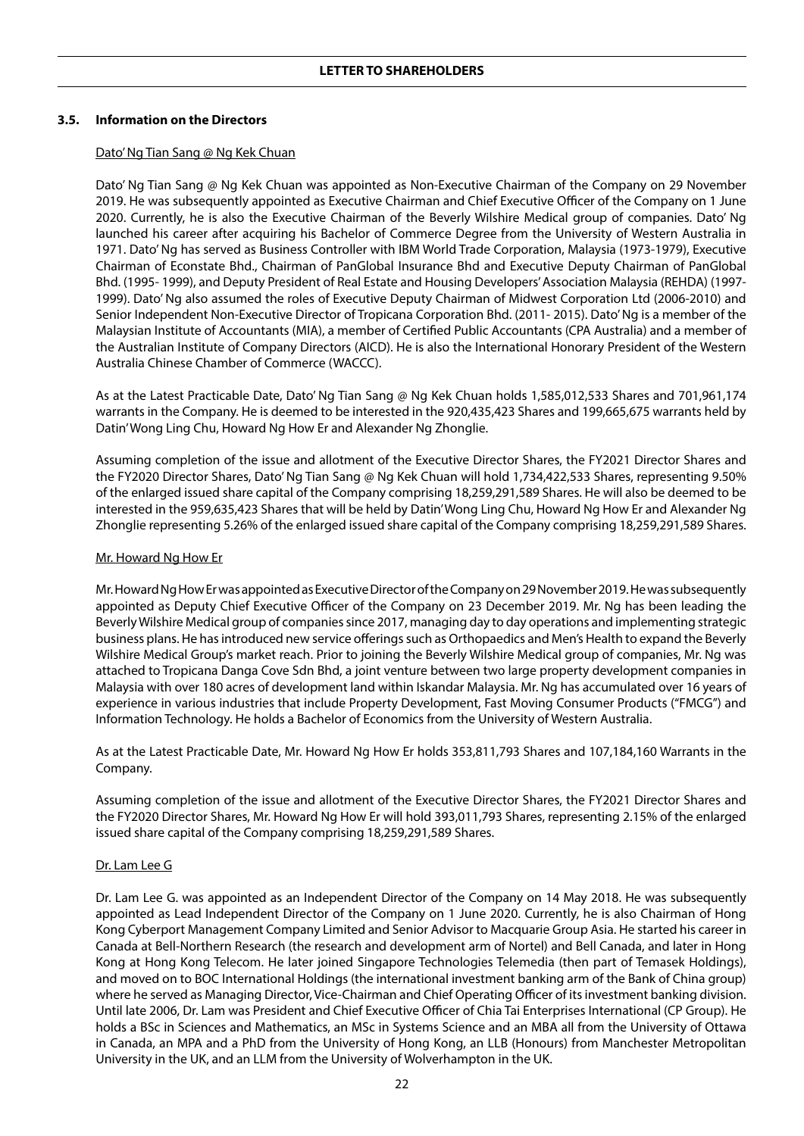## **3.5. Information on the Directors**

#### Dato' Ng Tian Sang @ Ng Kek Chuan

Dato' Ng Tian Sang @ Ng Kek Chuan was appointed as Non-Executive Chairman of the Company on 29 November 2019. He was subsequently appointed as Executive Chairman and Chief Executive Officer of the Company on 1 June 2020. Currently, he is also the Executive Chairman of the Beverly Wilshire Medical group of companies. Dato' Ng launched his career after acquiring his Bachelor of Commerce Degree from the University of Western Australia in 1971. Dato' Ng has served as Business Controller with IBM World Trade Corporation, Malaysia (1973-1979), Executive Chairman of Econstate Bhd., Chairman of PanGlobal Insurance Bhd and Executive Deputy Chairman of PanGlobal Bhd. (1995- 1999), and Deputy President of Real Estate and Housing Developers' Association Malaysia (REHDA) (1997- 1999). Dato' Ng also assumed the roles of Executive Deputy Chairman of Midwest Corporation Ltd (2006-2010) and Senior Independent Non-Executive Director of Tropicana Corporation Bhd. (2011- 2015). Dato' Ng is a member of the Malaysian Institute of Accountants (MIA), a member of Certified Public Accountants (CPA Australia) and a member of the Australian Institute of Company Directors (AICD). He is also the International Honorary President of the Western Australia Chinese Chamber of Commerce (WACCC).

As at the Latest Practicable Date, Dato' Ng Tian Sang @ Ng Kek Chuan holds 1,585,012,533 Shares and 701,961,174 warrants in the Company. He is deemed to be interested in the 920,435,423 Shares and 199,665,675 warrants held by Datin' Wong Ling Chu, Howard Ng How Er and Alexander Ng Zhonglie.

Assuming completion of the issue and allotment of the Executive Director Shares, the FY2021 Director Shares and the FY2020 Director Shares, Dato' Ng Tian Sang @ Ng Kek Chuan will hold 1,734,422,533 Shares, representing 9.50% of the enlarged issued share capital of the Company comprising 18,259,291,589 Shares. He will also be deemed to be interested in the 959,635,423 Shares that will be held by Datin' Wong Ling Chu, Howard Ng How Er and Alexander Ng Zhonglie representing 5.26% of the enlarged issued share capital of the Company comprising 18,259,291,589 Shares.

#### Mr. Howard Ng How Er

Mr. Howard Ng How Er was appointed as Executive Director of the Company on 29 November 2019. He was subsequently appointed as Deputy Chief Executive Officer of the Company on 23 December 2019. Mr. Ng has been leading the Beverly Wilshire Medical group of companies since 2017, managing day to day operations and implementing strategic business plans. He has introduced new service offerings such as Orthopaedics and Men's Health to expand the Beverly Wilshire Medical Group's market reach. Prior to joining the Beverly Wilshire Medical group of companies, Mr. Ng was attached to Tropicana Danga Cove Sdn Bhd, a joint venture between two large property development companies in Malaysia with over 180 acres of development land within Iskandar Malaysia. Mr. Ng has accumulated over 16 years of experience in various industries that include Property Development, Fast Moving Consumer Products ("FMCG") and Information Technology. He holds a Bachelor of Economics from the University of Western Australia.

As at the Latest Practicable Date, Mr. Howard Ng How Er holds 353,811,793 Shares and 107,184,160 Warrants in the Company.

Assuming completion of the issue and allotment of the Executive Director Shares, the FY2021 Director Shares and the FY2020 Director Shares, Mr. Howard Ng How Er will hold 393,011,793 Shares, representing 2.15% of the enlarged issued share capital of the Company comprising 18,259,291,589 Shares.

#### Dr. Lam Lee G

Dr. Lam Lee G. was appointed as an Independent Director of the Company on 14 May 2018. He was subsequently appointed as Lead Independent Director of the Company on 1 June 2020. Currently, he is also Chairman of Hong Kong Cyberport Management Company Limited and Senior Advisor to Macquarie Group Asia. He started his career in Canada at Bell-Northern Research (the research and development arm of Nortel) and Bell Canada, and later in Hong Kong at Hong Kong Telecom. He later joined Singapore Technologies Telemedia (then part of Temasek Holdings), and moved on to BOC International Holdings (the international investment banking arm of the Bank of China group) where he served as Managing Director, Vice-Chairman and Chief Operating Officer of its investment banking division. Until late 2006, Dr. Lam was President and Chief Executive Officer of Chia Tai Enterprises International (CP Group). He holds a BSc in Sciences and Mathematics, an MSc in Systems Science and an MBA all from the University of Ottawa in Canada, an MPA and a PhD from the University of Hong Kong, an LLB (Honours) from Manchester Metropolitan University in the UK, and an LLM from the University of Wolverhampton in the UK.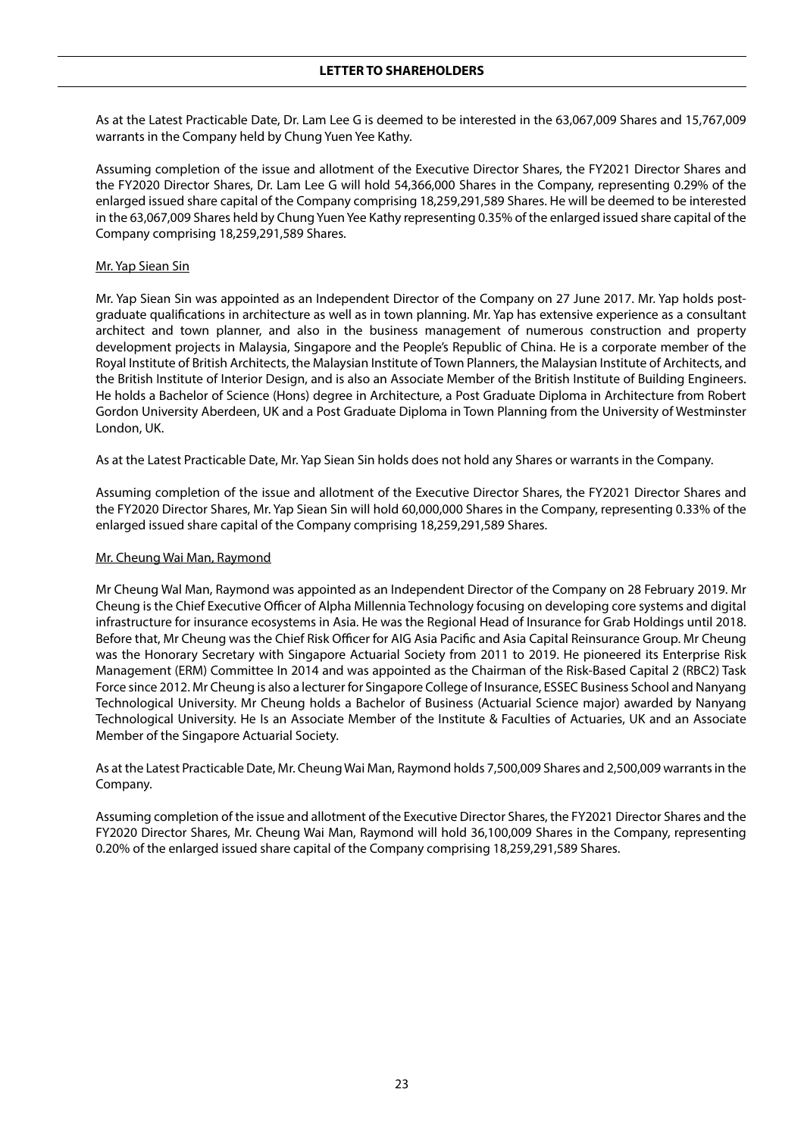As at the Latest Practicable Date, Dr. Lam Lee G is deemed to be interested in the 63,067,009 Shares and 15,767,009 warrants in the Company held by Chung Yuen Yee Kathy.

Assuming completion of the issue and allotment of the Executive Director Shares, the FY2021 Director Shares and the FY2020 Director Shares, Dr. Lam Lee G will hold 54,366,000 Shares in the Company, representing 0.29% of the enlarged issued share capital of the Company comprising 18,259,291,589 Shares. He will be deemed to be interested in the 63,067,009 Shares held by Chung Yuen Yee Kathy representing 0.35% of the enlarged issued share capital of the Company comprising 18,259,291,589 Shares.

#### Mr. Yap Siean Sin

Mr. Yap Siean Sin was appointed as an Independent Director of the Company on 27 June 2017. Mr. Yap holds postgraduate qualifications in architecture as well as in town planning. Mr. Yap has extensive experience as a consultant architect and town planner, and also in the business management of numerous construction and property development projects in Malaysia, Singapore and the People's Republic of China. He is a corporate member of the Royal Institute of British Architects, the Malaysian Institute of Town Planners, the Malaysian Institute of Architects, and the British Institute of Interior Design, and is also an Associate Member of the British Institute of Building Engineers. He holds a Bachelor of Science (Hons) degree in Architecture, a Post Graduate Diploma in Architecture from Robert Gordon University Aberdeen, UK and a Post Graduate Diploma in Town Planning from the University of Westminster London, UK.

As at the Latest Practicable Date, Mr. Yap Siean Sin holds does not hold any Shares or warrants in the Company.

Assuming completion of the issue and allotment of the Executive Director Shares, the FY2021 Director Shares and the FY2020 Director Shares, Mr. Yap Siean Sin will hold 60,000,000 Shares in the Company, representing 0.33% of the enlarged issued share capital of the Company comprising 18,259,291,589 Shares.

#### Mr. Cheung Wai Man, Raymond

Mr Cheung Wal Man, Raymond was appointed as an Independent Director of the Company on 28 February 2019. Mr Cheung is the Chief Executive Officer of Alpha Millennia Technology focusing on developing core systems and digital infrastructure for insurance ecosystems in Asia. He was the Regional Head of Insurance for Grab Holdings until 2018. Before that, Mr Cheung was the Chief Risk Officer for AIG Asia Pacific and Asia Capital Reinsurance Group. Mr Cheung was the Honorary Secretary with Singapore Actuarial Society from 2011 to 2019. He pioneered its Enterprise Risk Management (ERM) Committee In 2014 and was appointed as the Chairman of the Risk-Based Capital 2 (RBC2) Task Force since 2012. Mr Cheung is also a lecturer for Singapore College of Insurance, ESSEC Business School and Nanyang Technological University. Mr Cheung holds a Bachelor of Business (Actuarial Science major) awarded by Nanyang Technological University. He Is an Associate Member of the Institute & Faculties of Actuaries, UK and an Associate Member of the Singapore Actuarial Society.

As at the Latest Practicable Date, Mr. Cheung Wai Man, Raymond holds 7,500,009 Shares and 2,500,009 warrants in the Company.

Assuming completion of the issue and allotment of the Executive Director Shares, the FY2021 Director Shares and the FY2020 Director Shares, Mr. Cheung Wai Man, Raymond will hold 36,100,009 Shares in the Company, representing 0.20% of the enlarged issued share capital of the Company comprising 18,259,291,589 Shares.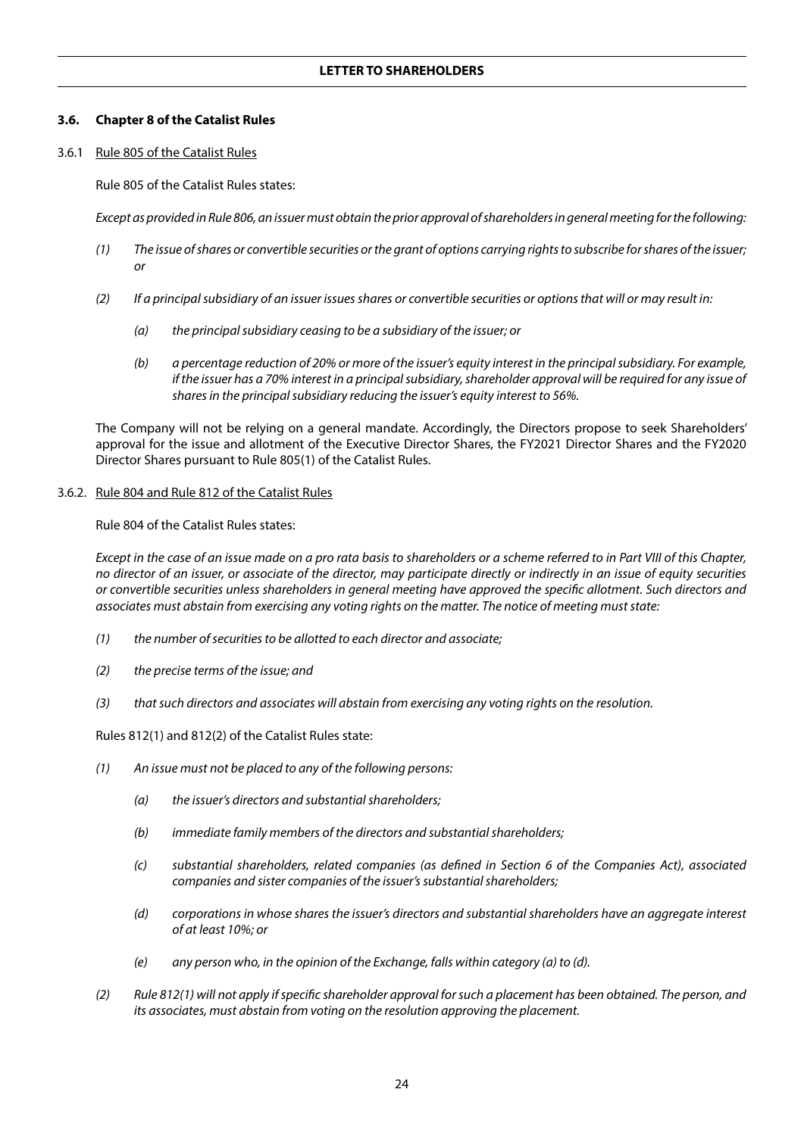## **3.6. Chapter 8 of the Catalist Rules**

3.6.1 Rule 805 of the Catalist Rules

Rule 805 of the Catalist Rules states:

*Except as provided in Rule 806, an issuer must obtain the prior approval of shareholders in general meeting for the following:*

- *(1) The issue of shares or convertible securities or the grant of options carrying rights to subscribe for shares of the issuer; or*
- *(2) If a principal subsidiary of an issuer issues shares or convertible securities or options that will or may result in:*
	- *(a) the principal subsidiary ceasing to be a subsidiary of the issuer; or*
	- *(b) a percentage reduction of 20% or more of the issuer's equity interest in the principal subsidiary. For example, if the issuer has a 70% interest in a principal subsidiary, shareholder approval will be required for any issue of shares in the principal subsidiary reducing the issuer's equity interest to 56%.*

The Company will not be relying on a general mandate. Accordingly, the Directors propose to seek Shareholders' approval for the issue and allotment of the Executive Director Shares, the FY2021 Director Shares and the FY2020 Director Shares pursuant to Rule 805(1) of the Catalist Rules.

#### 3.6.2. Rule 804 and Rule 812 of the Catalist Rules

Rule 804 of the Catalist Rules states:

*Except in the case of an issue made on a pro rata basis to shareholders or a scheme referred to in Part VIII of this Chapter, no director of an issuer, or associate of the director, may participate directly or indirectly in an issue of equity securities or convertible securities unless shareholders in general meeting have approved the specific allotment. Such directors and associates must abstain from exercising any voting rights on the matter. The notice of meeting must state:*

- *(1) the number of securities to be allotted to each director and associate;*
- *(2) the precise terms of the issue; and*
- *(3) that such directors and associates will abstain from exercising any voting rights on the resolution.*

Rules 812(1) and 812(2) of the Catalist Rules state:

- *(1) An issue must not be placed to any of the following persons:*
	- *(a) the issuer's directors and substantial shareholders;*
	- *(b) immediate family members of the directors and substantial shareholders;*
	- *(c) substantial shareholders, related companies (as defined in Section 6 of the Companies Act), associated companies and sister companies of the issuer's substantial shareholders;*
	- *(d) corporations in whose shares the issuer's directors and substantial shareholders have an aggregate interest of at least 10%; or*
	- *(e) any person who, in the opinion of the Exchange, falls within category (a) to (d).*
- *(2) Rule 812(1) will not apply if specific shareholder approval for such a placement has been obtained. The person, and its associates, must abstain from voting on the resolution approving the placement.*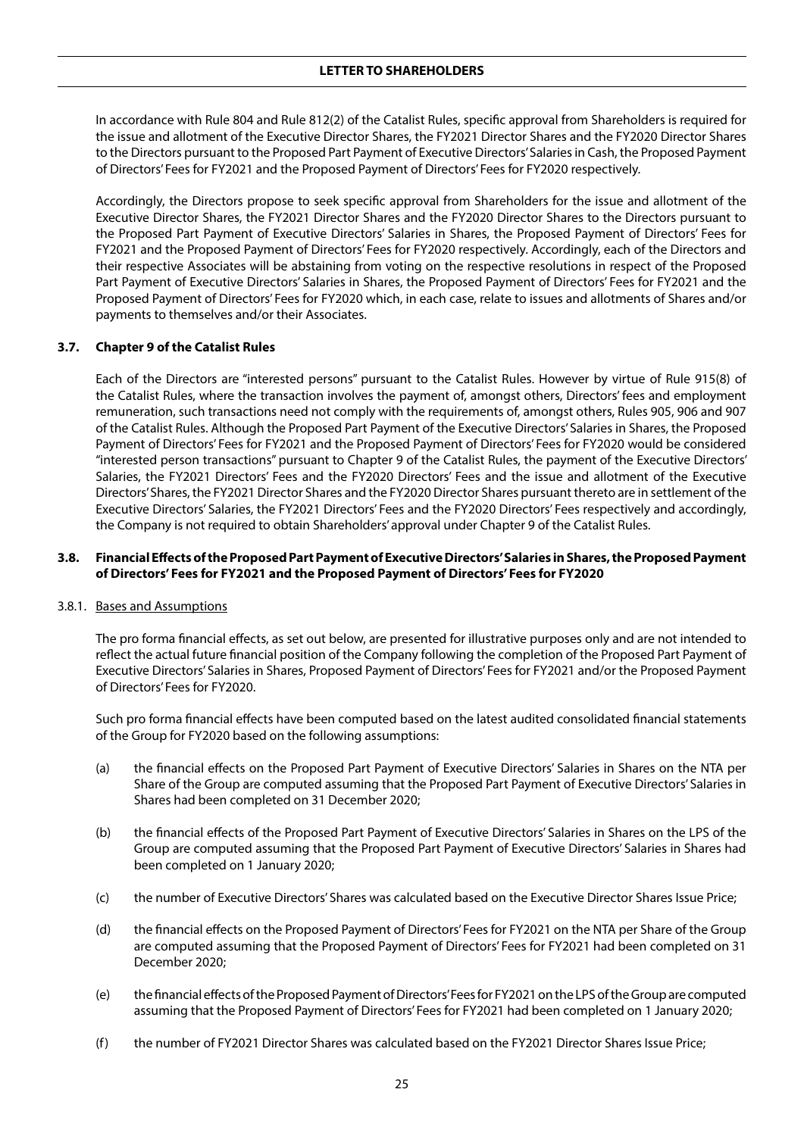In accordance with Rule 804 and Rule 812(2) of the Catalist Rules, specific approval from Shareholders is required for the issue and allotment of the Executive Director Shares, the FY2021 Director Shares and the FY2020 Director Shares to the Directors pursuant to the Proposed Part Payment of Executive Directors' Salaries in Cash, the Proposed Payment of Directors' Fees for FY2021 and the Proposed Payment of Directors' Fees for FY2020 respectively.

Accordingly, the Directors propose to seek specific approval from Shareholders for the issue and allotment of the Executive Director Shares, the FY2021 Director Shares and the FY2020 Director Shares to the Directors pursuant to the Proposed Part Payment of Executive Directors' Salaries in Shares, the Proposed Payment of Directors' Fees for FY2021 and the Proposed Payment of Directors' Fees for FY2020 respectively. Accordingly, each of the Directors and their respective Associates will be abstaining from voting on the respective resolutions in respect of the Proposed Part Payment of Executive Directors' Salaries in Shares, the Proposed Payment of Directors' Fees for FY2021 and the Proposed Payment of Directors' Fees for FY2020 which, in each case, relate to issues and allotments of Shares and/or payments to themselves and/or their Associates.

#### **3.7. Chapter 9 of the Catalist Rules**

Each of the Directors are "interested persons" pursuant to the Catalist Rules. However by virtue of Rule 915(8) of the Catalist Rules, where the transaction involves the payment of, amongst others, Directors' fees and employment remuneration, such transactions need not comply with the requirements of, amongst others, Rules 905, 906 and 907 of the Catalist Rules. Although the Proposed Part Payment of the Executive Directors' Salaries in Shares, the Proposed Payment of Directors' Fees for FY2021 and the Proposed Payment of Directors' Fees for FY2020 would be considered "interested person transactions" pursuant to Chapter 9 of the Catalist Rules, the payment of the Executive Directors' Salaries, the FY2021 Directors' Fees and the FY2020 Directors' Fees and the issue and allotment of the Executive Directors' Shares, the FY2021 Director Shares and the FY2020 Director Shares pursuant thereto are in settlement of the Executive Directors' Salaries, the FY2021 Directors' Fees and the FY2020 Directors' Fees respectively and accordingly, the Company is not required to obtain Shareholders' approval under Chapter 9 of the Catalist Rules.

## **3.8. Financial Effects of the Proposed Part Payment of Executive Directors' Salaries in Shares, the Proposed Payment of Directors' Fees for FY2021 and the Proposed Payment of Directors' Fees for FY2020**

#### 3.8.1. Bases and Assumptions

The pro forma financial effects, as set out below, are presented for illustrative purposes only and are not intended to reflect the actual future financial position of the Company following the completion of the Proposed Part Payment of Executive Directors' Salaries in Shares, Proposed Payment of Directors' Fees for FY2021 and/or the Proposed Payment of Directors' Fees for FY2020.

Such pro forma financial effects have been computed based on the latest audited consolidated financial statements of the Group for FY2020 based on the following assumptions:

- (a) the financial effects on the Proposed Part Payment of Executive Directors' Salaries in Shares on the NTA per Share of the Group are computed assuming that the Proposed Part Payment of Executive Directors' Salaries in Shares had been completed on 31 December 2020;
- (b) the financial effects of the Proposed Part Payment of Executive Directors' Salaries in Shares on the LPS of the Group are computed assuming that the Proposed Part Payment of Executive Directors' Salaries in Shares had been completed on 1 January 2020;
- (c) the number of Executive Directors' Shares was calculated based on the Executive Director Shares Issue Price;
- (d) the financial effects on the Proposed Payment of Directors' Fees for FY2021 on the NTA per Share of the Group are computed assuming that the Proposed Payment of Directors' Fees for FY2021 had been completed on 31 December 2020;
- (e) the financial effects of the Proposed Payment of Directors' Fees for FY2021 on the LPS of the Group are computed assuming that the Proposed Payment of Directors' Fees for FY2021 had been completed on 1 January 2020;
- (f) the number of FY2021 Director Shares was calculated based on the FY2021 Director Shares Issue Price;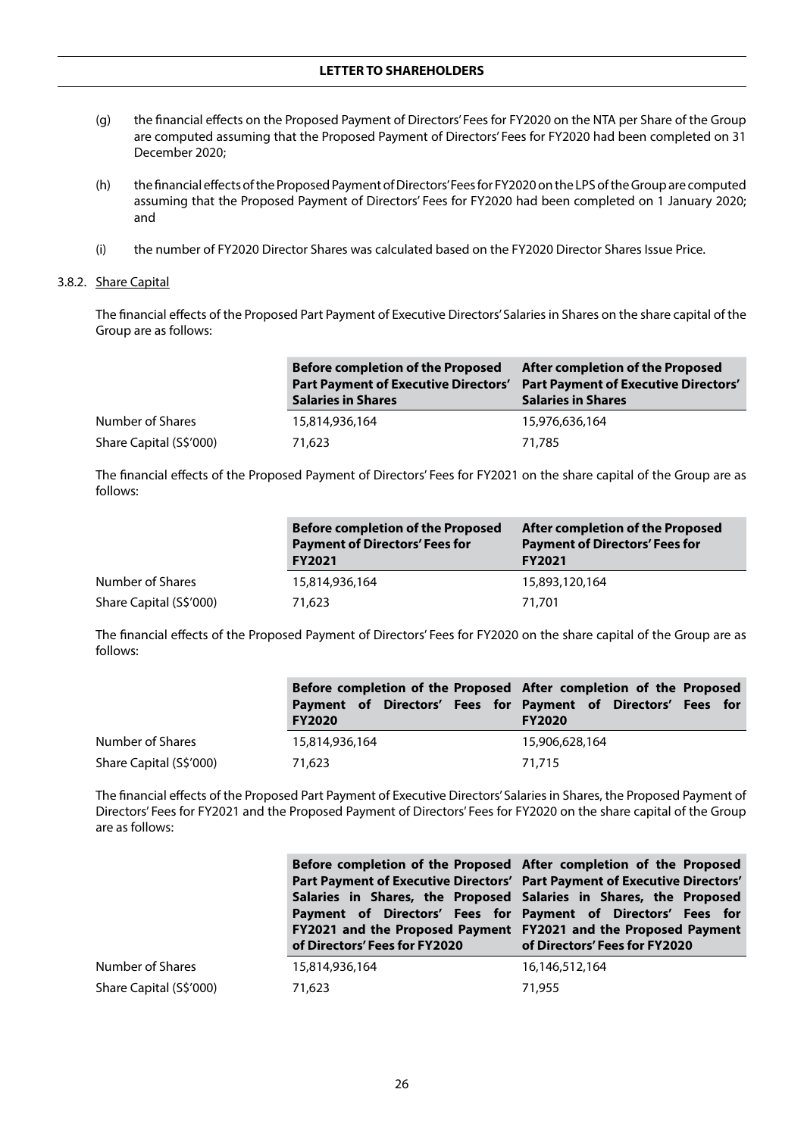- (g) the financial effects on the Proposed Payment of Directors' Fees for FY2020 on the NTA per Share of the Group are computed assuming that the Proposed Payment of Directors' Fees for FY2020 had been completed on 31 December 2020;
- (h) the financial effects of the Proposed Payment of Directors' Fees for FY2020 on the LPS of the Group are computed assuming that the Proposed Payment of Directors' Fees for FY2020 had been completed on 1 January 2020; and
- (i) the number of FY2020 Director Shares was calculated based on the FY2020 Director Shares Issue Price.

#### 3.8.2. Share Capital

The financial effects of the Proposed Part Payment of Executive Directors' Salaries in Shares on the share capital of the Group are as follows:

|                         | <b>Before completion of the Proposed</b><br><b>Part Payment of Executive Directors'</b><br><b>Salaries in Shares</b> | After completion of the Proposed<br><b>Part Payment of Executive Directors'</b><br><b>Salaries in Shares</b> |
|-------------------------|----------------------------------------------------------------------------------------------------------------------|--------------------------------------------------------------------------------------------------------------|
| Number of Shares        | 15,814,936,164                                                                                                       | 15,976,636,164                                                                                               |
| Share Capital (S\$'000) | 71,623                                                                                                               | 71,785                                                                                                       |

The financial effects of the Proposed Payment of Directors' Fees for FY2021 on the share capital of the Group are as follows:

|                         | <b>Before completion of the Proposed</b><br><b>Payment of Directors' Fees for</b><br><b>FY2021</b> | After completion of the Proposed<br><b>Payment of Directors' Fees for</b><br><b>FY2021</b> |
|-------------------------|----------------------------------------------------------------------------------------------------|--------------------------------------------------------------------------------------------|
| Number of Shares        | 15,814,936,164                                                                                     | 15,893,120,164                                                                             |
| Share Capital (S\$'000) | 71,623                                                                                             | 71.701                                                                                     |

The financial effects of the Proposed Payment of Directors' Fees for FY2020 on the share capital of the Group are as follows:

|                         | Before completion of the Proposed After completion of the Proposed             |                |
|-------------------------|--------------------------------------------------------------------------------|----------------|
|                         | Payment of Directors' Fees for Payment of Directors' Fees for<br><b>FY2020</b> | <b>FY2020</b>  |
| Number of Shares        | 15,814,936,164                                                                 | 15,906,628,164 |
| Share Capital (S\$'000) | 71,623                                                                         | 71.715         |

The financial effects of the Proposed Part Payment of Executive Directors' Salaries in Shares, the Proposed Payment of Directors' Fees for FY2021 and the Proposed Payment of Directors' Fees for FY2020 on the share capital of the Group are as follows:

|                         | Before completion of the Proposed After completion of the Proposed<br>Part Payment of Executive Directors' Part Payment of Executive Directors'<br>Salaries in Shares, the Proposed Salaries in Shares, the Proposed<br>Payment of Directors' Fees for Payment of Directors' Fees for<br>FY2021 and the Proposed Payment FY2021 and the Proposed Payment<br>of Directors' Fees for FY2020 | of Directors' Fees for FY2020 |
|-------------------------|-------------------------------------------------------------------------------------------------------------------------------------------------------------------------------------------------------------------------------------------------------------------------------------------------------------------------------------------------------------------------------------------|-------------------------------|
| Number of Shares        | 15,814,936,164                                                                                                                                                                                                                                                                                                                                                                            | 16,146,512,164                |
| Share Capital (S\$'000) | 71,623                                                                                                                                                                                                                                                                                                                                                                                    | 71,955                        |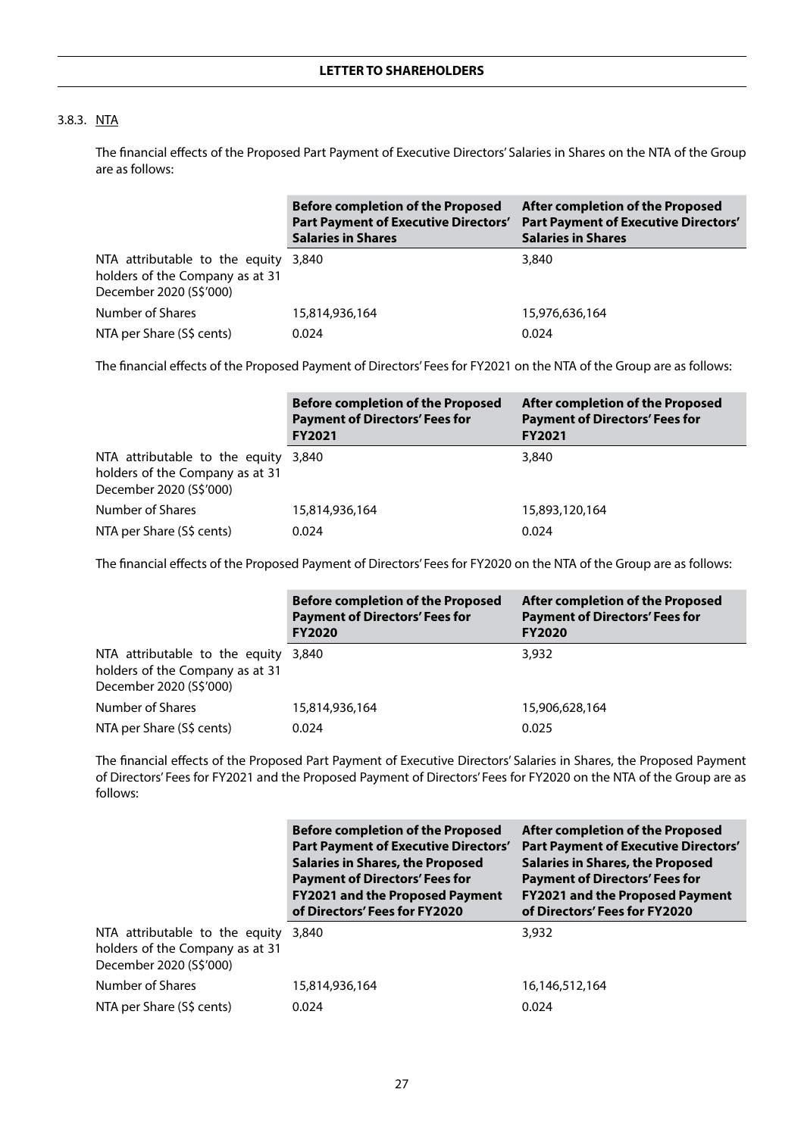## 3.8.3. NTA

The financial effects of the Proposed Part Payment of Executive Directors' Salaries in Shares on the NTA of the Group are as follows:

|                                                                                              | <b>Before completion of the Proposed</b><br><b>Part Payment of Executive Directors'</b><br><b>Salaries in Shares</b> | After completion of the Proposed<br><b>Part Payment of Executive Directors'</b><br><b>Salaries in Shares</b> |
|----------------------------------------------------------------------------------------------|----------------------------------------------------------------------------------------------------------------------|--------------------------------------------------------------------------------------------------------------|
| NTA attributable to the equity<br>holders of the Company as at 31<br>December 2020 (S\$'000) | 3,840                                                                                                                | 3,840                                                                                                        |
| Number of Shares                                                                             | 15,814,936,164                                                                                                       | 15,976,636,164                                                                                               |
| NTA per Share (S\$ cents)                                                                    | 0.024                                                                                                                | 0.024                                                                                                        |

The financial effects of the Proposed Payment of Directors' Fees for FY2021 on the NTA of the Group are as follows:

|                                                                                                    | <b>Before completion of the Proposed</b><br><b>Payment of Directors' Fees for</b><br><b>FY2021</b> | After completion of the Proposed<br><b>Payment of Directors' Fees for</b><br><b>FY2021</b> |
|----------------------------------------------------------------------------------------------------|----------------------------------------------------------------------------------------------------|--------------------------------------------------------------------------------------------|
| NTA attributable to the equity 3,840<br>holders of the Company as at 31<br>December 2020 (S\$'000) |                                                                                                    | 3,840                                                                                      |
| Number of Shares                                                                                   | 15,814,936,164                                                                                     | 15,893,120,164                                                                             |
| NTA per Share (S\$ cents)                                                                          | 0.024                                                                                              | 0.024                                                                                      |

The financial effects of the Proposed Payment of Directors' Fees for FY2020 on the NTA of the Group are as follows:

|                                                                                                    | <b>Before completion of the Proposed</b><br><b>Payment of Directors' Fees for</b><br><b>FY2020</b> | <b>After completion of the Proposed</b><br><b>Payment of Directors' Fees for</b><br><b>FY2020</b> |
|----------------------------------------------------------------------------------------------------|----------------------------------------------------------------------------------------------------|---------------------------------------------------------------------------------------------------|
| NTA attributable to the equity 3,840<br>holders of the Company as at 31<br>December 2020 (S\$'000) |                                                                                                    | 3,932                                                                                             |
| Number of Shares                                                                                   | 15,814,936,164                                                                                     | 15,906,628,164                                                                                    |
| NTA per Share (S\$ cents)                                                                          | 0.024                                                                                              | 0.025                                                                                             |

The financial effects of the Proposed Part Payment of Executive Directors' Salaries in Shares, the Proposed Payment of Directors' Fees for FY2021 and the Proposed Payment of Directors' Fees for FY2020 on the NTA of the Group are as follows:

|                                                                                              | <b>Before completion of the Proposed</b><br><b>Part Payment of Executive Directors'</b><br><b>Salaries in Shares, the Proposed</b><br><b>Payment of Directors' Fees for</b><br><b>FY2021 and the Proposed Payment</b><br>of Directors' Fees for FY2020 | After completion of the Proposed<br><b>Part Payment of Executive Directors'</b><br><b>Salaries in Shares, the Proposed</b><br><b>Payment of Directors' Fees for</b><br><b>FY2021 and the Proposed Payment</b><br>of Directors' Fees for FY2020 |
|----------------------------------------------------------------------------------------------|--------------------------------------------------------------------------------------------------------------------------------------------------------------------------------------------------------------------------------------------------------|------------------------------------------------------------------------------------------------------------------------------------------------------------------------------------------------------------------------------------------------|
| NTA attributable to the equity<br>holders of the Company as at 31<br>December 2020 (S\$'000) | 3.840                                                                                                                                                                                                                                                  | 3,932                                                                                                                                                                                                                                          |
| Number of Shares                                                                             | 15,814,936,164                                                                                                                                                                                                                                         | 16,146,512,164                                                                                                                                                                                                                                 |
| NTA per Share (S\$ cents)                                                                    | 0.024                                                                                                                                                                                                                                                  | 0.024                                                                                                                                                                                                                                          |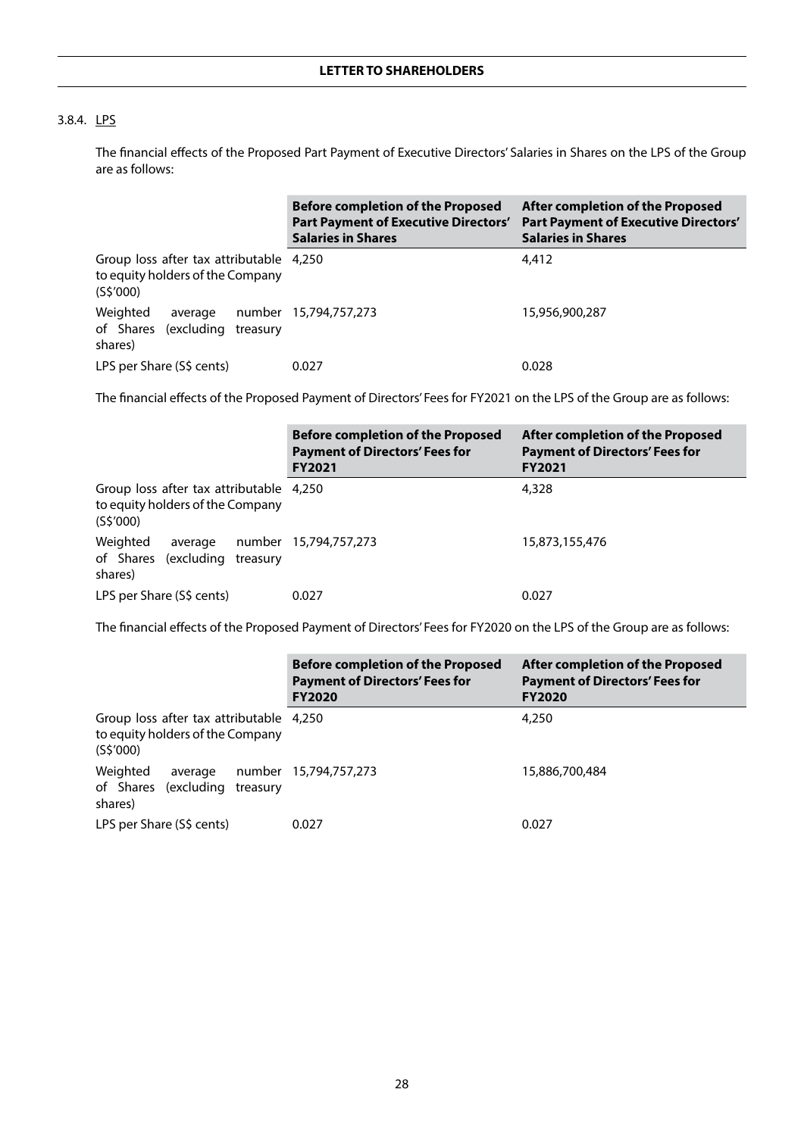## 3.8.4. LPS

The financial effects of the Proposed Part Payment of Executive Directors' Salaries in Shares on the LPS of the Group are as follows:

|                                                                                          | <b>Before completion of the Proposed</b><br><b>Part Payment of Executive Directors'</b><br><b>Salaries in Shares</b> | After completion of the Proposed<br><b>Part Payment of Executive Directors'</b><br><b>Salaries in Shares</b> |
|------------------------------------------------------------------------------------------|----------------------------------------------------------------------------------------------------------------------|--------------------------------------------------------------------------------------------------------------|
| Group loss after tax attributable 4,250<br>to equity holders of the Company<br>(S\$′000) |                                                                                                                      | 4,412                                                                                                        |
| Weighted<br>average<br>of Shares (excluding treasury<br>shares)                          | number 15,794,757,273                                                                                                | 15,956,900,287                                                                                               |
| LPS per Share (S\$ cents)                                                                | 0.027                                                                                                                | 0.028                                                                                                        |

The financial effects of the Proposed Payment of Directors' Fees for FY2021 on the LPS of the Group are as follows:

|                                                                                          | <b>Before completion of the Proposed</b><br><b>Payment of Directors' Fees for</b><br><b>FY2021</b> | After completion of the Proposed<br><b>Payment of Directors' Fees for</b><br><b>FY2021</b> |
|------------------------------------------------------------------------------------------|----------------------------------------------------------------------------------------------------|--------------------------------------------------------------------------------------------|
| Group loss after tax attributable 4,250<br>to equity holders of the Company<br>(S\$'000) |                                                                                                    | 4,328                                                                                      |
| Weighted<br>average<br>of Shares (excluding<br>treasury<br>shares)                       | number 15,794,757,273                                                                              | 15,873,155,476                                                                             |
| LPS per Share (S\$ cents)                                                                | 0.027                                                                                              | 0.027                                                                                      |

The financial effects of the Proposed Payment of Directors' Fees for FY2020 on the LPS of the Group are as follows:

|                                                                                          | <b>Before completion of the Proposed</b><br><b>Payment of Directors' Fees for</b><br><b>FY2020</b> | After completion of the Proposed<br><b>Payment of Directors' Fees for</b><br><b>FY2020</b> |
|------------------------------------------------------------------------------------------|----------------------------------------------------------------------------------------------------|--------------------------------------------------------------------------------------------|
| Group loss after tax attributable 4,250<br>to equity holders of the Company<br>(S\$'000) |                                                                                                    | 4,250                                                                                      |
| Weighted<br>average<br>of Shares (excluding<br>treasury<br>shares)                       | number 15,794,757,273                                                                              | 15,886,700,484                                                                             |
| LPS per Share (S\$ cents)                                                                | 0.027                                                                                              | 0.027                                                                                      |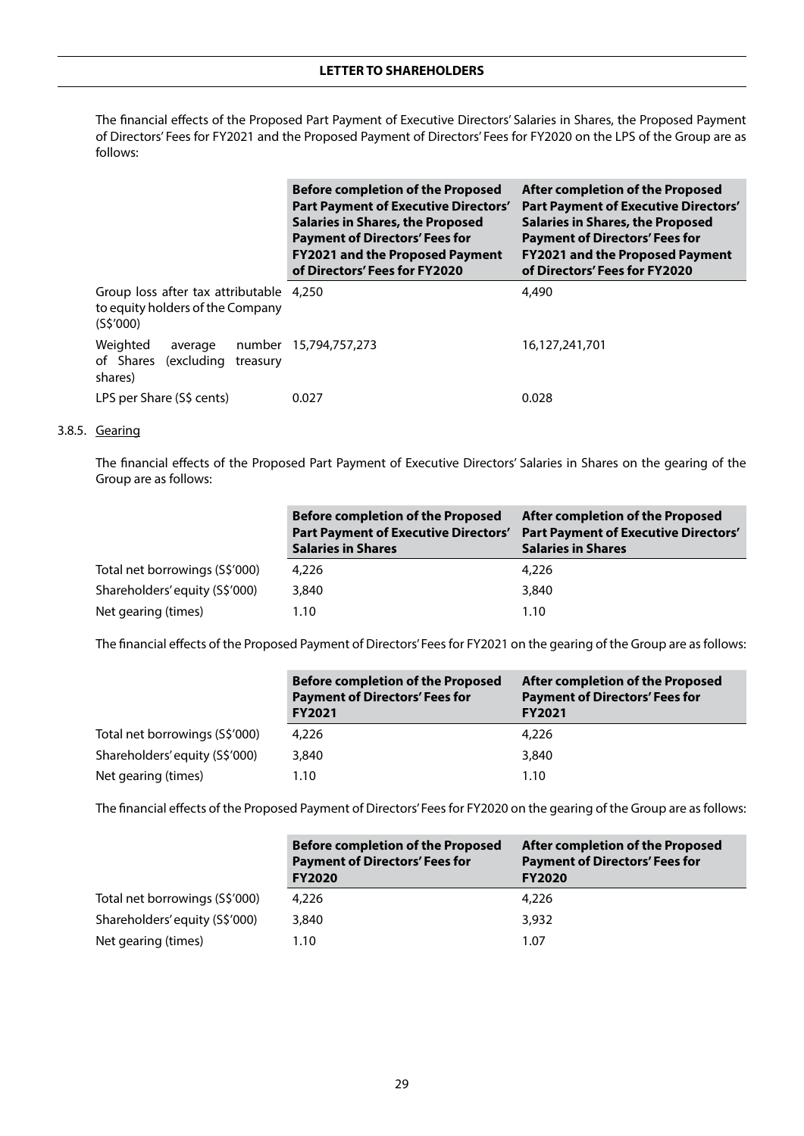## **LETTER TO SHAREHOLDERS**

The financial effects of the Proposed Part Payment of Executive Directors' Salaries in Shares, the Proposed Payment of Directors' Fees for FY2021 and the Proposed Payment of Directors' Fees for FY2020 on the LPS of the Group are as follows:

|                                                                                         | <b>Before completion of the Proposed</b><br><b>Part Payment of Executive Directors'</b><br><b>Salaries in Shares, the Proposed</b><br><b>Payment of Directors' Fees for</b><br><b>FY2021 and the Proposed Payment</b><br>of Directors' Fees for FY2020 | After completion of the Proposed<br><b>Part Payment of Executive Directors'</b><br><b>Salaries in Shares, the Proposed</b><br><b>Payment of Directors' Fees for</b><br><b>FY2021 and the Proposed Payment</b><br>of Directors' Fees for FY2020 |
|-----------------------------------------------------------------------------------------|--------------------------------------------------------------------------------------------------------------------------------------------------------------------------------------------------------------------------------------------------------|------------------------------------------------------------------------------------------------------------------------------------------------------------------------------------------------------------------------------------------------|
| Group loss after tax attributable 4,250<br>to equity holders of the Company<br>(S5'000) |                                                                                                                                                                                                                                                        | 4,490                                                                                                                                                                                                                                          |
| Weighted<br>number<br>average<br>of Shares (excluding<br>treasury<br>shares)            | 15,794,757,273                                                                                                                                                                                                                                         | 16,127,241,701                                                                                                                                                                                                                                 |
| LPS per Share (S\$ cents)                                                               | 0.027                                                                                                                                                                                                                                                  | 0.028                                                                                                                                                                                                                                          |

#### 3.8.5. Gearing

The financial effects of the Proposed Part Payment of Executive Directors' Salaries in Shares on the gearing of the Group are as follows:

|                                | <b>Before completion of the Proposed</b><br><b>Part Payment of Executive Directors'</b><br><b>Salaries in Shares</b> | After completion of the Proposed<br><b>Part Payment of Executive Directors'</b><br><b>Salaries in Shares</b> |
|--------------------------------|----------------------------------------------------------------------------------------------------------------------|--------------------------------------------------------------------------------------------------------------|
| Total net borrowings (S\$'000) | 4.226                                                                                                                | 4,226                                                                                                        |
| Shareholders' equity (S\$'000) | 3,840                                                                                                                | 3,840                                                                                                        |
| Net gearing (times)            | 1.10                                                                                                                 | 1.10                                                                                                         |

The financial effects of the Proposed Payment of Directors' Fees for FY2021 on the gearing of the Group are as follows:

|                                | <b>Before completion of the Proposed</b><br><b>Payment of Directors' Fees for</b><br><b>FY2021</b> | After completion of the Proposed<br><b>Payment of Directors' Fees for</b><br><b>FY2021</b> |
|--------------------------------|----------------------------------------------------------------------------------------------------|--------------------------------------------------------------------------------------------|
| Total net borrowings (S\$'000) | 4,226                                                                                              | 4,226                                                                                      |
| Shareholders' equity (S\$'000) | 3,840                                                                                              | 3,840                                                                                      |
| Net gearing (times)            | 1.10                                                                                               | 1.10                                                                                       |

The financial effects of the Proposed Payment of Directors' Fees for FY2020 on the gearing of the Group are as follows:

|                                | <b>Before completion of the Proposed</b><br><b>Payment of Directors' Fees for</b><br><b>FY2020</b> | <b>After completion of the Proposed</b><br><b>Payment of Directors' Fees for</b><br><b>FY2020</b> |
|--------------------------------|----------------------------------------------------------------------------------------------------|---------------------------------------------------------------------------------------------------|
| Total net borrowings (S\$'000) | 4,226                                                                                              | 4,226                                                                                             |
| Shareholders' equity (S\$'000) | 3,840                                                                                              | 3,932                                                                                             |
| Net gearing (times)            | 1.10                                                                                               | 1.07                                                                                              |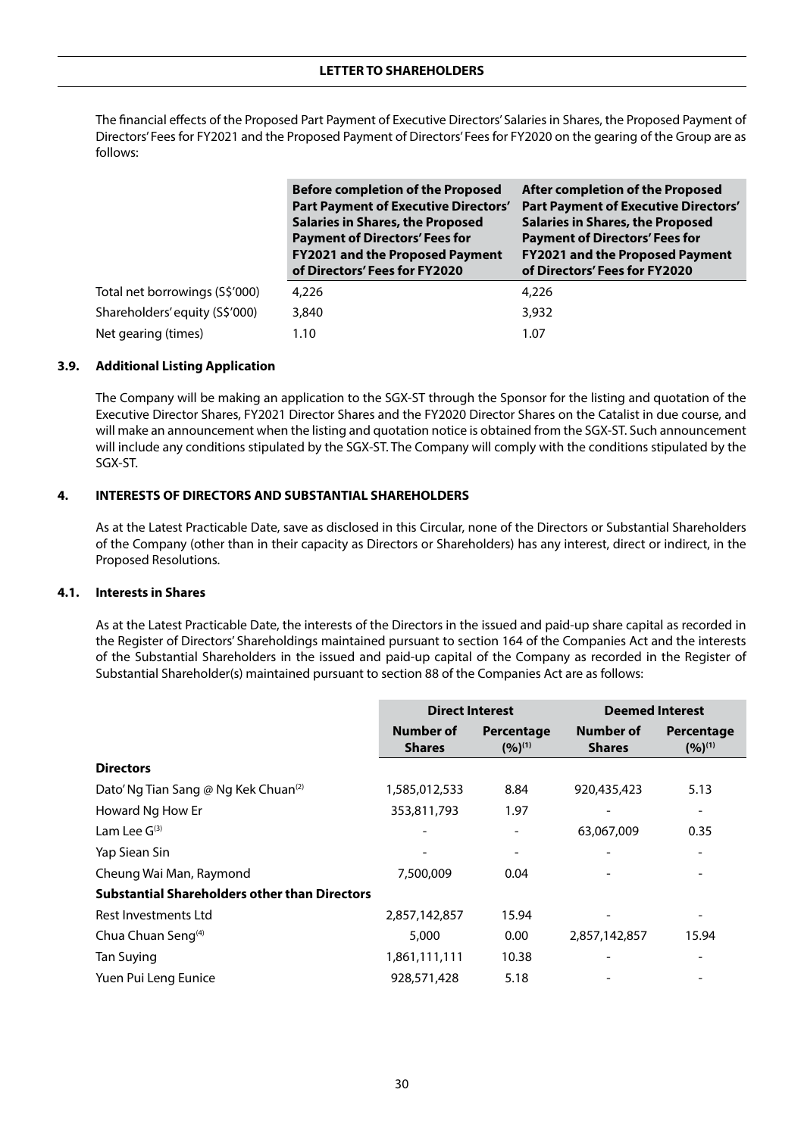The financial effects of the Proposed Part Payment of Executive Directors' Salaries in Shares, the Proposed Payment of Directors' Fees for FY2021 and the Proposed Payment of Directors' Fees for FY2020 on the gearing of the Group are as follows:

|                                | <b>Before completion of the Proposed</b><br><b>Part Payment of Executive Directors'</b><br><b>Salaries in Shares, the Proposed</b><br><b>Payment of Directors' Fees for</b><br><b>FY2021 and the Proposed Payment</b><br>of Directors' Fees for FY2020 | After completion of the Proposed<br><b>Part Payment of Executive Directors'</b><br><b>Salaries in Shares, the Proposed</b><br><b>Payment of Directors' Fees for</b><br><b>FY2021 and the Proposed Payment</b><br>of Directors' Fees for FY2020 |
|--------------------------------|--------------------------------------------------------------------------------------------------------------------------------------------------------------------------------------------------------------------------------------------------------|------------------------------------------------------------------------------------------------------------------------------------------------------------------------------------------------------------------------------------------------|
| Total net borrowings (S\$'000) | 4,226                                                                                                                                                                                                                                                  | 4,226                                                                                                                                                                                                                                          |
| Shareholders' equity (S\$'000) | 3,840                                                                                                                                                                                                                                                  | 3,932                                                                                                                                                                                                                                          |
| Net gearing (times)            | 1.10                                                                                                                                                                                                                                                   | 1.07                                                                                                                                                                                                                                           |

## **3.9. Additional Listing Application**

The Company will be making an application to the SGX-ST through the Sponsor for the listing and quotation of the Executive Director Shares, FY2021 Director Shares and the FY2020 Director Shares on the Catalist in due course, and will make an announcement when the listing and quotation notice is obtained from the SGX-ST. Such announcement will include any conditions stipulated by the SGX-ST. The Company will comply with the conditions stipulated by the SGX-ST.

## **4. INTERESTS OF DIRECTORS AND SUBSTANTIAL SHAREHOLDERS**

As at the Latest Practicable Date, save as disclosed in this Circular, none of the Directors or Substantial Shareholders of the Company (other than in their capacity as Directors or Shareholders) has any interest, direct or indirect, in the Proposed Resolutions.

#### **4.1. Interests in Shares**

As at the Latest Practicable Date, the interests of the Directors in the issued and paid-up share capital as recorded in the Register of Directors' Shareholdings maintained pursuant to section 164 of the Companies Act and the interests of the Substantial Shareholders in the issued and paid-up capital of the Company as recorded in the Register of Substantial Shareholder(s) maintained pursuant to section 88 of the Companies Act are as follows:

|                                                      | <b>Direct Interest</b>     |                             | <b>Deemed Interest</b>     |                             |
|------------------------------------------------------|----------------------------|-----------------------------|----------------------------|-----------------------------|
|                                                      | Number of<br><b>Shares</b> | Percentage<br>$(9/6)^{(1)}$ | Number of<br><b>Shares</b> | Percentage<br>$(9/6)^{(1)}$ |
| <b>Directors</b>                                     |                            |                             |                            |                             |
| Dato' Ng Tian Sang @ Ng Kek Chuan <sup>(2)</sup>     | 1,585,012,533              | 8.84                        | 920,435,423                | 5.13                        |
| Howard Ng How Er                                     | 353,811,793                | 1.97                        |                            | -                           |
| Lam Lee $G(3)$                                       |                            | ۰                           | 63,067,009                 | 0.35                        |
| Yap Siean Sin                                        |                            |                             |                            |                             |
| Cheung Wai Man, Raymond                              | 7,500,009                  | 0.04                        |                            |                             |
| <b>Substantial Shareholders other than Directors</b> |                            |                             |                            |                             |
| Rest Investments Ltd                                 | 2,857,142,857              | 15.94                       |                            | -                           |
| Chua Chuan Seng <sup>(4)</sup>                       | 5,000                      | 0.00                        | 2,857,142,857              | 15.94                       |
| Tan Suying                                           | 1,861,111,111              | 10.38                       |                            |                             |
| Yuen Pui Leng Eunice                                 | 928,571,428                | 5.18                        |                            |                             |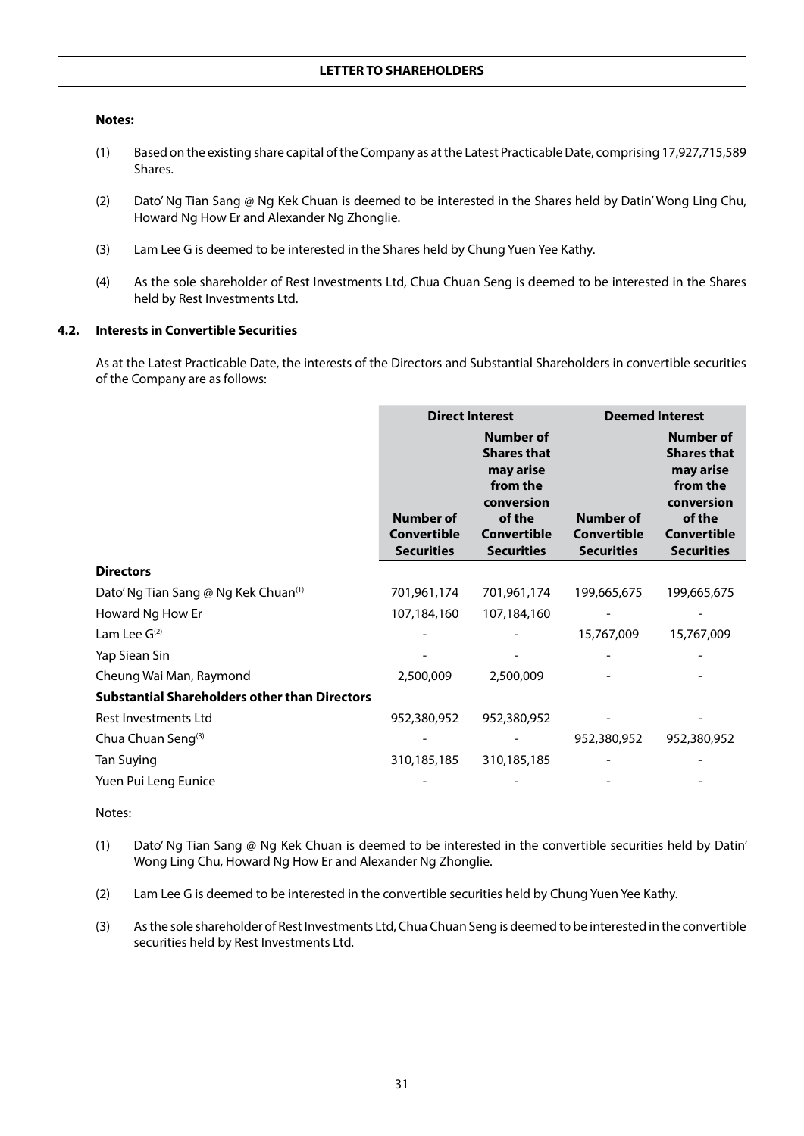#### **Notes:**

- (1) Based on the existing share capital of the Company as at the Latest Practicable Date, comprising 17,927,715,589 Shares.
- (2) Dato' Ng Tian Sang @ Ng Kek Chuan is deemed to be interested in the Shares held by Datin' Wong Ling Chu, Howard Ng How Er and Alexander Ng Zhonglie.
- (3) Lam Lee G is deemed to be interested in the Shares held by Chung Yuen Yee Kathy.
- (4) As the sole shareholder of Rest Investments Ltd, Chua Chuan Seng is deemed to be interested in the Shares held by Rest Investments Ltd.

## **4.2. Interests in Convertible Securities**

As at the Latest Practicable Date, the interests of the Directors and Substantial Shareholders in convertible securities of the Company are as follows:

|                                                      | <b>Direct Interest</b>                                      |                                                                                                                             | <b>Deemed Interest</b>                               |                                                                                                                             |
|------------------------------------------------------|-------------------------------------------------------------|-----------------------------------------------------------------------------------------------------------------------------|------------------------------------------------------|-----------------------------------------------------------------------------------------------------------------------------|
|                                                      | <b>Number of</b><br><b>Convertible</b><br><b>Securities</b> | Number of<br><b>Shares that</b><br>may arise<br>from the<br>conversion<br>of the<br><b>Convertible</b><br><b>Securities</b> | Number of<br><b>Convertible</b><br><b>Securities</b> | Number of<br><b>Shares that</b><br>may arise<br>from the<br>conversion<br>of the<br><b>Convertible</b><br><b>Securities</b> |
| <b>Directors</b>                                     |                                                             |                                                                                                                             |                                                      |                                                                                                                             |
| Dato' Ng Tian Sang @ Ng Kek Chuan <sup>(1)</sup>     | 701,961,174                                                 | 701,961,174                                                                                                                 | 199,665,675                                          | 199,665,675                                                                                                                 |
| Howard Ng How Er                                     | 107,184,160                                                 | 107,184,160                                                                                                                 |                                                      |                                                                                                                             |
| Lam Lee $G(2)$                                       |                                                             |                                                                                                                             | 15,767,009                                           | 15,767,009                                                                                                                  |
| Yap Siean Sin                                        |                                                             |                                                                                                                             |                                                      |                                                                                                                             |
| Cheung Wai Man, Raymond                              | 2,500,009                                                   | 2,500,009                                                                                                                   |                                                      |                                                                                                                             |
| <b>Substantial Shareholders other than Directors</b> |                                                             |                                                                                                                             |                                                      |                                                                                                                             |
| <b>Rest Investments Ltd</b>                          | 952,380,952                                                 | 952,380,952                                                                                                                 |                                                      |                                                                                                                             |
| Chua Chuan Seng(3)                                   |                                                             |                                                                                                                             | 952,380,952                                          | 952,380,952                                                                                                                 |
| Tan Suying                                           | 310,185,185                                                 | 310,185,185                                                                                                                 |                                                      |                                                                                                                             |
| Yuen Pui Leng Eunice                                 |                                                             |                                                                                                                             |                                                      |                                                                                                                             |

Notes:

- (1) Dato' Ng Tian Sang @ Ng Kek Chuan is deemed to be interested in the convertible securities held by Datin' Wong Ling Chu, Howard Ng How Er and Alexander Ng Zhonglie.
- (2) Lam Lee G is deemed to be interested in the convertible securities held by Chung Yuen Yee Kathy.
- (3) As the sole shareholder of Rest Investments Ltd, Chua Chuan Seng is deemed to be interested in the convertible securities held by Rest Investments Ltd.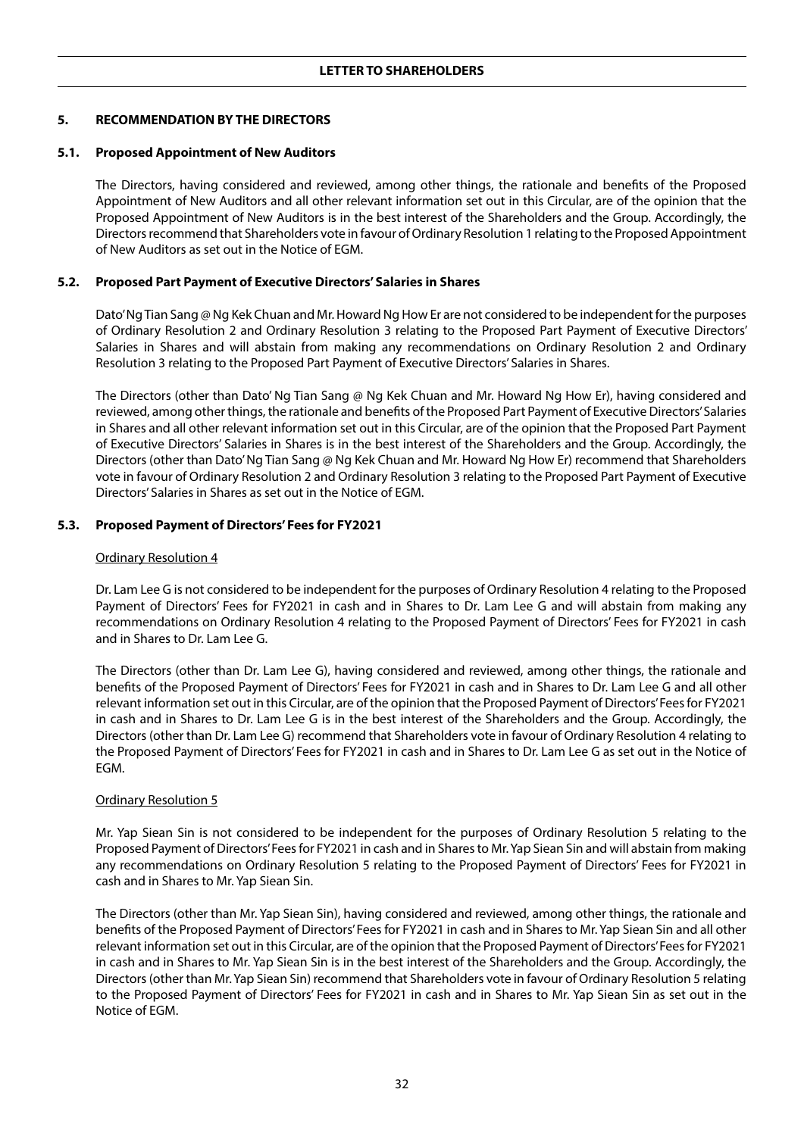## **5. RECOMMENDATION BY THE DIRECTORS**

#### **5.1. Proposed Appointment of New Auditors**

The Directors, having considered and reviewed, among other things, the rationale and benefits of the Proposed Appointment of New Auditors and all other relevant information set out in this Circular, are of the opinion that the Proposed Appointment of New Auditors is in the best interest of the Shareholders and the Group. Accordingly, the Directors recommend that Shareholders vote in favour of Ordinary Resolution 1 relating to the Proposed Appointment of New Auditors as set out in the Notice of EGM.

## **5.2. Proposed Part Payment of Executive Directors' Salaries in Shares**

Dato' Ng Tian Sang @ Ng Kek Chuan and Mr. Howard Ng How Er are not considered to be independent for the purposes of Ordinary Resolution 2 and Ordinary Resolution 3 relating to the Proposed Part Payment of Executive Directors' Salaries in Shares and will abstain from making any recommendations on Ordinary Resolution 2 and Ordinary Resolution 3 relating to the Proposed Part Payment of Executive Directors' Salaries in Shares.

The Directors (other than Dato' Ng Tian Sang @ Ng Kek Chuan and Mr. Howard Ng How Er), having considered and reviewed, among other things, the rationale and benefits of the Proposed Part Payment of Executive Directors' Salaries in Shares and all other relevant information set out in this Circular, are of the opinion that the Proposed Part Payment of Executive Directors' Salaries in Shares is in the best interest of the Shareholders and the Group. Accordingly, the Directors (other than Dato' Ng Tian Sang @ Ng Kek Chuan and Mr. Howard Ng How Er) recommend that Shareholders vote in favour of Ordinary Resolution 2 and Ordinary Resolution 3 relating to the Proposed Part Payment of Executive Directors' Salaries in Shares as set out in the Notice of EGM.

## **5.3. Proposed Payment of Directors' Fees for FY2021**

#### Ordinary Resolution 4

Dr. Lam Lee G is not considered to be independent for the purposes of Ordinary Resolution 4 relating to the Proposed Payment of Directors' Fees for FY2021 in cash and in Shares to Dr. Lam Lee G and will abstain from making any recommendations on Ordinary Resolution 4 relating to the Proposed Payment of Directors' Fees for FY2021 in cash and in Shares to Dr. Lam Lee G.

The Directors (other than Dr. Lam Lee G), having considered and reviewed, among other things, the rationale and benefits of the Proposed Payment of Directors' Fees for FY2021 in cash and in Shares to Dr. Lam Lee G and all other relevant information set out in this Circular, are of the opinion that the Proposed Payment of Directors' Fees for FY2021 in cash and in Shares to Dr. Lam Lee G is in the best interest of the Shareholders and the Group. Accordingly, the Directors (other than Dr. Lam Lee G) recommend that Shareholders vote in favour of Ordinary Resolution 4 relating to the Proposed Payment of Directors' Fees for FY2021 in cash and in Shares to Dr. Lam Lee G as set out in the Notice of EGM.

#### Ordinary Resolution 5

Mr. Yap Siean Sin is not considered to be independent for the purposes of Ordinary Resolution 5 relating to the Proposed Payment of Directors' Fees for FY2021 in cash and in Shares to Mr. Yap Siean Sin and will abstain from making any recommendations on Ordinary Resolution 5 relating to the Proposed Payment of Directors' Fees for FY2021 in cash and in Shares to Mr. Yap Siean Sin.

The Directors (other than Mr. Yap Siean Sin), having considered and reviewed, among other things, the rationale and benefits of the Proposed Payment of Directors' Fees for FY2021 in cash and in Shares to Mr. Yap Siean Sin and all other relevant information set out in this Circular, are of the opinion that the Proposed Payment of Directors' Fees for FY2021 in cash and in Shares to Mr. Yap Siean Sin is in the best interest of the Shareholders and the Group. Accordingly, the Directors (other than Mr. Yap Siean Sin) recommend that Shareholders vote in favour of Ordinary Resolution 5 relating to the Proposed Payment of Directors' Fees for FY2021 in cash and in Shares to Mr. Yap Siean Sin as set out in the Notice of EGM.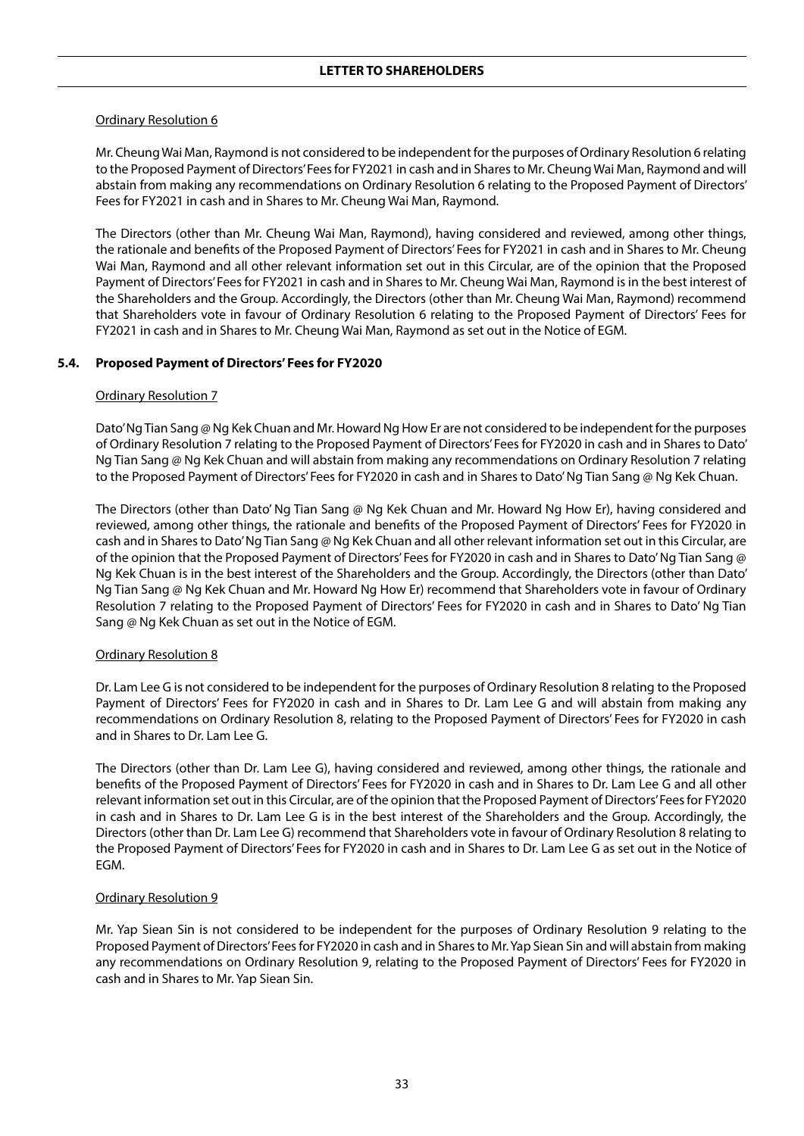#### Ordinary Resolution 6

Mr. Cheung Wai Man, Raymond is not considered to be independent for the purposes of Ordinary Resolution 6 relating to the Proposed Payment of Directors' Fees for FY2021 in cash and in Shares to Mr. Cheung Wai Man, Raymond and will abstain from making any recommendations on Ordinary Resolution 6 relating to the Proposed Payment of Directors' Fees for FY2021 in cash and in Shares to Mr. Cheung Wai Man, Raymond.

The Directors (other than Mr. Cheung Wai Man, Raymond), having considered and reviewed, among other things, the rationale and benefits of the Proposed Payment of Directors' Fees for FY2021 in cash and in Shares to Mr. Cheung Wai Man, Raymond and all other relevant information set out in this Circular, are of the opinion that the Proposed Payment of Directors' Fees for FY2021 in cash and in Shares to Mr. Cheung Wai Man, Raymond is in the best interest of the Shareholders and the Group. Accordingly, the Directors (other than Mr. Cheung Wai Man, Raymond) recommend that Shareholders vote in favour of Ordinary Resolution 6 relating to the Proposed Payment of Directors' Fees for FY2021 in cash and in Shares to Mr. Cheung Wai Man, Raymond as set out in the Notice of EGM.

#### **5.4. Proposed Payment of Directors' Fees for FY2020**

#### Ordinary Resolution 7

Dato' Ng Tian Sang @ Ng Kek Chuan and Mr. Howard Ng How Er are not considered to be independent for the purposes of Ordinary Resolution 7 relating to the Proposed Payment of Directors' Fees for FY2020 in cash and in Shares to Dato' Ng Tian Sang @ Ng Kek Chuan and will abstain from making any recommendations on Ordinary Resolution 7 relating to the Proposed Payment of Directors' Fees for FY2020 in cash and in Shares to Dato' Ng Tian Sang @ Ng Kek Chuan.

The Directors (other than Dato' Ng Tian Sang @ Ng Kek Chuan and Mr. Howard Ng How Er), having considered and reviewed, among other things, the rationale and benefits of the Proposed Payment of Directors' Fees for FY2020 in cash and in Shares to Dato' Ng Tian Sang @ Ng Kek Chuan and all other relevant information set out in this Circular, are of the opinion that the Proposed Payment of Directors' Fees for FY2020 in cash and in Shares to Dato' Ng Tian Sang @ Ng Kek Chuan is in the best interest of the Shareholders and the Group. Accordingly, the Directors (other than Dato' Ng Tian Sang @ Ng Kek Chuan and Mr. Howard Ng How Er) recommend that Shareholders vote in favour of Ordinary Resolution 7 relating to the Proposed Payment of Directors' Fees for FY2020 in cash and in Shares to Dato' Ng Tian Sang @ Ng Kek Chuan as set out in the Notice of EGM.

#### Ordinary Resolution 8

Dr. Lam Lee G is not considered to be independent for the purposes of Ordinary Resolution 8 relating to the Proposed Payment of Directors' Fees for FY2020 in cash and in Shares to Dr. Lam Lee G and will abstain from making any recommendations on Ordinary Resolution 8, relating to the Proposed Payment of Directors' Fees for FY2020 in cash and in Shares to Dr. Lam Lee G.

The Directors (other than Dr. Lam Lee G), having considered and reviewed, among other things, the rationale and benefits of the Proposed Payment of Directors' Fees for FY2020 in cash and in Shares to Dr. Lam Lee G and all other relevant information set out in this Circular, are of the opinion that the Proposed Payment of Directors' Fees for FY2020 in cash and in Shares to Dr. Lam Lee G is in the best interest of the Shareholders and the Group. Accordingly, the Directors (other than Dr. Lam Lee G) recommend that Shareholders vote in favour of Ordinary Resolution 8 relating to the Proposed Payment of Directors' Fees for FY2020 in cash and in Shares to Dr. Lam Lee G as set out in the Notice of EGM.

#### Ordinary Resolution 9

Mr. Yap Siean Sin is not considered to be independent for the purposes of Ordinary Resolution 9 relating to the Proposed Payment of Directors' Fees for FY2020 in cash and in Shares to Mr. Yap Siean Sin and will abstain from making any recommendations on Ordinary Resolution 9, relating to the Proposed Payment of Directors' Fees for FY2020 in cash and in Shares to Mr. Yap Siean Sin.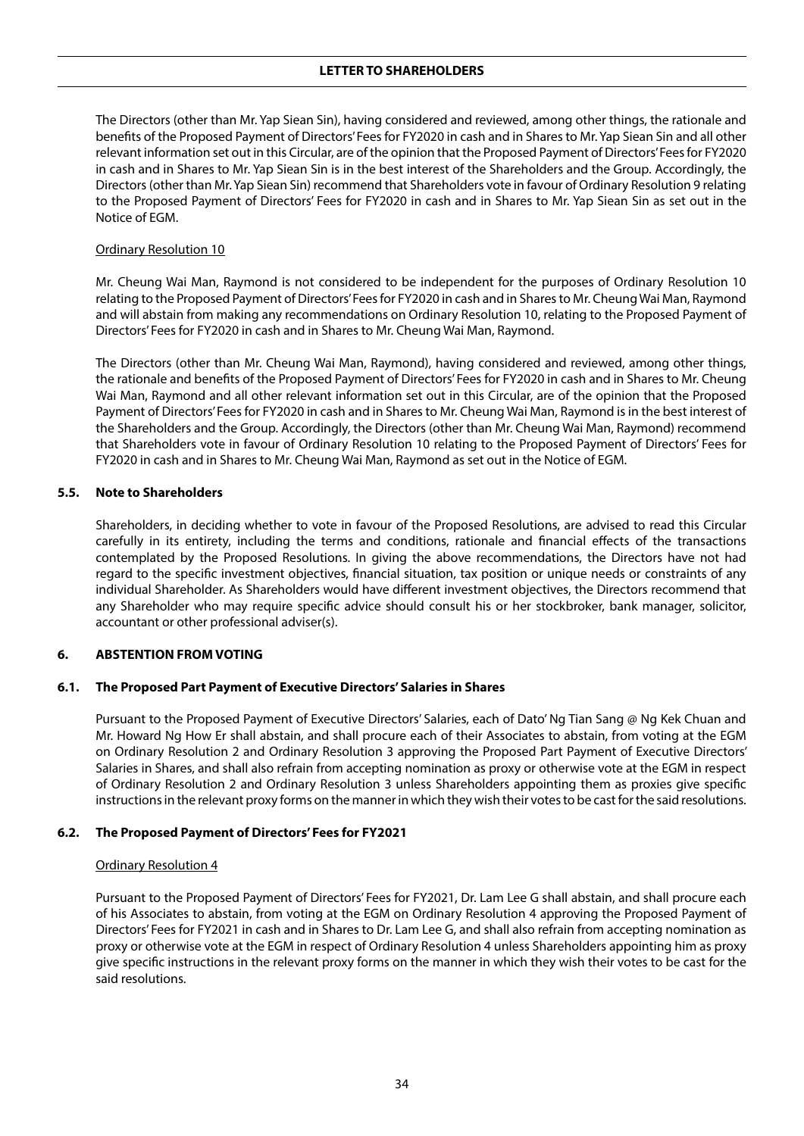## **LETTER TO SHAREHOLDERS**

The Directors (other than Mr. Yap Siean Sin), having considered and reviewed, among other things, the rationale and benefits of the Proposed Payment of Directors' Fees for FY2020 in cash and in Shares to Mr. Yap Siean Sin and all other relevant information set out in this Circular, are of the opinion that the Proposed Payment of Directors' Fees for FY2020 in cash and in Shares to Mr. Yap Siean Sin is in the best interest of the Shareholders and the Group. Accordingly, the Directors (other than Mr. Yap Siean Sin) recommend that Shareholders vote in favour of Ordinary Resolution 9 relating to the Proposed Payment of Directors' Fees for FY2020 in cash and in Shares to Mr. Yap Siean Sin as set out in the Notice of EGM.

## Ordinary Resolution 10

Mr. Cheung Wai Man, Raymond is not considered to be independent for the purposes of Ordinary Resolution 10 relating to the Proposed Payment of Directors' Fees for FY2020 in cash and in Shares to Mr. Cheung Wai Man, Raymond and will abstain from making any recommendations on Ordinary Resolution 10, relating to the Proposed Payment of Directors' Fees for FY2020 in cash and in Shares to Mr. Cheung Wai Man, Raymond.

The Directors (other than Mr. Cheung Wai Man, Raymond), having considered and reviewed, among other things, the rationale and benefits of the Proposed Payment of Directors' Fees for FY2020 in cash and in Shares to Mr. Cheung Wai Man, Raymond and all other relevant information set out in this Circular, are of the opinion that the Proposed Payment of Directors' Fees for FY2020 in cash and in Shares to Mr. Cheung Wai Man, Raymond is in the best interest of the Shareholders and the Group. Accordingly, the Directors (other than Mr. Cheung Wai Man, Raymond) recommend that Shareholders vote in favour of Ordinary Resolution 10 relating to the Proposed Payment of Directors' Fees for FY2020 in cash and in Shares to Mr. Cheung Wai Man, Raymond as set out in the Notice of EGM.

## **5.5. Note to Shareholders**

Shareholders, in deciding whether to vote in favour of the Proposed Resolutions, are advised to read this Circular carefully in its entirety, including the terms and conditions, rationale and financial effects of the transactions contemplated by the Proposed Resolutions. In giving the above recommendations, the Directors have not had regard to the specific investment objectives, financial situation, tax position or unique needs or constraints of any individual Shareholder. As Shareholders would have different investment objectives, the Directors recommend that any Shareholder who may require specific advice should consult his or her stockbroker, bank manager, solicitor, accountant or other professional adviser(s).

## **6. ABSTENTION FROM VOTING**

## **6.1. The Proposed Part Payment of Executive Directors' Salaries in Shares**

Pursuant to the Proposed Payment of Executive Directors' Salaries, each of Dato' Ng Tian Sang @ Ng Kek Chuan and Mr. Howard Ng How Er shall abstain, and shall procure each of their Associates to abstain, from voting at the EGM on Ordinary Resolution 2 and Ordinary Resolution 3 approving the Proposed Part Payment of Executive Directors' Salaries in Shares, and shall also refrain from accepting nomination as proxy or otherwise vote at the EGM in respect of Ordinary Resolution 2 and Ordinary Resolution 3 unless Shareholders appointing them as proxies give specific instructions in the relevant proxy forms on the manner in which they wish their votes to be cast for the said resolutions.

#### **6.2. The Proposed Payment of Directors' Fees for FY2021**

#### Ordinary Resolution 4

Pursuant to the Proposed Payment of Directors' Fees for FY2021, Dr. Lam Lee G shall abstain, and shall procure each of his Associates to abstain, from voting at the EGM on Ordinary Resolution 4 approving the Proposed Payment of Directors' Fees for FY2021 in cash and in Shares to Dr. Lam Lee G, and shall also refrain from accepting nomination as proxy or otherwise vote at the EGM in respect of Ordinary Resolution 4 unless Shareholders appointing him as proxy give specific instructions in the relevant proxy forms on the manner in which they wish their votes to be cast for the said resolutions.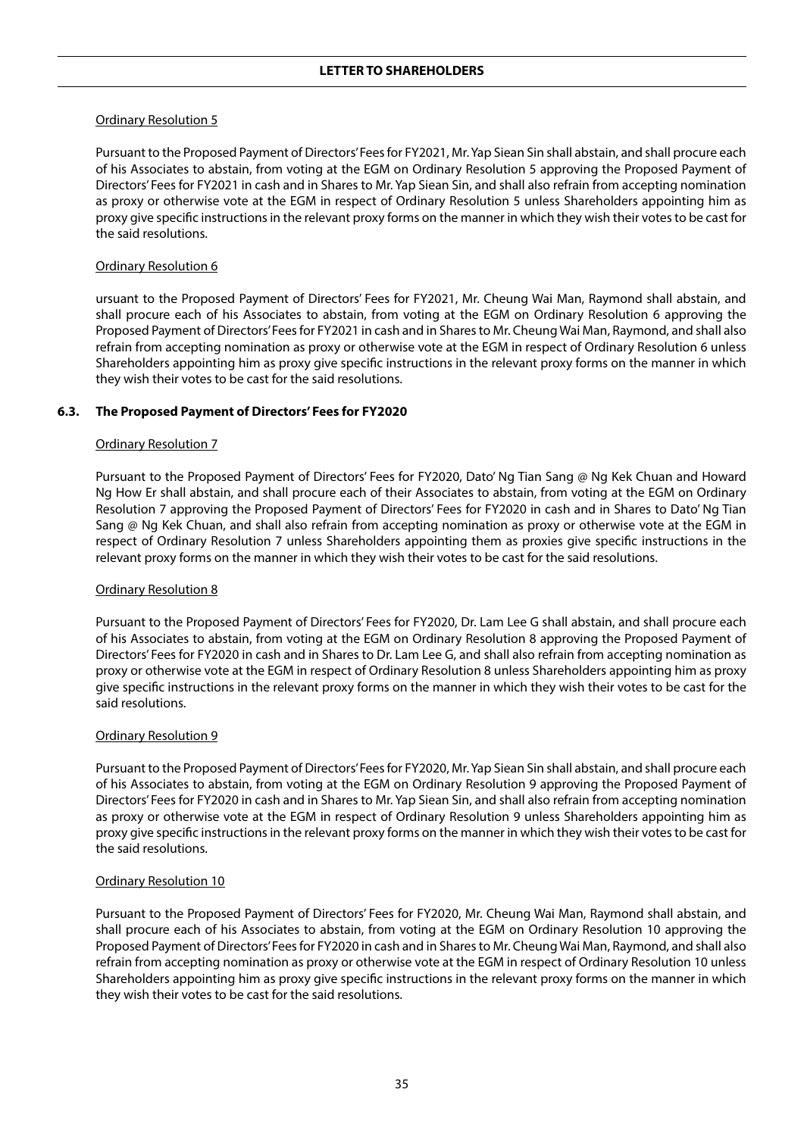#### Ordinary Resolution 5

Pursuant to the Proposed Payment of Directors' Fees for FY2021, Mr. Yap Siean Sin shall abstain, and shall procure each of his Associates to abstain, from voting at the EGM on Ordinary Resolution 5 approving the Proposed Payment of Directors' Fees for FY2021 in cash and in Shares to Mr. Yap Siean Sin, and shall also refrain from accepting nomination as proxy or otherwise vote at the EGM in respect of Ordinary Resolution 5 unless Shareholders appointing him as proxy give specific instructions in the relevant proxy forms on the manner in which they wish their votes to be cast for the said resolutions.

#### Ordinary Resolution 6

ursuant to the Proposed Payment of Directors' Fees for FY2021, Mr. Cheung Wai Man, Raymond shall abstain, and shall procure each of his Associates to abstain, from voting at the EGM on Ordinary Resolution 6 approving the Proposed Payment of Directors' Fees for FY2021 in cash and in Shares to Mr. Cheung Wai Man, Raymond, and shall also refrain from accepting nomination as proxy or otherwise vote at the EGM in respect of Ordinary Resolution 6 unless Shareholders appointing him as proxy give specific instructions in the relevant proxy forms on the manner in which they wish their votes to be cast for the said resolutions.

## **6.3. The Proposed Payment of Directors' Fees for FY2020**

## Ordinary Resolution 7

Pursuant to the Proposed Payment of Directors' Fees for FY2020, Dato' Ng Tian Sang @ Ng Kek Chuan and Howard Ng How Er shall abstain, and shall procure each of their Associates to abstain, from voting at the EGM on Ordinary Resolution 7 approving the Proposed Payment of Directors' Fees for FY2020 in cash and in Shares to Dato' Ng Tian Sang @ Ng Kek Chuan, and shall also refrain from accepting nomination as proxy or otherwise vote at the EGM in respect of Ordinary Resolution 7 unless Shareholders appointing them as proxies give specific instructions in the relevant proxy forms on the manner in which they wish their votes to be cast for the said resolutions.

#### Ordinary Resolution 8

Pursuant to the Proposed Payment of Directors' Fees for FY2020, Dr. Lam Lee G shall abstain, and shall procure each of his Associates to abstain, from voting at the EGM on Ordinary Resolution 8 approving the Proposed Payment of Directors' Fees for FY2020 in cash and in Shares to Dr. Lam Lee G, and shall also refrain from accepting nomination as proxy or otherwise vote at the EGM in respect of Ordinary Resolution 8 unless Shareholders appointing him as proxy give specific instructions in the relevant proxy forms on the manner in which they wish their votes to be cast for the said resolutions.

#### Ordinary Resolution 9

Pursuant to the Proposed Payment of Directors' Fees for FY2020, Mr. Yap Siean Sin shall abstain, and shall procure each of his Associates to abstain, from voting at the EGM on Ordinary Resolution 9 approving the Proposed Payment of Directors' Fees for FY2020 in cash and in Shares to Mr. Yap Siean Sin, and shall also refrain from accepting nomination as proxy or otherwise vote at the EGM in respect of Ordinary Resolution 9 unless Shareholders appointing him as proxy give specific instructions in the relevant proxy forms on the manner in which they wish their votes to be cast for the said resolutions.

#### Ordinary Resolution 10

Pursuant to the Proposed Payment of Directors' Fees for FY2020, Mr. Cheung Wai Man, Raymond shall abstain, and shall procure each of his Associates to abstain, from voting at the EGM on Ordinary Resolution 10 approving the Proposed Payment of Directors' Fees for FY2020 in cash and in Shares to Mr. Cheung Wai Man, Raymond, and shall also refrain from accepting nomination as proxy or otherwise vote at the EGM in respect of Ordinary Resolution 10 unless Shareholders appointing him as proxy give specific instructions in the relevant proxy forms on the manner in which they wish their votes to be cast for the said resolutions.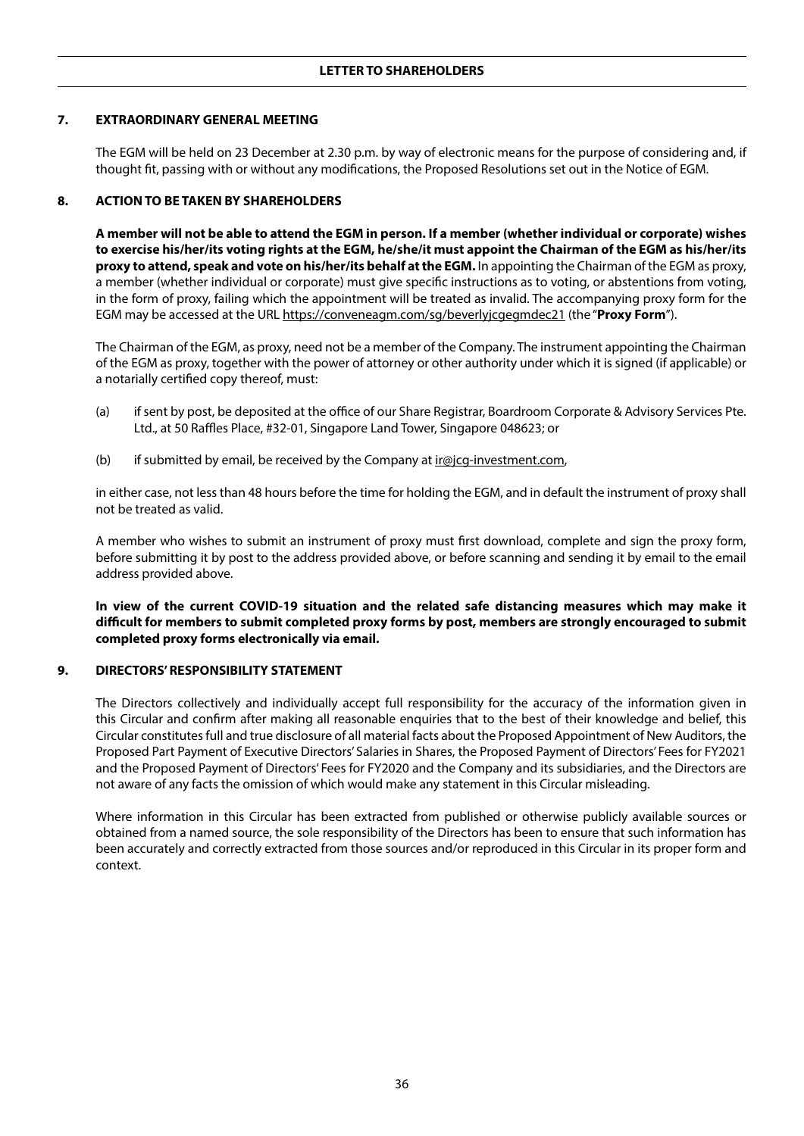## **7. EXTRAORDINARY GENERAL MEETING**

The EGM will be held on 23 December at 2.30 p.m. by way of electronic means for the purpose of considering and, if thought fit, passing with or without any modifications, the Proposed Resolutions set out in the Notice of EGM.

#### **8. ACTION TO BE TAKEN BY SHAREHOLDERS**

**A member will not be able to attend the EGM in person. If a member (whether individual or corporate) wishes to exercise his/her/its voting rights at the EGM, he/she/it must appoint the Chairman of the EGM as his/her/its proxy to attend, speak and vote on his/her/its behalf at the EGM.** In appointing the Chairman of the EGM as proxy, a member (whether individual or corporate) must give specific instructions as to voting, or abstentions from voting, in the form of proxy, failing which the appointment will be treated as invalid. The accompanying proxy form for the EGM may be accessed at the URL https://conveneagm.com/sg/beverlyjcgegmdec21 (the "Proxy Form").

The Chairman of the EGM, as proxy, need not be a member of the Company. The instrument appointing the Chairman of the EGM as proxy, together with the power of attorney or other authority under which it is signed (if applicable) or a notarially certified copy thereof, must:

- (a) if sent by post, be deposited at the office of our Share Registrar, Boardroom Corporate & Advisory Services Pte. Ltd., at 50 Raffles Place, #32-01, Singapore Land Tower, Singapore 048623; or
- (b) if submitted by email, be received by the Company at  $\text{ir@}$  icg-investment.com,

in either case, not less than 48 hours before the time for holding the EGM, and in default the instrument of proxy shall not be treated as valid.

A member who wishes to submit an instrument of proxy must first download, complete and sign the proxy form, before submitting it by post to the address provided above, or before scanning and sending it by email to the email address provided above.

**In view of the current COVID-19 situation and the related safe distancing measures which may make it difficult for members to submit completed proxy forms by post, members are strongly encouraged to submit completed proxy forms electronically via email.**

#### **9. DIRECTORS' RESPONSIBILITY STATEMENT**

The Directors collectively and individually accept full responsibility for the accuracy of the information given in this Circular and confirm after making all reasonable enquiries that to the best of their knowledge and belief, this Circular constitutes full and true disclosure of all material facts about the Proposed Appointment of New Auditors, the Proposed Part Payment of Executive Directors' Salaries in Shares, the Proposed Payment of Directors' Fees for FY2021 and the Proposed Payment of Directors' Fees for FY2020 and the Company and its subsidiaries, and the Directors are not aware of any facts the omission of which would make any statement in this Circular misleading.

Where information in this Circular has been extracted from published or otherwise publicly available sources or obtained from a named source, the sole responsibility of the Directors has been to ensure that such information has been accurately and correctly extracted from those sources and/or reproduced in this Circular in its proper form and context.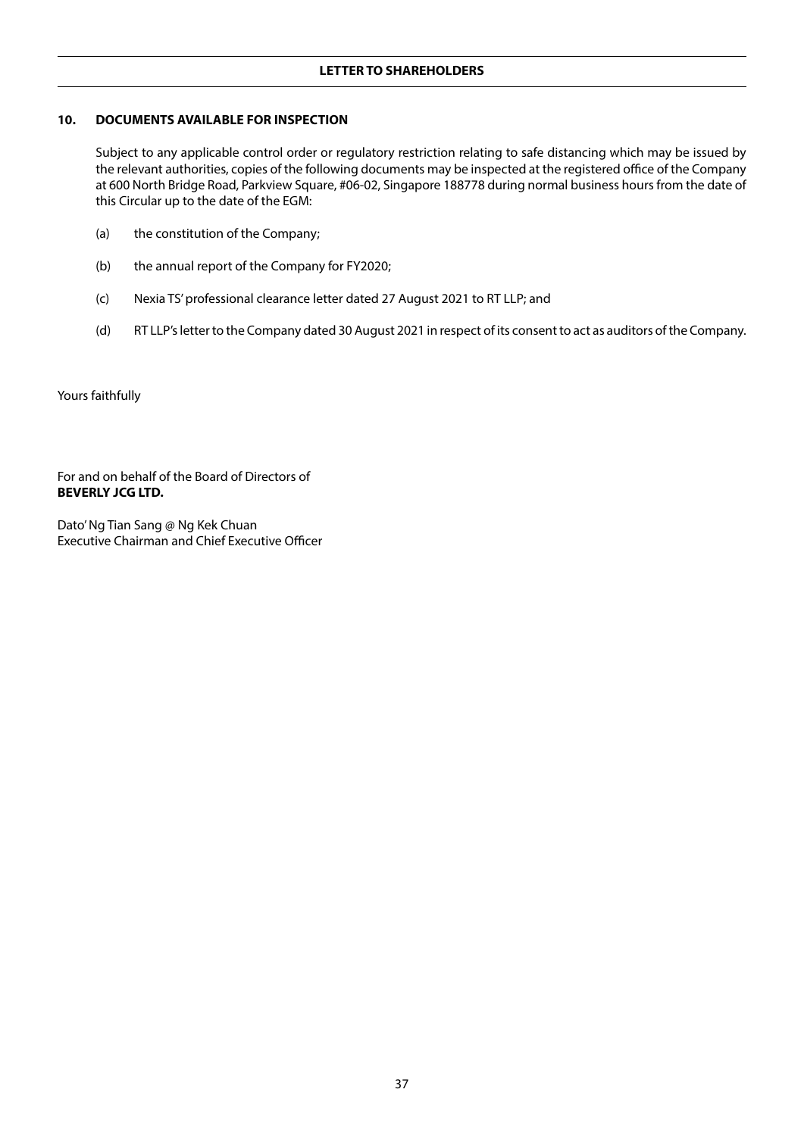## **10. DOCUMENTS AVAILABLE FOR INSPECTION**

Subject to any applicable control order or regulatory restriction relating to safe distancing which may be issued by the relevant authorities, copies of the following documents may be inspected at the registered office of the Company at 600 North Bridge Road, Parkview Square, #06-02, Singapore 188778 during normal business hours from the date of this Circular up to the date of the EGM:

- (a) the constitution of the Company;
- (b) the annual report of the Company for FY2020;
- (c) Nexia TS' professional clearance letter dated 27 August 2021 to RT LLP; and
- (d) RT LLP's letter to the Company dated 30 August 2021 in respect of its consent to act as auditors of the Company.

Yours faithfully

For and on behalf of the Board of Directors of **BEVERLY JCG LTD.** 

Dato' Ng Tian Sang @ Ng Kek Chuan Executive Chairman and Chief Executive Officer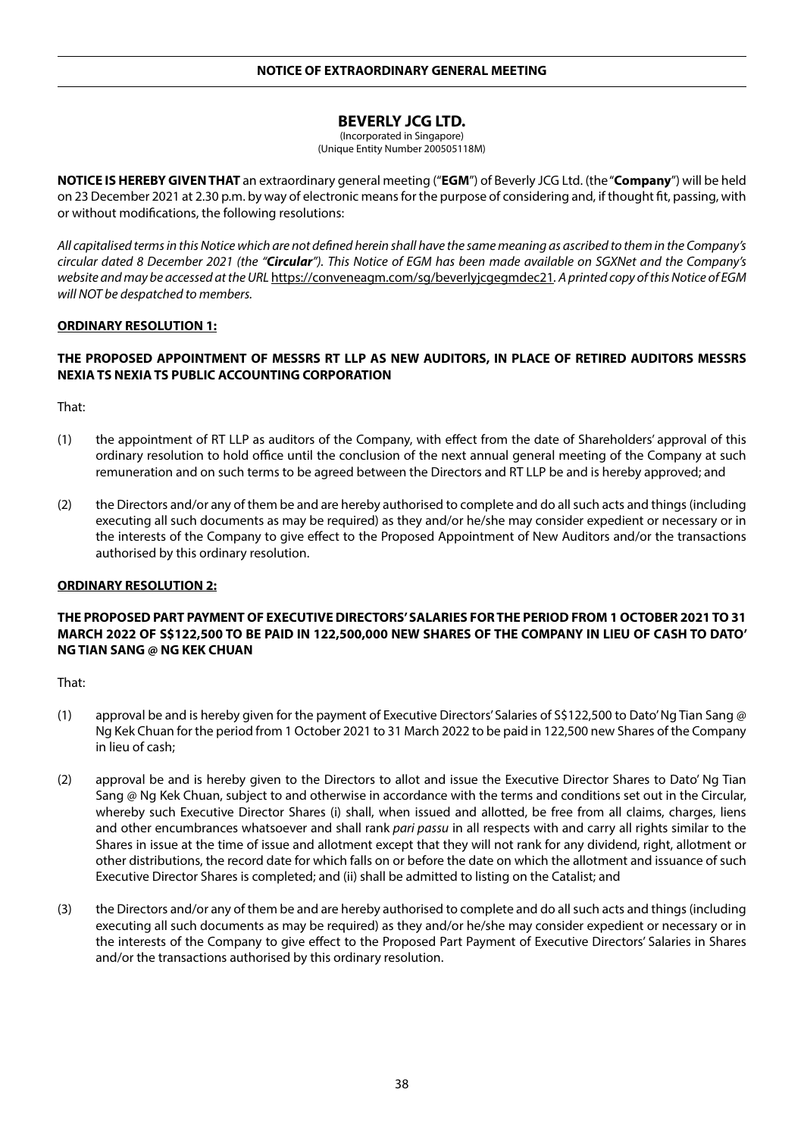# **BEVERLY JCG LTD.**

(Incorporated in Singapore) (Unique Entity Number 200505118M)

**NOTICE IS HEREBY GIVEN THAT** an extraordinary general meeting ("**EGM**") of Beverly JCG Ltd. (the "**Company**") will be held on 23 December 2021 at 2.30 p.m. by way of electronic means for the purpose of considering and, if thought fit, passing, with or without modifications, the following resolutions:

*All capitalised terms in this Notice which are not defined herein shall have the same meaning as ascribed to them in the Company's circular dated 8 December 2021 (the "Circular"). This Notice of EGM has been made available on SGXNet and the Company's website and may be accessed at the URL* https://conveneagm.com/sg/beverlyjcgegmdec21*. A printed copy of this Notice of EGM will NOT be despatched to members.*

## **ORDINARY RESOLUTION 1:**

## **THE PROPOSED APPOINTMENT OF MESSRS RT LLP AS NEW AUDITORS, IN PLACE OF RETIRED AUDITORS MESSRS NEXIA TS NEXIA TS PUBLIC ACCOUNTING CORPORATION**

That:

- (1) the appointment of RT LLP as auditors of the Company, with effect from the date of Shareholders' approval of this ordinary resolution to hold office until the conclusion of the next annual general meeting of the Company at such remuneration and on such terms to be agreed between the Directors and RT LLP be and is hereby approved; and
- (2) the Directors and/or any of them be and are hereby authorised to complete and do all such acts and things (including executing all such documents as may be required) as they and/or he/she may consider expedient or necessary or in the interests of the Company to give effect to the Proposed Appointment of New Auditors and/or the transactions authorised by this ordinary resolution.

#### **ORDINARY RESOLUTION 2:**

## **THE PROPOSED PART PAYMENT OF EXECUTIVE DIRECTORS' SALARIES FOR THE PERIOD FROM 1 OCTOBER 2021 TO 31 MARCH 2022 OF S\$122,500 TO BE PAID IN 122,500,000 NEW SHARES OF THE COMPANY IN LIEU OF CASH TO DATO' NG TIAN SANG @ NG KEK CHUAN**

- (1) approval be and is hereby given for the payment of Executive Directors' Salaries of S\$122,500 to Dato' Ng Tian Sang @ Ng Kek Chuan for the period from 1 October 2021 to 31 March 2022 to be paid in 122,500 new Shares of the Company in lieu of cash;
- (2) approval be and is hereby given to the Directors to allot and issue the Executive Director Shares to Dato' Ng Tian Sang @ Ng Kek Chuan, subject to and otherwise in accordance with the terms and conditions set out in the Circular, whereby such Executive Director Shares (i) shall, when issued and allotted, be free from all claims, charges, liens and other encumbrances whatsoever and shall rank *pari passu* in all respects with and carry all rights similar to the Shares in issue at the time of issue and allotment except that they will not rank for any dividend, right, allotment or other distributions, the record date for which falls on or before the date on which the allotment and issuance of such Executive Director Shares is completed; and (ii) shall be admitted to listing on the Catalist; and
- (3) the Directors and/or any of them be and are hereby authorised to complete and do all such acts and things (including executing all such documents as may be required) as they and/or he/she may consider expedient or necessary or in the interests of the Company to give effect to the Proposed Part Payment of Executive Directors' Salaries in Shares and/or the transactions authorised by this ordinary resolution.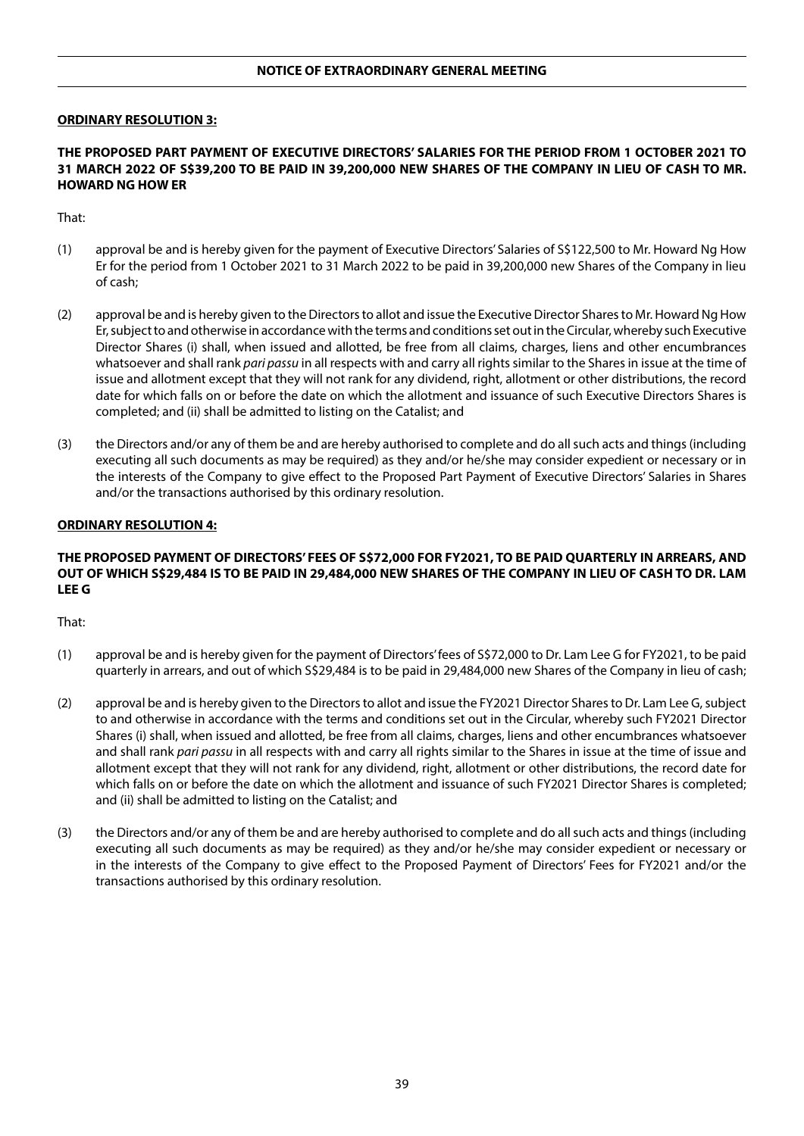## **NOTICE OF EXTRAORDINARY GENERAL MEETING**

#### **ORDINARY RESOLUTION 3:**

## **THE PROPOSED PART PAYMENT OF EXECUTIVE DIRECTORS' SALARIES FOR THE PERIOD FROM 1 OCTOBER 2021 TO 31 MARCH 2022 OF S\$39,200 TO BE PAID IN 39,200,000 NEW SHARES OF THE COMPANY IN LIEU OF CASH TO MR. HOWARD NG HOW ER**

That:

- (1) approval be and is hereby given for the payment of Executive Directors' Salaries of S\$122,500 to Mr. Howard Ng How Er for the period from 1 October 2021 to 31 March 2022 to be paid in 39,200,000 new Shares of the Company in lieu of cash;
- (2) approval be and is hereby given to the Directors to allot and issue the Executive Director Shares to Mr. Howard Ng How Er, subject to and otherwise in accordance with the terms and conditions set out in the Circular, whereby such Executive Director Shares (i) shall, when issued and allotted, be free from all claims, charges, liens and other encumbrances whatsoever and shall rank *pari passu* in all respects with and carry all rights similar to the Shares in issue at the time of issue and allotment except that they will not rank for any dividend, right, allotment or other distributions, the record date for which falls on or before the date on which the allotment and issuance of such Executive Directors Shares is completed; and (ii) shall be admitted to listing on the Catalist; and
- (3) the Directors and/or any of them be and are hereby authorised to complete and do all such acts and things (including executing all such documents as may be required) as they and/or he/she may consider expedient or necessary or in the interests of the Company to give effect to the Proposed Part Payment of Executive Directors' Salaries in Shares and/or the transactions authorised by this ordinary resolution.

#### **ORDINARY RESOLUTION 4:**

## **THE PROPOSED PAYMENT OF DIRECTORS' FEES OF S\$72,000 FOR FY2021, TO BE PAID QUARTERLY IN ARREARS, AND OUT OF WHICH S\$29,484 IS TO BE PAID IN 29,484,000 NEW SHARES OF THE COMPANY IN LIEU OF CASH TO DR. LAM LEE G**

- (1) approval be and is hereby given for the payment of Directors' fees of S\$72,000 to Dr. Lam Lee G for FY2021, to be paid quarterly in arrears, and out of which S\$29,484 is to be paid in 29,484,000 new Shares of the Company in lieu of cash;
- (2) approval be and is hereby given to the Directors to allot and issue the FY2021 Director Shares to Dr. Lam Lee G, subject to and otherwise in accordance with the terms and conditions set out in the Circular, whereby such FY2021 Director Shares (i) shall, when issued and allotted, be free from all claims, charges, liens and other encumbrances whatsoever and shall rank *pari passu* in all respects with and carry all rights similar to the Shares in issue at the time of issue and allotment except that they will not rank for any dividend, right, allotment or other distributions, the record date for which falls on or before the date on which the allotment and issuance of such FY2021 Director Shares is completed; and (ii) shall be admitted to listing on the Catalist; and
- (3) the Directors and/or any of them be and are hereby authorised to complete and do all such acts and things (including executing all such documents as may be required) as they and/or he/she may consider expedient or necessary or in the interests of the Company to give effect to the Proposed Payment of Directors' Fees for FY2021 and/or the transactions authorised by this ordinary resolution.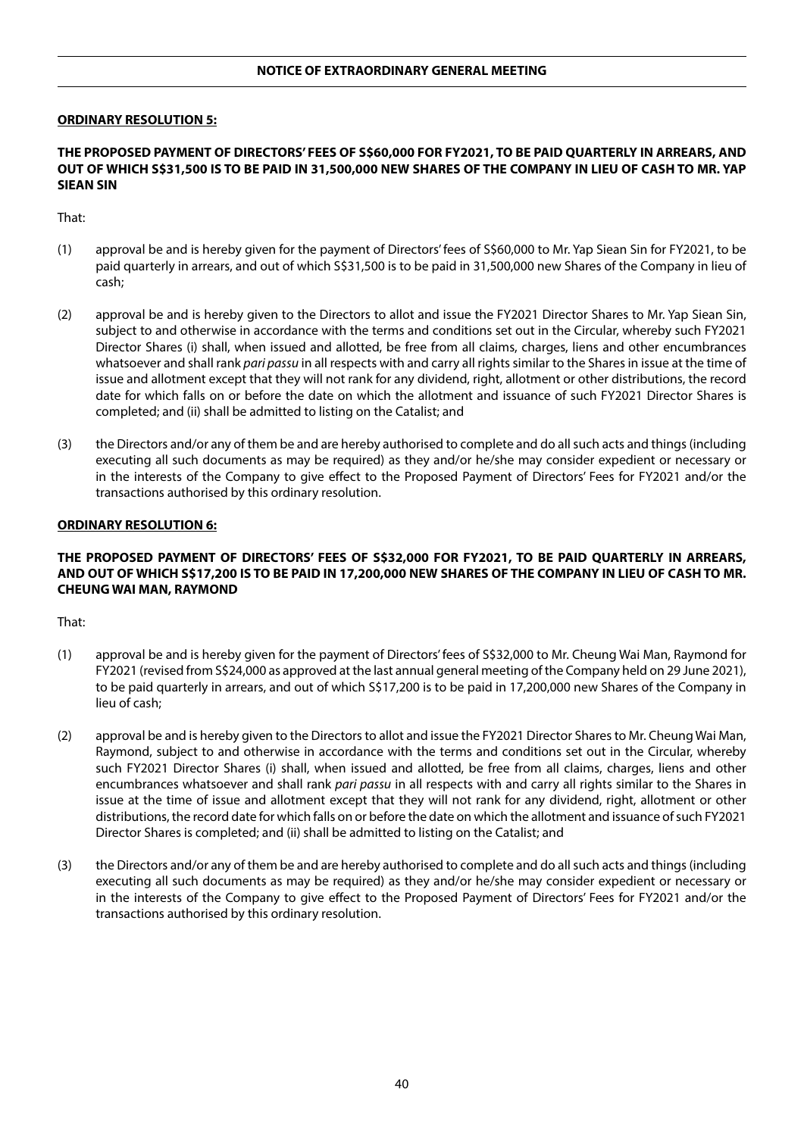#### **ORDINARY RESOLUTION 5:**

## **THE PROPOSED PAYMENT OF DIRECTORS' FEES OF S\$60,000 FOR FY2021, TO BE PAID QUARTERLY IN ARREARS, AND OUT OF WHICH S\$31,500 IS TO BE PAID IN 31,500,000 NEW SHARES OF THE COMPANY IN LIEU OF CASH TO MR. YAP SIEAN SIN**

That:

- (1) approval be and is hereby given for the payment of Directors' fees of S\$60,000 to Mr. Yap Siean Sin for FY2021, to be paid quarterly in arrears, and out of which S\$31,500 is to be paid in 31,500,000 new Shares of the Company in lieu of cash;
- (2) approval be and is hereby given to the Directors to allot and issue the FY2021 Director Shares to Mr. Yap Siean Sin, subject to and otherwise in accordance with the terms and conditions set out in the Circular, whereby such FY2021 Director Shares (i) shall, when issued and allotted, be free from all claims, charges, liens and other encumbrances whatsoever and shall rank *pari passu* in all respects with and carry all rights similar to the Shares in issue at the time of issue and allotment except that they will not rank for any dividend, right, allotment or other distributions, the record date for which falls on or before the date on which the allotment and issuance of such FY2021 Director Shares is completed; and (ii) shall be admitted to listing on the Catalist; and
- (3) the Directors and/or any of them be and are hereby authorised to complete and do all such acts and things (including executing all such documents as may be required) as they and/or he/she may consider expedient or necessary or in the interests of the Company to give effect to the Proposed Payment of Directors' Fees for FY2021 and/or the transactions authorised by this ordinary resolution.

#### **ORDINARY RESOLUTION 6:**

## **THE PROPOSED PAYMENT OF DIRECTORS' FEES OF S\$32,000 FOR FY2021, TO BE PAID QUARTERLY IN ARREARS, AND OUT OF WHICH S\$17,200 IS TO BE PAID IN 17,200,000 NEW SHARES OF THE COMPANY IN LIEU OF CASH TO MR. CHEUNG WAI MAN, RAYMOND**

- (1) approval be and is hereby given for the payment of Directors' fees of S\$32,000 to Mr. Cheung Wai Man, Raymond for FY2021 (revised from S\$24,000 as approved at the last annual general meeting of the Company held on 29 June 2021), to be paid quarterly in arrears, and out of which S\$17,200 is to be paid in 17,200,000 new Shares of the Company in lieu of cash;
- (2) approval be and is hereby given to the Directors to allot and issue the FY2021 Director Shares to Mr. Cheung Wai Man, Raymond, subject to and otherwise in accordance with the terms and conditions set out in the Circular, whereby such FY2021 Director Shares (i) shall, when issued and allotted, be free from all claims, charges, liens and other encumbrances whatsoever and shall rank *pari passu* in all respects with and carry all rights similar to the Shares in issue at the time of issue and allotment except that they will not rank for any dividend, right, allotment or other distributions, the record date for which falls on or before the date on which the allotment and issuance of such FY2021 Director Shares is completed; and (ii) shall be admitted to listing on the Catalist; and
- (3) the Directors and/or any of them be and are hereby authorised to complete and do all such acts and things (including executing all such documents as may be required) as they and/or he/she may consider expedient or necessary or in the interests of the Company to give effect to the Proposed Payment of Directors' Fees for FY2021 and/or the transactions authorised by this ordinary resolution.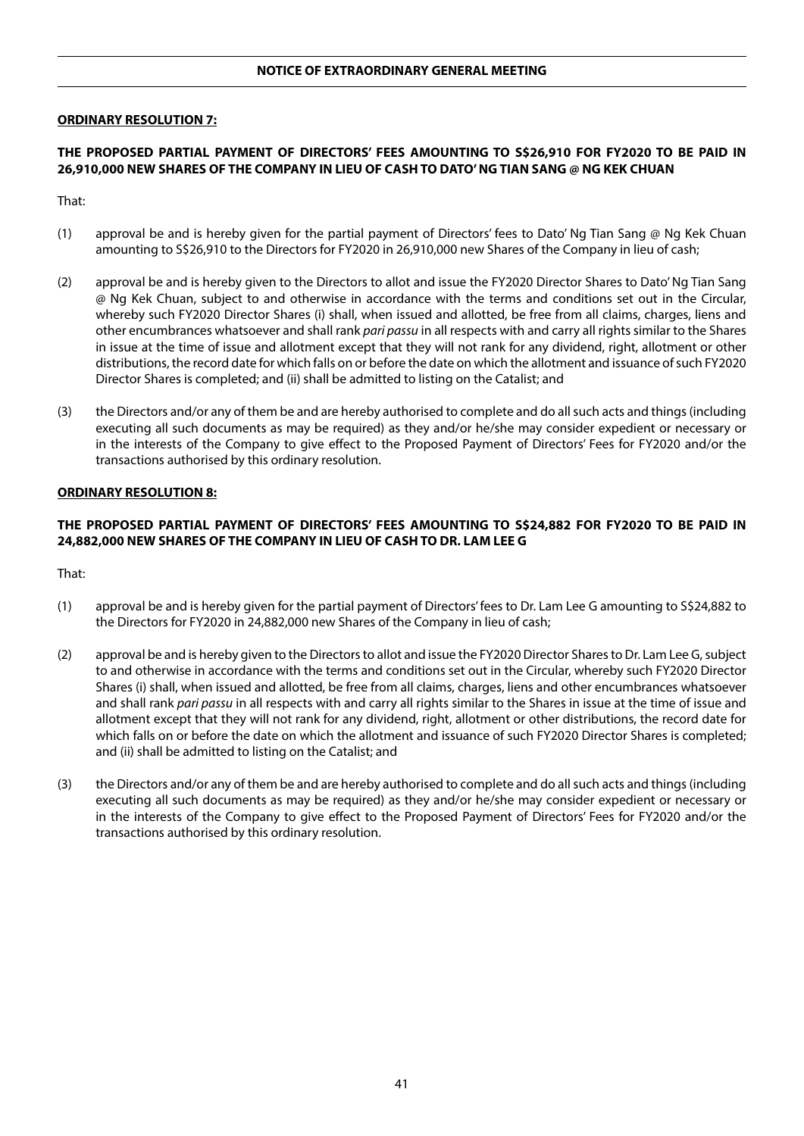#### **ORDINARY RESOLUTION 7:**

## **THE PROPOSED PARTIAL PAYMENT OF DIRECTORS' FEES AMOUNTING TO S\$26,910 FOR FY2020 TO BE PAID IN 26,910,000 NEW SHARES OF THE COMPANY IN LIEU OF CASH TO DATO' NG TIAN SANG @ NG KEK CHUAN**

That:

- (1) approval be and is hereby given for the partial payment of Directors' fees to Dato' Ng Tian Sang @ Ng Kek Chuan amounting to S\$26,910 to the Directors for FY2020 in 26,910,000 new Shares of the Company in lieu of cash;
- (2) approval be and is hereby given to the Directors to allot and issue the FY2020 Director Shares to Dato' Ng Tian Sang @ Ng Kek Chuan, subject to and otherwise in accordance with the terms and conditions set out in the Circular, whereby such FY2020 Director Shares (i) shall, when issued and allotted, be free from all claims, charges, liens and other encumbrances whatsoever and shall rank *pari passu* in all respects with and carry all rights similar to the Shares in issue at the time of issue and allotment except that they will not rank for any dividend, right, allotment or other distributions, the record date for which falls on or before the date on which the allotment and issuance of such FY2020 Director Shares is completed; and (ii) shall be admitted to listing on the Catalist; and
- (3) the Directors and/or any of them be and are hereby authorised to complete and do all such acts and things (including executing all such documents as may be required) as they and/or he/she may consider expedient or necessary or in the interests of the Company to give effect to the Proposed Payment of Directors' Fees for FY2020 and/or the transactions authorised by this ordinary resolution.

## **ORDINARY RESOLUTION 8:**

## **THE PROPOSED PARTIAL PAYMENT OF DIRECTORS' FEES AMOUNTING TO S\$24,882 FOR FY2020 TO BE PAID IN 24,882,000 NEW SHARES OF THE COMPANY IN LIEU OF CASH TO DR. LAM LEE G**

- (1) approval be and is hereby given for the partial payment of Directors' fees to Dr. Lam Lee G amounting to S\$24,882 to the Directors for FY2020 in 24,882,000 new Shares of the Company in lieu of cash;
- (2) approval be and is hereby given to the Directors to allot and issue the FY2020 Director Shares to Dr. Lam Lee G, subject to and otherwise in accordance with the terms and conditions set out in the Circular, whereby such FY2020 Director Shares (i) shall, when issued and allotted, be free from all claims, charges, liens and other encumbrances whatsoever and shall rank *pari passu* in all respects with and carry all rights similar to the Shares in issue at the time of issue and allotment except that they will not rank for any dividend, right, allotment or other distributions, the record date for which falls on or before the date on which the allotment and issuance of such FY2020 Director Shares is completed; and (ii) shall be admitted to listing on the Catalist; and
- (3) the Directors and/or any of them be and are hereby authorised to complete and do all such acts and things (including executing all such documents as may be required) as they and/or he/she may consider expedient or necessary or in the interests of the Company to give effect to the Proposed Payment of Directors' Fees for FY2020 and/or the transactions authorised by this ordinary resolution.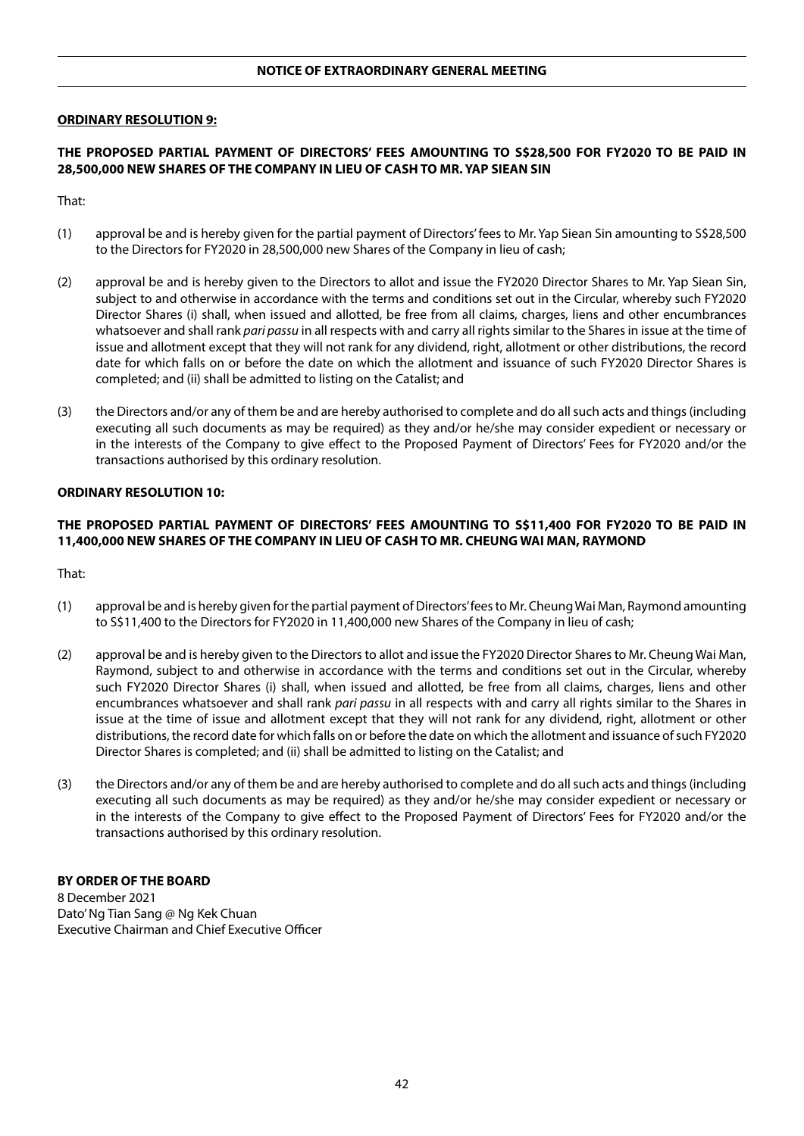#### **ORDINARY RESOLUTION 9:**

## **THE PROPOSED PARTIAL PAYMENT OF DIRECTORS' FEES AMOUNTING TO S\$28,500 FOR FY2020 TO BE PAID IN 28,500,000 NEW SHARES OF THE COMPANY IN LIEU OF CASH TO MR. YAP SIEAN SIN**

That:

- (1) approval be and is hereby given for the partial payment of Directors' fees to Mr. Yap Siean Sin amounting to S\$28,500 to the Directors for FY2020 in 28,500,000 new Shares of the Company in lieu of cash;
- (2) approval be and is hereby given to the Directors to allot and issue the FY2020 Director Shares to Mr. Yap Siean Sin, subject to and otherwise in accordance with the terms and conditions set out in the Circular, whereby such FY2020 Director Shares (i) shall, when issued and allotted, be free from all claims, charges, liens and other encumbrances whatsoever and shall rank *pari passu* in all respects with and carry all rights similar to the Shares in issue at the time of issue and allotment except that they will not rank for any dividend, right, allotment or other distributions, the record date for which falls on or before the date on which the allotment and issuance of such FY2020 Director Shares is completed; and (ii) shall be admitted to listing on the Catalist; and
- (3) the Directors and/or any of them be and are hereby authorised to complete and do all such acts and things (including executing all such documents as may be required) as they and/or he/she may consider expedient or necessary or in the interests of the Company to give effect to the Proposed Payment of Directors' Fees for FY2020 and/or the transactions authorised by this ordinary resolution.

## **ORDINARY RESOLUTION 10:**

## **THE PROPOSED PARTIAL PAYMENT OF DIRECTORS' FEES AMOUNTING TO S\$11,400 FOR FY2020 TO BE PAID IN 11,400,000 NEW SHARES OF THE COMPANY IN LIEU OF CASH TO MR. CHEUNG WAI MAN, RAYMOND**

That:

- (1) approval be and is hereby given for the partial payment of Directors' fees to Mr. Cheung Wai Man, Raymond amounting to S\$11,400 to the Directors for FY2020 in 11,400,000 new Shares of the Company in lieu of cash;
- (2) approval be and is hereby given to the Directors to allot and issue the FY2020 Director Shares to Mr. Cheung Wai Man, Raymond, subject to and otherwise in accordance with the terms and conditions set out in the Circular, whereby such FY2020 Director Shares (i) shall, when issued and allotted, be free from all claims, charges, liens and other encumbrances whatsoever and shall rank *pari passu* in all respects with and carry all rights similar to the Shares in issue at the time of issue and allotment except that they will not rank for any dividend, right, allotment or other distributions, the record date for which falls on or before the date on which the allotment and issuance of such FY2020 Director Shares is completed; and (ii) shall be admitted to listing on the Catalist; and
- (3) the Directors and/or any of them be and are hereby authorised to complete and do all such acts and things (including executing all such documents as may be required) as they and/or he/she may consider expedient or necessary or in the interests of the Company to give effect to the Proposed Payment of Directors' Fees for FY2020 and/or the transactions authorised by this ordinary resolution.

#### **BY ORDER OF THE BOARD**

8 December 2021 Dato' Ng Tian Sang @ Ng Kek Chuan Executive Chairman and Chief Executive Officer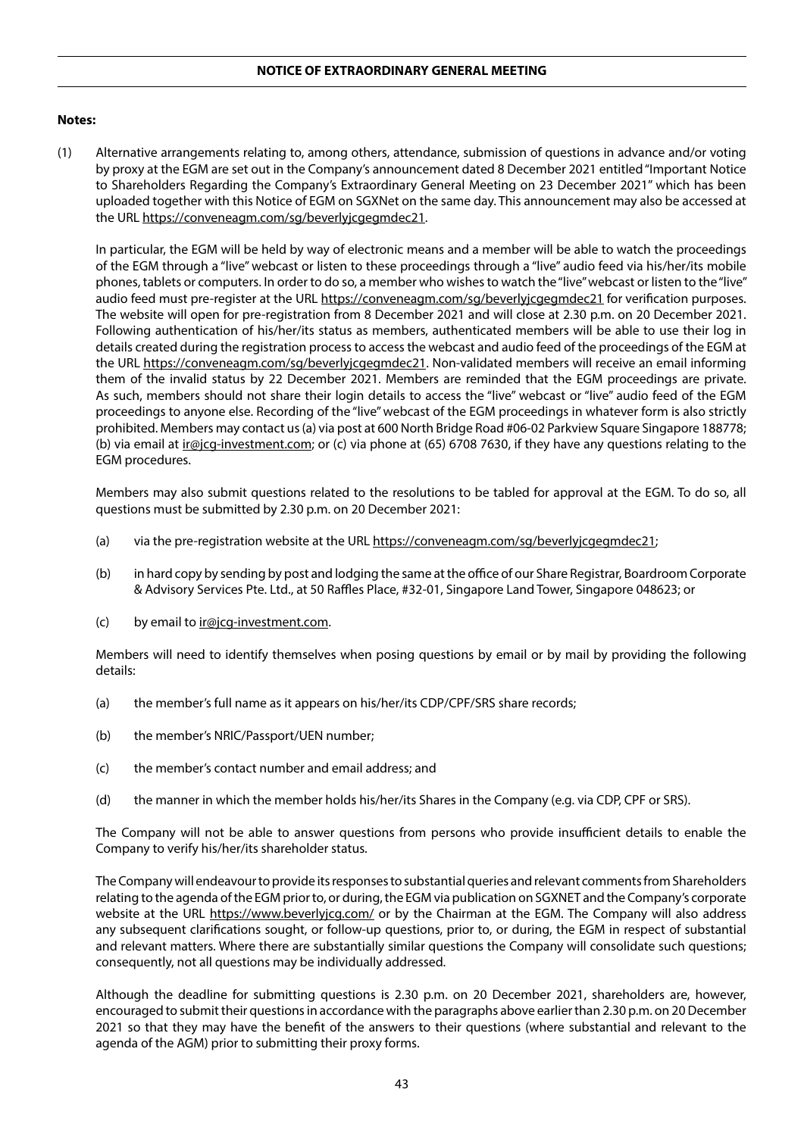## **Notes:**

(1) Alternative arrangements relating to, among others, attendance, submission of questions in advance and/or voting by proxy at the EGM are set out in the Company's announcement dated 8 December 2021 entitled "Important Notice to Shareholders Regarding the Company's Extraordinary General Meeting on 23 December 2021" which has been uploaded together with this Notice of EGM on SGXNet on the same day. This announcement may also be accessed at the URL https://conveneagm.com/sg/beverlyjcgegmdec21.

In particular, the EGM will be held by way of electronic means and a member will be able to watch the proceedings of the EGM through a "live" webcast or listen to these proceedings through a "live" audio feed via his/her/its mobile phones, tablets or computers. In order to do so, a member who wishes to watch the "live" webcast or listen to the "live" audio feed must pre-register at the URL https://conveneagm.com/sg/beverlyjcgegmdec21 for verification purposes. The website will open for pre-registration from 8 December 2021 and will close at 2.30 p.m. on 20 December 2021. Following authentication of his/her/its status as members, authenticated members will be able to use their log in details created during the registration process to access the webcast and audio feed of the proceedings of the EGM at the URL https://conveneagm.com/sg/beverlyjcgegmdec21. Non-validated members will receive an email informing them of the invalid status by 22 December 2021. Members are reminded that the EGM proceedings are private. As such, members should not share their login details to access the "live" webcast or "live" audio feed of the EGM proceedings to anyone else. Recording of the "live" webcast of the EGM proceedings in whatever form is also strictly prohibited. Members may contact us (a) via post at 600 North Bridge Road #06-02 Parkview Square Singapore 188778; (b) via email at ir@jcg-investment.com; or (c) via phone at (65) 6708 7630, if they have any questions relating to the EGM procedures.

Members may also submit questions related to the resolutions to be tabled for approval at the EGM. To do so, all questions must be submitted by 2.30 p.m. on 20 December 2021:

- (a) via the pre-registration website at the URL https://conveneagm.com/sg/beverlyjcgegmdec21;
- (b) in hard copy by sending by post and lodging the same at the office of our Share Registrar, Boardroom Corporate & Advisory Services Pte. Ltd., at 50 Raffles Place, #32-01, Singapore Land Tower, Singapore 048623; or
- (c) by email to  $\text{ir@jcg-investment.com}$ .

Members will need to identify themselves when posing questions by email or by mail by providing the following details:

- (a) the member's full name as it appears on his/her/its CDP/CPF/SRS share records;
- (b) the member's NRIC/Passport/UEN number;
- (c) the member's contact number and email address; and
- (d) the manner in which the member holds his/her/its Shares in the Company (e.g. via CDP, CPF or SRS).

The Company will not be able to answer questions from persons who provide insufficient details to enable the Company to verify his/her/its shareholder status.

The Company will endeavour to provide its responses to substantial queries and relevant comments from Shareholders relating to the agenda of the EGM prior to, or during, the EGM via publication on SGXNET and the Company's corporate website at the URL https://www.beverlyjcg.com/ or by the Chairman at the EGM. The Company will also address any subsequent clarifications sought, or follow-up questions, prior to, or during, the EGM in respect of substantial and relevant matters. Where there are substantially similar questions the Company will consolidate such questions; consequently, not all questions may be individually addressed.

Although the deadline for submitting questions is 2.30 p.m. on 20 December 2021, shareholders are, however, encouraged to submit their questions in accordance with the paragraphs above earlier than 2.30 p.m. on 20 December 2021 so that they may have the benefit of the answers to their questions (where substantial and relevant to the agenda of the AGM) prior to submitting their proxy forms.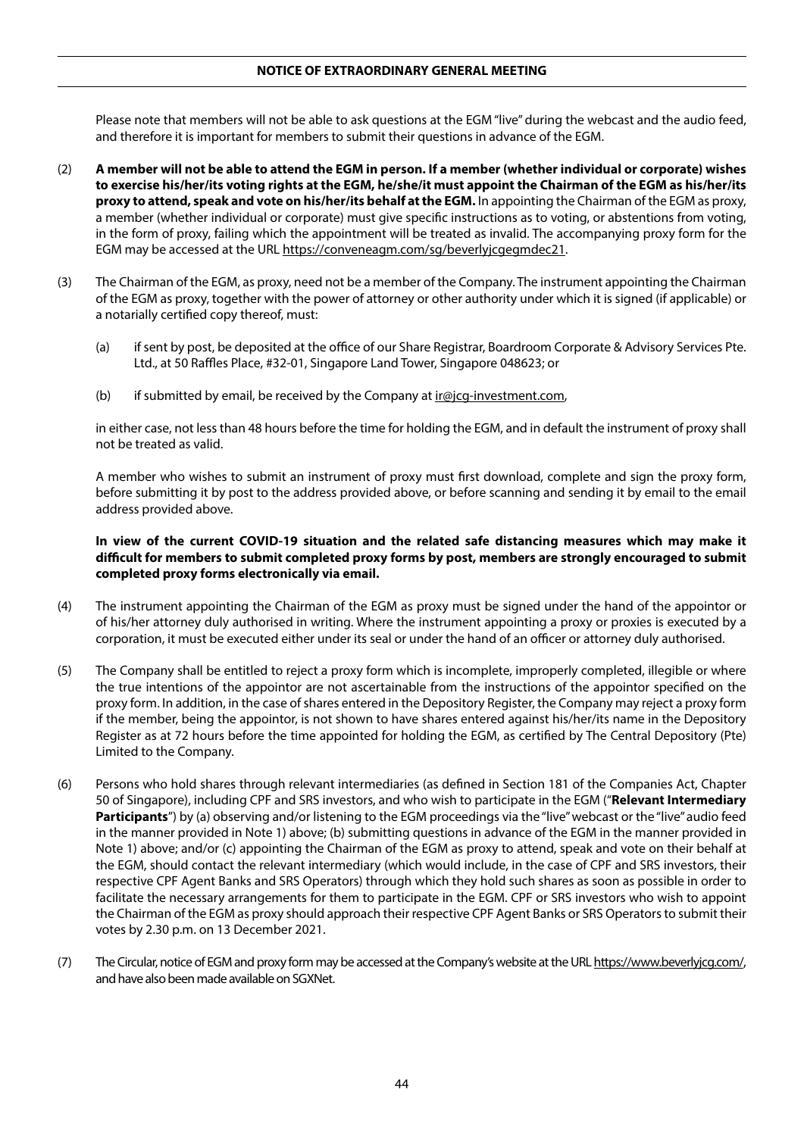Please note that members will not be able to ask questions at the EGM "live" during the webcast and the audio feed, and therefore it is important for members to submit their questions in advance of the EGM.

- (2) **A member will not be able to attend the EGM in person. If a member (whether individual or corporate) wishes to exercise his/her/its voting rights at the EGM, he/she/it must appoint the Chairman of the EGM as his/her/its proxy to attend, speak and vote on his/her/its behalf at the EGM.** In appointing the Chairman of the EGM as proxy, a member (whether individual or corporate) must give specific instructions as to voting, or abstentions from voting, in the form of proxy, failing which the appointment will be treated as invalid. The accompanying proxy form for the EGM may be accessed at the URL https://conveneagm.com/sg/beverlyjcgegmdec21.
- (3) The Chairman of the EGM, as proxy, need not be a member of the Company. The instrument appointing the Chairman of the EGM as proxy, together with the power of attorney or other authority under which it is signed (if applicable) or a notarially certified copy thereof, must:
	- (a) if sent by post, be deposited at the office of our Share Registrar, Boardroom Corporate & Advisory Services Pte. Ltd., at 50 Raffles Place, #32-01, Singapore Land Tower, Singapore 048623; or
	- (b) if submitted by email, be received by the Company at  $\text{ir@}$ icg-investment.com,

in either case, not less than 48 hours before the time for holding the EGM, and in default the instrument of proxy shall not be treated as valid.

A member who wishes to submit an instrument of proxy must first download, complete and sign the proxy form, before submitting it by post to the address provided above, or before scanning and sending it by email to the email address provided above.

## **In view of the current COVID-19 situation and the related safe distancing measures which may make it difficult for members to submit completed proxy forms by post, members are strongly encouraged to submit completed proxy forms electronically via email.**

- (4) The instrument appointing the Chairman of the EGM as proxy must be signed under the hand of the appointor or of his/her attorney duly authorised in writing. Where the instrument appointing a proxy or proxies is executed by a corporation, it must be executed either under its seal or under the hand of an officer or attorney duly authorised.
- (5) The Company shall be entitled to reject a proxy form which is incomplete, improperly completed, illegible or where the true intentions of the appointor are not ascertainable from the instructions of the appointor specified on the proxy form. In addition, in the case of shares entered in the Depository Register, the Company may reject a proxy form if the member, being the appointor, is not shown to have shares entered against his/her/its name in the Depository Register as at 72 hours before the time appointed for holding the EGM, as certified by The Central Depository (Pte) Limited to the Company.
- (6) Persons who hold shares through relevant intermediaries (as defined in Section 181 of the Companies Act, Chapter 50 of Singapore), including CPF and SRS investors, and who wish to participate in the EGM ("**Relevant Intermediary Participants**") by (a) observing and/or listening to the EGM proceedings via the "live" webcast or the "live" audio feed in the manner provided in Note 1) above; (b) submitting questions in advance of the EGM in the manner provided in Note 1) above; and/or (c) appointing the Chairman of the EGM as proxy to attend, speak and vote on their behalf at the EGM, should contact the relevant intermediary (which would include, in the case of CPF and SRS investors, their respective CPF Agent Banks and SRS Operators) through which they hold such shares as soon as possible in order to facilitate the necessary arrangements for them to participate in the EGM. CPF or SRS investors who wish to appoint the Chairman of the EGM as proxy should approach their respective CPF Agent Banks or SRS Operators to submit their votes by 2.30 p.m. on 13 December 2021.
- (7) The Circular, notice of EGM and proxy form may be accessed at the Company's website at the URL https://www.beverlyjcg.com/, and have also been made available on SGXNet.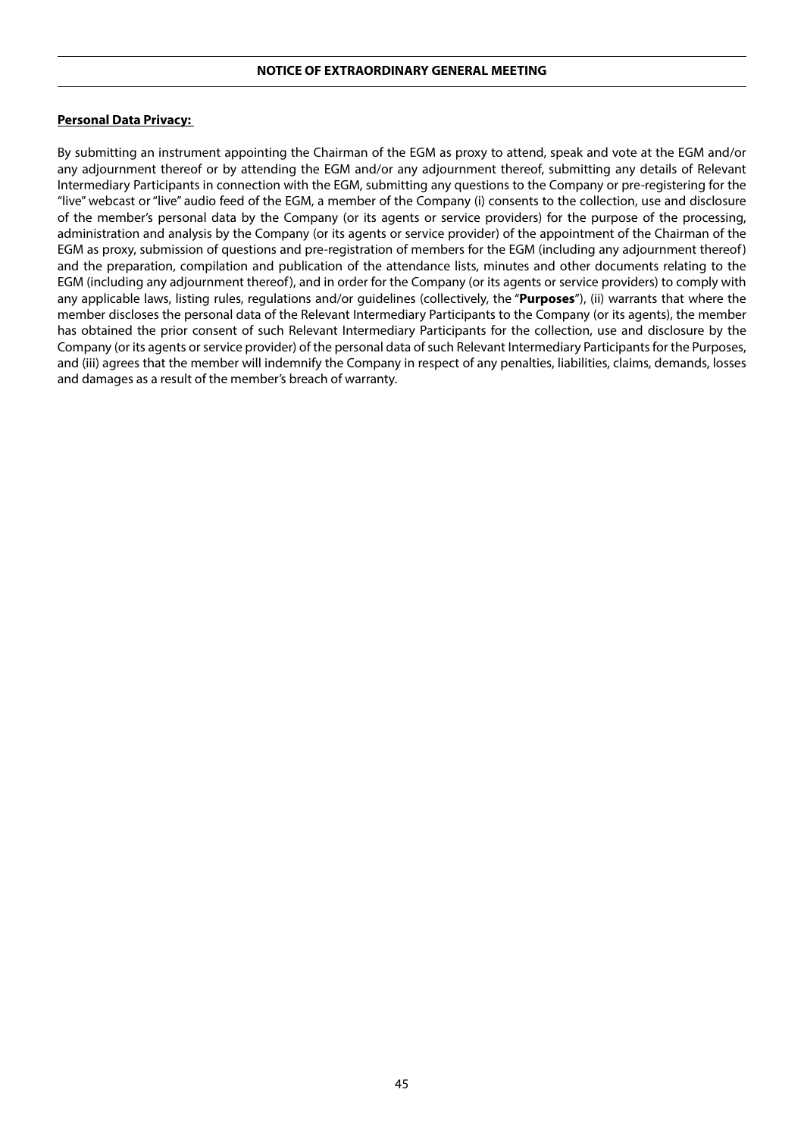#### **Personal Data Privacy:**

By submitting an instrument appointing the Chairman of the EGM as proxy to attend, speak and vote at the EGM and/or any adjournment thereof or by attending the EGM and/or any adjournment thereof, submitting any details of Relevant Intermediary Participants in connection with the EGM, submitting any questions to the Company or pre-registering for the "live" webcast or "live" audio feed of the EGM, a member of the Company (i) consents to the collection, use and disclosure of the member's personal data by the Company (or its agents or service providers) for the purpose of the processing, administration and analysis by the Company (or its agents or service provider) of the appointment of the Chairman of the EGM as proxy, submission of questions and pre-registration of members for the EGM (including any adjournment thereof) and the preparation, compilation and publication of the attendance lists, minutes and other documents relating to the EGM (including any adjournment thereof), and in order for the Company (or its agents or service providers) to comply with any applicable laws, listing rules, regulations and/or guidelines (collectively, the "**Purposes**"), (ii) warrants that where the member discloses the personal data of the Relevant Intermediary Participants to the Company (or its agents), the member has obtained the prior consent of such Relevant Intermediary Participants for the collection, use and disclosure by the Company (or its agents or service provider) of the personal data of such Relevant Intermediary Participants for the Purposes, and (iii) agrees that the member will indemnify the Company in respect of any penalties, liabilities, claims, demands, losses and damages as a result of the member's breach of warranty.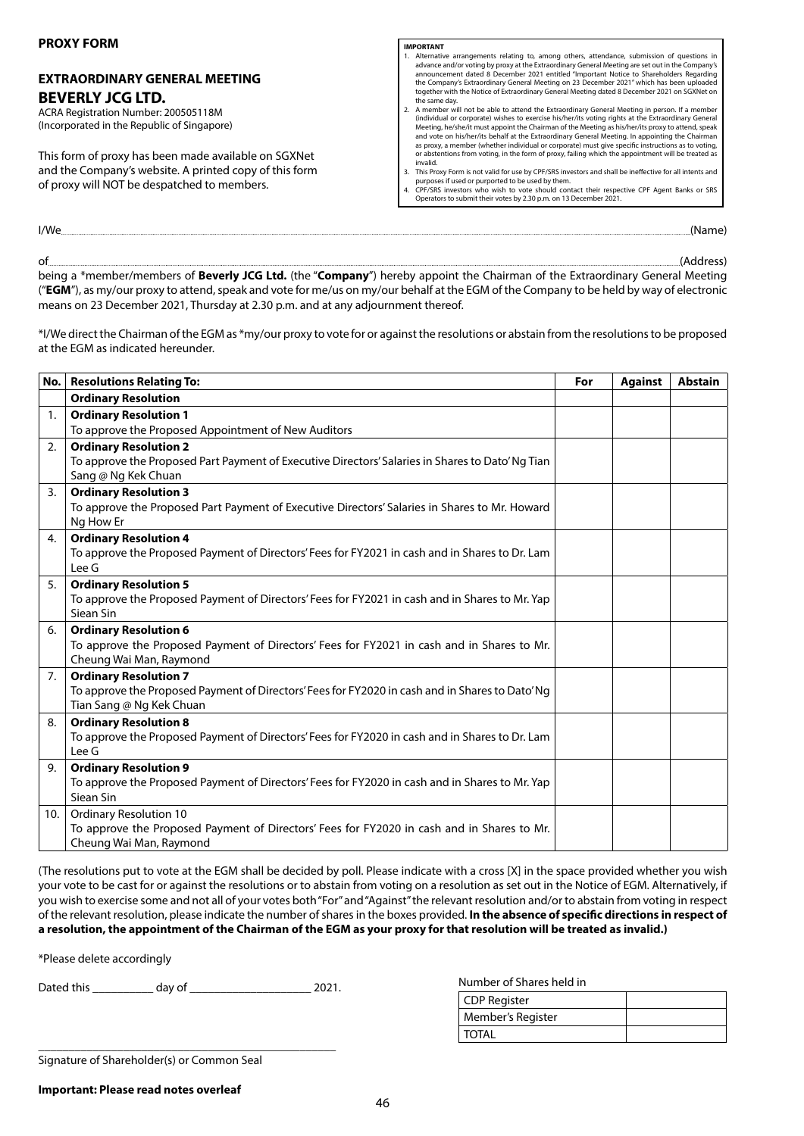## **EXTRAORDINARY GENERAL MEETING BEVERLY JCG LTD.**

ACRA Registration Number: 200505118M (Incorporated in the Republic of Singapore)

This form of proxy has been made available on SGXNet and the Company's website. A printed copy of this form of proxy will NOT be despatched to members.

#### **IMPORTANT**

- 1. Alternative arrangements relating to, among others, attendance, submission of questions in advance and/or voting by proxy at the Extraordinary General Meeting are set out in the Company's<br>announcement dated 8 December 2021 entitled "Important Notice to Shareholders Regarding<br>the Company's Extraordinary General M the same day. 2. A member will not be able to attend the Extraordinary General Meeting in person. If a member
- (individual or corporate) wishes to exercise his/her/its voting rights at the Extraordinary General Meeting, he/she/it must appoint the Chairman of the Meeting as his/her/its proxy to attend, speak and vote on his/her/its behalf at the Extraordinary General Meeting. In appointing the Chairman as proxy, a member (whether individual or corporate) must give specific instructions as to voting, or abstentions from voting, in the form of proxy, failing which the appointment will be treated as invalid.
- 3. This Proxy Form is not valid for use by CPF/SRS investors and shall be ineffective for all intents and<br>purposes if used or purported to be used by them.<br>4. CPF/SRS investors who wish to vote should contact their respect
- Operators to submit their votes by 2.30 p.m. on 13 December 2021.

I/We (Name)

of **and a contract of the contract of the contract of the contract of the contract of the contract of the contract of the contract of the contract of the contract of the contract of the contract of the contract of the cont** being a \*member/members of **Beverly JCG Ltd.** (the "**Company**") hereby appoint the Chairman of the Extraordinary General Meeting ("**EGM**"), as my/our proxy to attend, speak and vote for me/us on my/our behalf at the EGM of the Company to be held by way of electronic means on 23 December 2021, Thursday at 2.30 p.m. and at any adjournment thereof.

\*I/We direct the Chairman of the EGM as \*my/our proxy to vote for or against the resolutions or abstain from the resolutions to be proposed at the EGM as indicated hereunder.

|     | No.   Resolutions Relating To:                                                                              | For | <b>Against</b> | <b>Abstain</b> |
|-----|-------------------------------------------------------------------------------------------------------------|-----|----------------|----------------|
|     | <b>Ordinary Resolution</b>                                                                                  |     |                |                |
| 1.  | <b>Ordinary Resolution 1</b>                                                                                |     |                |                |
|     | To approve the Proposed Appointment of New Auditors                                                         |     |                |                |
| 2.  | <b>Ordinary Resolution 2</b>                                                                                |     |                |                |
|     | To approve the Proposed Part Payment of Executive Directors' Salaries in Shares to Dato' Ng Tian            |     |                |                |
|     | Sang @ Ng Kek Chuan                                                                                         |     |                |                |
| 3.  | <b>Ordinary Resolution 3</b>                                                                                |     |                |                |
|     | To approve the Proposed Part Payment of Executive Directors' Salaries in Shares to Mr. Howard               |     |                |                |
|     | Ng How Er                                                                                                   |     |                |                |
| 4.  | <b>Ordinary Resolution 4</b>                                                                                |     |                |                |
|     | To approve the Proposed Payment of Directors' Fees for FY2021 in cash and in Shares to Dr. Lam              |     |                |                |
|     | Lee G                                                                                                       |     |                |                |
| 5.  | <b>Ordinary Resolution 5</b>                                                                                |     |                |                |
|     | To approve the Proposed Payment of Directors' Fees for FY2021 in cash and in Shares to Mr. Yap<br>Siean Sin |     |                |                |
| 6.  | <b>Ordinary Resolution 6</b>                                                                                |     |                |                |
|     | To approve the Proposed Payment of Directors' Fees for FY2021 in cash and in Shares to Mr.                  |     |                |                |
|     | Cheung Wai Man, Raymond                                                                                     |     |                |                |
| 7.  | <b>Ordinary Resolution 7</b>                                                                                |     |                |                |
|     | To approve the Proposed Payment of Directors' Fees for FY2020 in cash and in Shares to Dato' Ng             |     |                |                |
|     | Tian Sang @ Ng Kek Chuan                                                                                    |     |                |                |
| 8.  | <b>Ordinary Resolution 8</b>                                                                                |     |                |                |
|     | To approve the Proposed Payment of Directors' Fees for FY2020 in cash and in Shares to Dr. Lam              |     |                |                |
|     | Lee G                                                                                                       |     |                |                |
| 9.  | <b>Ordinary Resolution 9</b>                                                                                |     |                |                |
|     | To approve the Proposed Payment of Directors' Fees for FY2020 in cash and in Shares to Mr. Yap              |     |                |                |
|     | Siean Sin                                                                                                   |     |                |                |
| 10. | <b>Ordinary Resolution 10</b>                                                                               |     |                |                |
|     | To approve the Proposed Payment of Directors' Fees for FY2020 in cash and in Shares to Mr.                  |     |                |                |
|     | Cheung Wai Man, Raymond                                                                                     |     |                |                |

(The resolutions put to vote at the EGM shall be decided by poll. Please indicate with a cross [X] in the space provided whether you wish your vote to be cast for or against the resolutions or to abstain from voting on a resolution as set out in the Notice of EGM. Alternatively, if you wish to exercise some and not all of your votes both "For" and "Against" the relevant resolution and/or to abstain from voting in respect of the relevant resolution, please indicate the number of shares in the boxes provided. **In the absence of specific directions in respect of a resolution, the appointment of the Chairman of the EGM as your proxy for that resolution will be treated as invalid.)**

\*Please delete accordingly

Dated this \_\_\_\_\_\_\_\_\_\_ day of \_\_\_\_\_\_\_\_\_\_\_\_\_\_\_\_\_\_\_\_ 2021.

\_\_\_\_\_\_\_\_\_\_\_\_\_\_\_\_\_\_\_\_\_\_\_\_\_\_\_\_\_\_\_\_\_\_\_\_\_\_\_\_\_\_\_\_\_\_\_\_\_

Number of Shares held in

| CDP Register      |  |
|-------------------|--|
| Member's Register |  |
| I TOTAL           |  |

Signature of Shareholder(s) or Common Seal